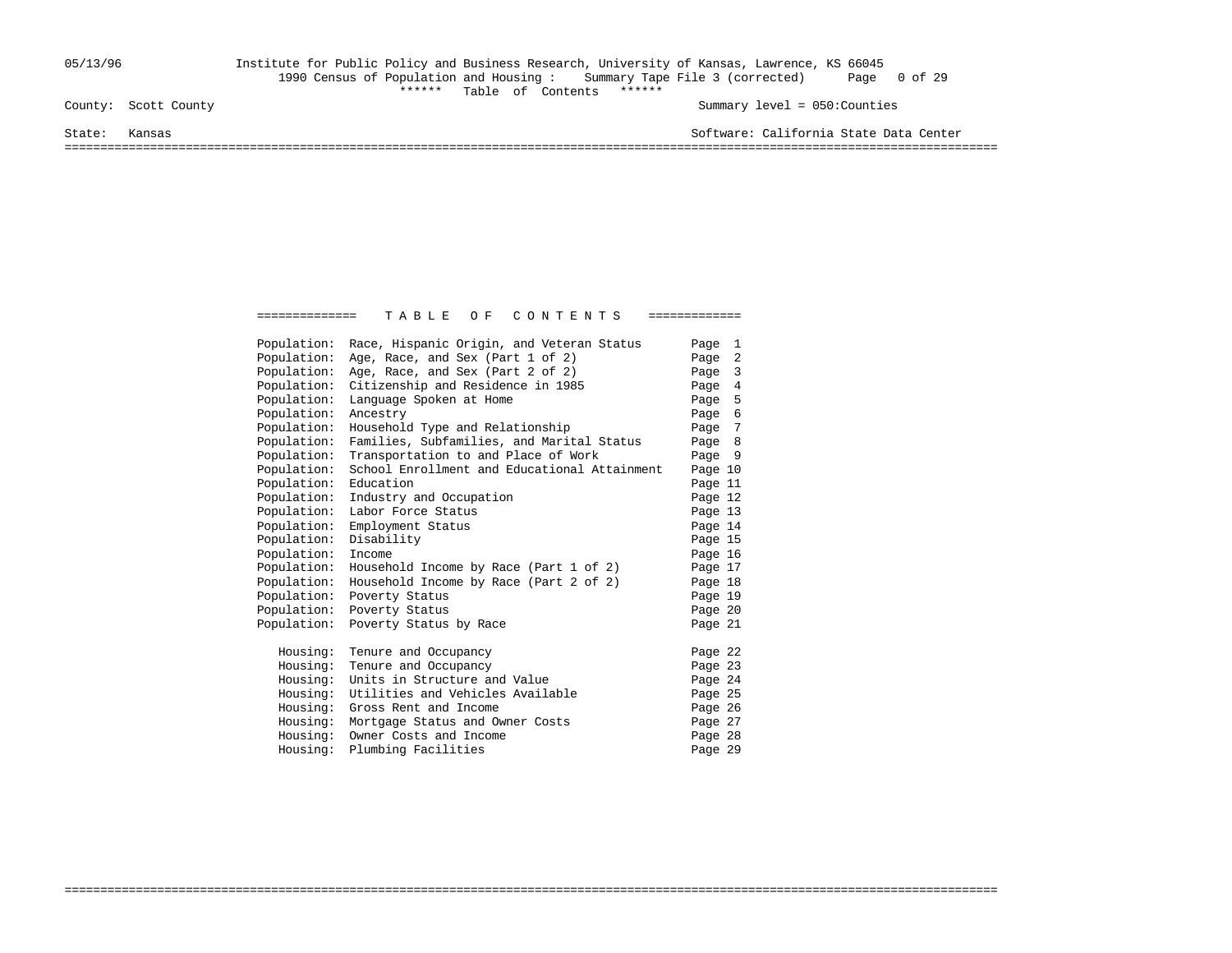### 05/13/96 Institute for Public Policy and Business Research, University of Kansas, Lawrence, KS 66045 1990 Census of Population and Housing : Summary Tape File 3 (corrected) Page 0 of 29 \*\*\*\*\*\* Table of Contents \*\*\*\*\*\*

Summary level = 050:Counties

State: Kansas Software: California State Data Center

===================================================================================================================================

| Population: | Race, Hispanic Origin, and Veteran Status    | Page 1  |  |
|-------------|----------------------------------------------|---------|--|
| Population: | Age, Race, and Sex (Part 1 of 2)             | Page 2  |  |
| Population: | Age, Race, and Sex (Part 2 of 2)             | Page 3  |  |
| Population: | Citizenship and Residence in 1985            | Page 4  |  |
| Population: | Language Spoken at Home                      | Page 5  |  |
| Population: | Ancestry                                     | Page 6  |  |
| Population: | Household Type and Relationship              | Page 7  |  |
| Population: | Families, Subfamilies, and Marital Status    | Page 8  |  |
| Population: | Transportation to and Place of Work          | Page 9  |  |
| Population: | School Enrollment and Educational Attainment | Page 10 |  |
| Population: | Education                                    | Page 11 |  |
| Population: | Industry and Occupation                      | Page 12 |  |
| Population: | Labor Force Status                           | Page 13 |  |
| Population: | Employment Status                            | Page 14 |  |
| Population: | Disability                                   | Page 15 |  |
| Population: | Income                                       | Page 16 |  |
| Population: | Household Income by Race (Part 1 of 2)       | Page 17 |  |
| Population: | Household Income by Race (Part 2 of 2)       | Page 18 |  |
| Population: | Poverty Status                               | Page 19 |  |
| Population: | Poverty Status                               | Page 20 |  |
| Population: | Poverty Status by Race                       | Page 21 |  |
| Housing:    | Tenure and Occupancy                         | Page 22 |  |
| Housing:    | Tenure and Occupancy                         | Page 23 |  |
| Housing:    | Units in Structure and Value                 | Page 24 |  |
| Housing:    | Utilities and Vehicles Available             | Page 25 |  |
| Housing:    | Gross Rent and Income                        | Page 26 |  |
| Housing:    | Mortgage Status and Owner Costs              | Page 27 |  |
| Housing:    | Owner Costs and Income                       | Page 28 |  |
| Housing:    | Plumbing Facilities                          | Page 29 |  |
|             |                                              |         |  |

===================================================================================================================================

============== T A B L E O F C O N T E N T S =============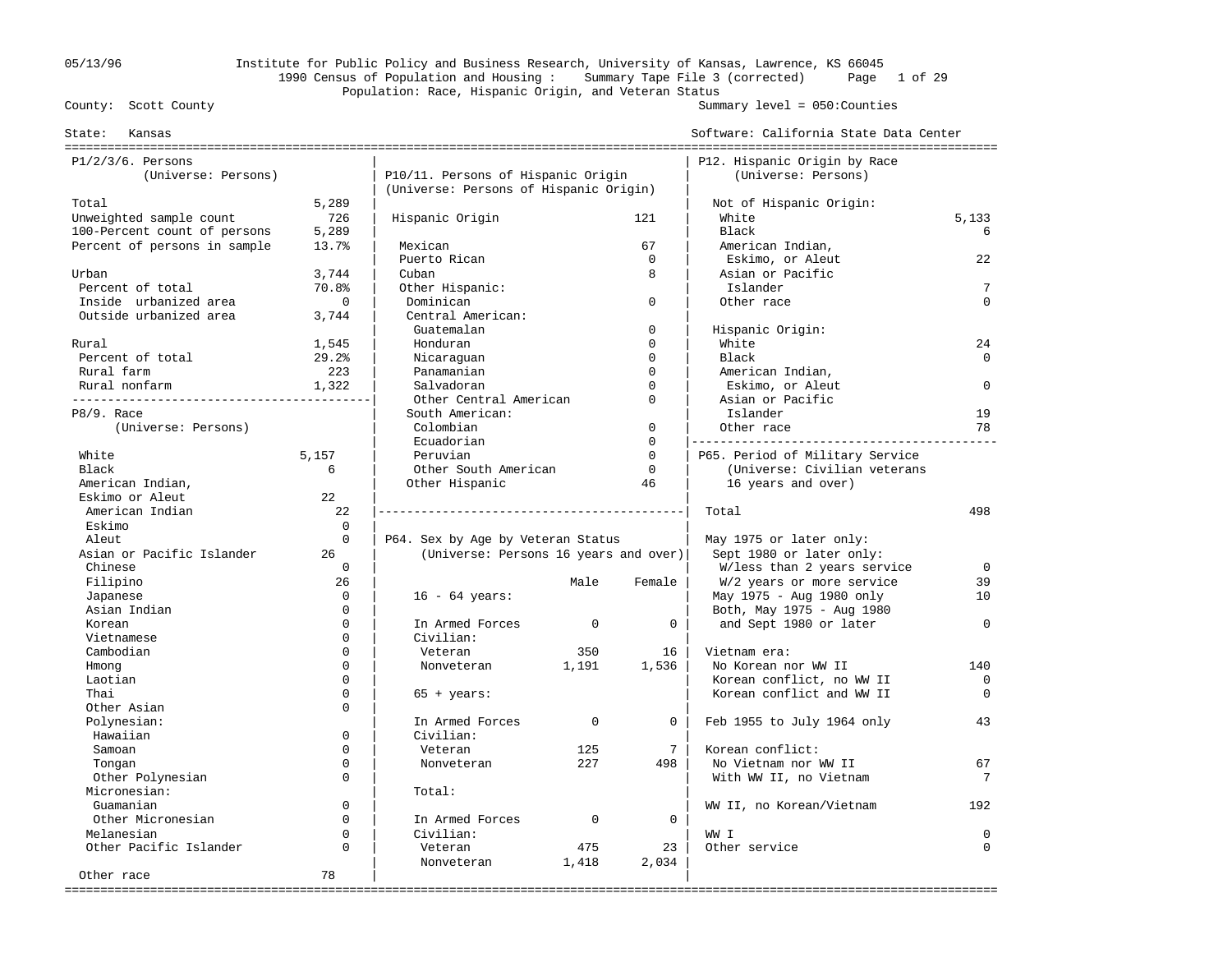## 05/13/96 Institute for Public Policy and Business Research, University of Kansas, Lawrence, KS 66045 1990 Census of Population and Housing : Summary Tape File 3 (corrected) Page 1 of 29 Population: Race, Hispanic Origin, and Veteran Status<br>County: Scott County

Summary level =  $050$ : Counties

| Kansas<br>State:             |              |                                        |             |                 | Software: California State Data Center |             |
|------------------------------|--------------|----------------------------------------|-------------|-----------------|----------------------------------------|-------------|
| $P1/2/3/6$ . Persons         |              |                                        |             |                 | P12. Hispanic Origin by Race           |             |
| (Universe: Persons)          |              | P10/11. Persons of Hispanic Origin     |             |                 | (Universe: Persons)                    |             |
|                              |              | (Universe: Persons of Hispanic Origin) |             |                 |                                        |             |
| Total                        | 5,289        |                                        |             |                 | Not of Hispanic Origin:                |             |
| Unweighted sample count      | 726          | Hispanic Origin                        |             | 121             | White                                  | 5,133       |
| 100-Percent count of persons | 5,289        |                                        |             |                 | Black                                  | 6           |
| Percent of persons in sample | 13.7%        | Mexican                                |             | 67              | American Indian,                       |             |
|                              |              | Puerto Rican                           |             | $\mathbf 0$     | Eskimo, or Aleut                       | 22          |
| Urban                        | 3,744        | Cuban                                  |             | 8               | Asian or Pacific                       |             |
| Percent of total             | 70.8%        | Other Hispanic:                        |             |                 | Islander                               | 7           |
| Inside urbanized area        | $\mathbf{0}$ | Dominican                              |             | $\mathbf 0$     | Other race                             | $\Omega$    |
| Outside urbanized area       | 3,744        | Central American:                      |             |                 |                                        |             |
|                              |              | Guatemalan                             |             | $\mathbf 0$     | Hispanic Origin:                       |             |
| Rural                        | 1,545        | Honduran                               |             | $\Omega$        | White                                  | 24          |
| Percent of total             | 29.2%        | Nicaraguan                             |             | $\Omega$        | Black                                  | $\Omega$    |
| Rural farm                   | 223          | Panamanian                             |             | $\Omega$        | American Indian,                       |             |
| Rural nonfarm                | 1,322        | Salvadoran                             |             | $\Omega$        | Eskimo, or Aleut                       | $\Omega$    |
|                              |              | Other Central American                 |             | $\Omega$        | Asian or Pacific                       |             |
| P8/9. Race                   |              | South American:                        |             |                 | Islander                               | 19          |
| (Universe: Persons)          |              | Colombian                              |             | $\mathbf 0$     | Other race                             | 78          |
|                              |              | Ecuadorian                             |             | $\mathbf 0$     |                                        |             |
| White                        | 5,157        | Peruvian                               |             | $\Omega$        | P65. Period of Military Service        |             |
| Black                        | 6            | Other South American                   |             | $\mathbf 0$     | (Universe: Civilian veterans           |             |
| American Indian,             |              | Other Hispanic                         |             | 46              | 16 years and over)                     |             |
| Eskimo or Aleut              | 22           |                                        |             |                 |                                        |             |
| American Indian              | 22           |                                        |             |                 | Total                                  | 498         |
| Eskimo                       | $\Omega$     |                                        |             |                 |                                        |             |
| Aleut                        | $\Omega$     | P64. Sex by Age by Veteran Status      |             |                 | May 1975 or later only:                |             |
| Asian or Pacific Islander    | 26           | (Universe: Persons 16 years and over)  |             |                 | Sept 1980 or later only:               |             |
| Chinese                      | $\Omega$     |                                        |             |                 | W/less than 2 years service            | $\Omega$    |
| Filipino                     | 26           |                                        | Male        | Female          | W/2 years or more service              | 39          |
| Japanese                     | $\mathbf 0$  | $16 - 64 \text{ years}$ :              |             |                 | May 1975 - Aug 1980 only               | 10          |
| Asian Indian                 | $\Omega$     |                                        |             |                 | Both, May 1975 - Aug 1980              |             |
| Korean                       | $\Omega$     | In Armed Forces                        | $\mathbf 0$ | $\mathbf 0$     | and Sept 1980 or later                 | $\Omega$    |
| Vietnamese                   | $\Omega$     | Civilian:                              |             |                 |                                        |             |
| Cambodian                    | $\Omega$     | Veteran                                | 350         | 16              | Vietnam era:                           |             |
| Hmong                        | $\Omega$     | Nonveteran                             | 1,191       | 1,536           | No Korean nor WW II                    | 140         |
| Laotian                      | $\Omega$     |                                        |             |                 | Korean conflict, no WW II              | $\mathbf 0$ |
| Thai                         | $\Omega$     | $65 + \text{years}$ :                  |             |                 | Korean conflict and WW II              | $\Omega$    |
| Other Asian                  | $\Omega$     |                                        |             |                 |                                        |             |
| Polynesian:                  |              | In Armed Forces                        | $\Omega$    | $\overline{0}$  | Feb 1955 to July 1964 only             | 43          |
| Hawaiian                     | $\Omega$     | Civilian:                              |             |                 |                                        |             |
| Samoan                       | $\Omega$     | Veteran                                | 125         | $7\overline{ }$ | Korean conflict:                       |             |
| Tongan                       | $\mathbf 0$  | Nonveteran                             | 227         | 498             | No Vietnam nor WW II                   | 67          |
| Other Polynesian             | $\Omega$     |                                        |             |                 | With WW II, no Vietnam                 | 7           |
| Micronesian:                 |              | Total:                                 |             |                 |                                        |             |
| Guamanian                    | $\Omega$     |                                        |             |                 | WW II, no Korean/Vietnam               | 192         |
| Other Micronesian            | $\Omega$     | In Armed Forces                        | $\mathbf 0$ | 0               |                                        |             |
| Melanesian                   | $\Omega$     | Civilian:                              |             |                 | WW I                                   | $\Omega$    |
| Other Pacific Islander       | $\Omega$     | Veteran                                | 475         | 23              | Other service                          | $\Omega$    |
|                              |              | Nonveteran                             | 1,418       | 2,034           |                                        |             |
| Other race                   | 78           |                                        |             |                 |                                        |             |
|                              |              |                                        |             |                 |                                        |             |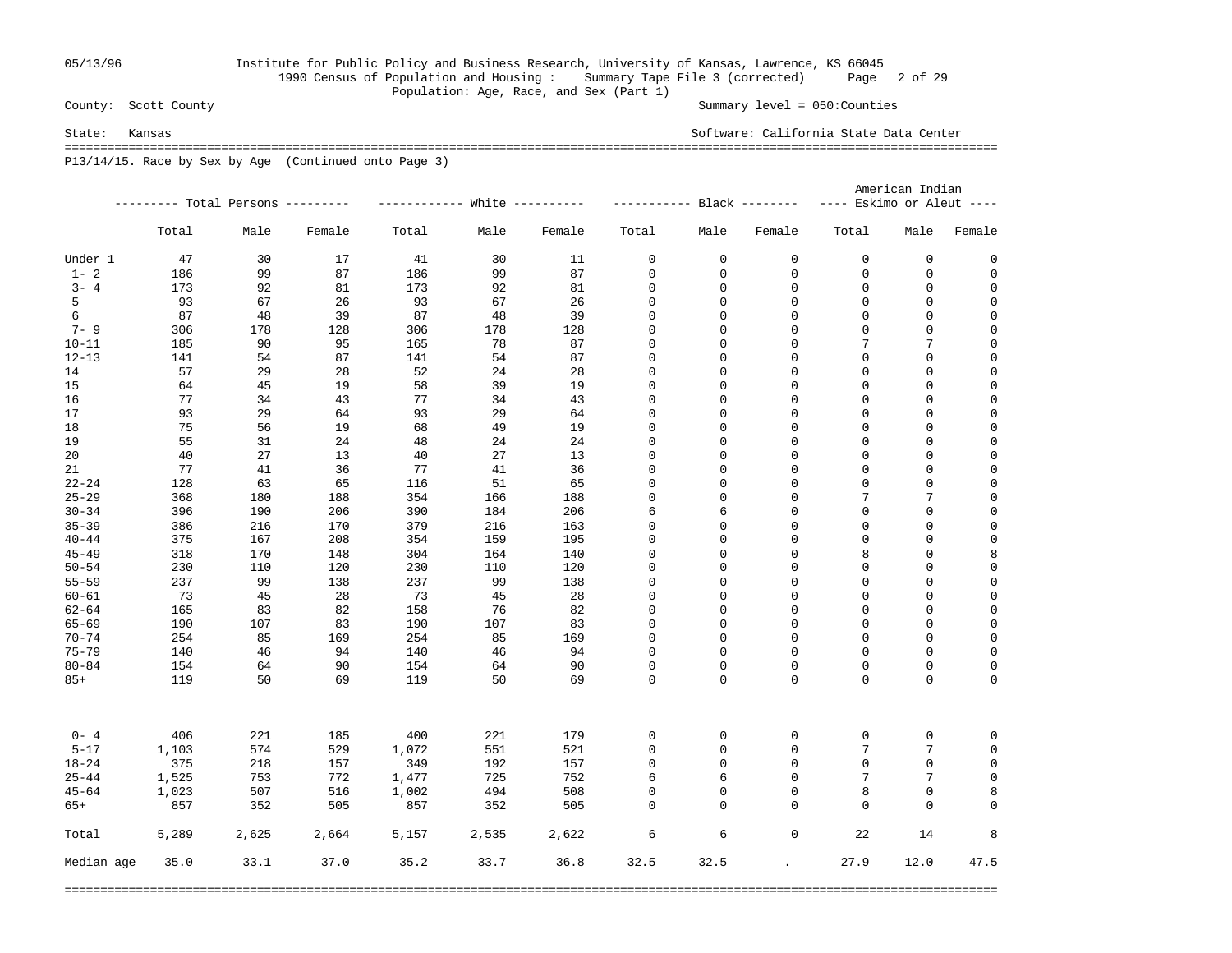## 05/13/96 Institute for Public Policy and Business Research, University of Kansas, Lawrence, KS 66045 1990 Census of Population and Housing : Summary Tape File 3 (corrected) Page 2 of 29 Population: Age, Race, and Sex (Part 1)<br>County: Scott County

Summary level =  $050$ : Counties

State: Kansas Software: California State Data Center =================================================================================================================================== P13/14/15. Race by Sex by Age (Continued onto Page 3)

|            |       |                                   |        |       |       |        | American Indian |          |                            |                           |             |             |  |
|------------|-------|-----------------------------------|--------|-------|-------|--------|-----------------|----------|----------------------------|---------------------------|-------------|-------------|--|
|            |       | --------- Total Persons --------- |        |       |       |        |                 |          |                            | ---- Eskimo or Aleut ---- |             |             |  |
|            | Total | Male                              | Female | Total | Male  | Female | Total           | Male     | Female                     | Total                     | Male        | Female      |  |
| Under 1    | 47    | 30                                | 17     | 41    | 30    | 11     | 0               | 0        | 0                          | $\mathbf 0$               | 0           | 0           |  |
| $1 - 2$    | 186   | 99                                | 87     | 186   | 99    | 87     | 0               | 0        | $\mathbf 0$                | 0                         | 0           | 0           |  |
| $3 - 4$    | 173   | 92                                | 81     | 173   | 92    | 81     | 0               | 0        | 0                          | 0                         | 0           | $\mathbf 0$ |  |
| 5          | 93    | 67                                | 26     | 93    | 67    | 26     | 0               | 0        | $\mathbf{0}$               | $\mathbf 0$               | 0           | $\mathbf 0$ |  |
| 6          | 87    | 48                                | 39     | 87    | 48    | 39     | 0               | 0        | $\mathbf{0}$               | $\mathbf 0$               | $\mathsf 0$ | $\mathbf 0$ |  |
| $7 - 9$    | 306   | 178                               | 128    | 306   | 178   | 128    | 0               | 0        | $\mathbf 0$                | $\mathbf 0$               | $\mathsf 0$ | $\mathbf 0$ |  |
| $10 - 11$  | 185   | 90                                | 95     | 165   | 78    | 87     | 0               | 0        | $\mathbf 0$                | 7                         | 7           | $\mathbf 0$ |  |
| $12 - 13$  | 141   | 54                                | 87     | 141   | 54    | 87     | 0               | 0        | $\mathbf 0$                | 0                         | 0           | 0           |  |
| 14         | 57    | 29                                | 28     | 52    | 24    | 28     | 0               | 0        | $\mathbf 0$                | $\mathsf 0$               | 0           | $\mathbf 0$ |  |
| 15         | 64    | 45                                | 19     | 58    | 39    | 19     | 0               | 0        | $\Omega$                   | $\mathbf 0$               | 0           | 0           |  |
| 16         | 77    | 34                                | 43     | 77    | 34    | 43     | $\mathbf 0$     | 0        | $\mathbf{0}$               | $\mathbf 0$               | $\mathbf 0$ | $\mathbf 0$ |  |
| 17         | 93    | 29                                | 64     | 93    | 29    | 64     | $\mathbf 0$     | 0        | $\mathbf{0}$               | $\mathbf 0$               | $\mathbf 0$ | $\mathbf 0$ |  |
| 18         | 75    | 56                                | 19     | 68    | 49    | 19     | 0               | 0        | $\mathbf{0}$               | $\mathbf 0$               | $\mathbf 0$ | $\mathbf 0$ |  |
| 19         | 55    | 31                                | 24     | 48    | 24    | 24     | 0               | 0        | $\mathbf{0}$               | $\mathbf 0$               | $\mathbf 0$ | $\mathbf 0$ |  |
| 20         | 40    | 27                                | 13     | 40    | 27    | 13     | 0               | 0        | $\mathbf 0$                | $\mathsf 0$               | $\mathbf 0$ | $\mathbf 0$ |  |
| 21         | 77    | 41                                | 36     | 77    | 41    | 36     | 0               | 0        | $\mathbf 0$                | $\mathsf 0$               | $\mathbf 0$ | $\mathsf 0$ |  |
| $22 - 24$  | 128   | 63                                | 65     | 116   | 51    | 65     | $\mathbf 0$     | 0        | $\Omega$                   | $\mathbf 0$               | 0           | $\mathbf 0$ |  |
| $25 - 29$  | 368   | 180                               | 188    | 354   | 166   | 188    | $\mathbf 0$     | 0        | $\Omega$                   | 7                         | 7           | $\mathsf 0$ |  |
| $30 - 34$  | 396   | 190                               | 206    | 390   | 184   | 206    | 6               | 6        | $\Omega$                   | $\overline{0}$            | $\mathbf 0$ | $\mathbf 0$ |  |
| $35 - 39$  | 386   | 216                               | 170    | 379   | 216   | 163    | 0               | 0        | $\mathbf 0$                | $\mathbf 0$               | $\mathbf 0$ | $\mathbf 0$ |  |
| $40 - 44$  | 375   | 167                               | 208    | 354   | 159   | 195    | 0               | 0        | $\mathbf 0$                | $\mathbf 0$               | $\mathbf 0$ | $\mathbf 0$ |  |
| $45 - 49$  | 318   | 170                               | 148    | 304   | 164   | 140    | 0               | 0        | $\mathbf 0$                | 8                         | $\mathbf 0$ | 8           |  |
| $50 - 54$  | 230   | 110                               | 120    | 230   | 110   | 120    | 0               | 0        | $\Omega$                   | 0                         | $\mathbf 0$ | $\mathbf 0$ |  |
| $55 - 59$  | 237   | 99                                | 138    | 237   | 99    | 138    | 0               | 0        | $\Omega$                   | $\mathbf 0$               | 0           | $\mathbf 0$ |  |
| $60 - 61$  | 73    | 45                                | 28     | 73    | 45    | 28     | $\mathbf 0$     | 0        | $\Omega$                   | $\mathbf 0$               | $\mathbf 0$ | $\mathbf 0$ |  |
| $62 - 64$  | 165   | 83                                | 82     | 158   | 76    | 82     | $\mathbf 0$     | 0        | $\Omega$                   | $\mathbf 0$               | $\mathbf 0$ | $\mathsf 0$ |  |
| $65 - 69$  | 190   | 107                               | 83     | 190   | 107   | 83     | 0               | 0        | $\mathbf 0$                | 0                         | 0           | $\mathbf 0$ |  |
| $70 - 74$  | 254   | 85                                | 169    | 254   | 85    | 169    | 0               | 0        | $\mathbf{0}$               | $\mathbf 0$               | $\mathbf 0$ | $\mathbf 0$ |  |
| $75 - 79$  | 140   | 46                                | 94     | 140   | 46    | 94     | 0               | 0        | $\mathbf 0$                | 0                         | 0           | $\mathbf 0$ |  |
| $80 - 84$  | 154   | 64                                | 90     | 154   | 64    | 90     | 0               | 0        | $\mathbf 0$                | 0                         | $\mathbf 0$ | 0           |  |
| $85+$      | 119   | 50                                | 69     | 119   | 50    | 69     | $\Omega$        | $\Omega$ | $\Omega$                   | $\Omega$                  | $\Omega$    | 0           |  |
|            |       |                                   |        |       |       |        |                 |          |                            |                           |             |             |  |
| $0 - 4$    | 406   | 221                               | 185    | 400   | 221   | 179    | 0               | 0        | 0                          | 0                         | 0           | 0           |  |
| $5 - 17$   | 1,103 | 574                               | 529    | 1,072 | 551   | 521    | $\mathsf 0$     | 0        | $\mathbf 0$                | 7                         | 7           | 0           |  |
| $18 - 24$  | 375   | 218                               | 157    | 349   | 192   | 157    | 0               | 0        | $\mathbf{0}$               | $\mathbf 0$               | $\mathbf 0$ | 0           |  |
| $25 - 44$  | 1,525 | 753                               | 772    | 1,477 | 725   | 752    | 6               | 6        | $\Omega$                   | 7                         | 7           | $\mathbf 0$ |  |
| $45 - 64$  | 1,023 | 507                               | 516    | 1,002 | 494   | 508    | $\mathbf 0$     | 0        | $\Omega$                   | 8                         | $\mathbf 0$ | 8           |  |
| $65+$      | 857   | 352                               | 505    | 857   | 352   | 505    | $\Omega$        | $\Omega$ | $\mathbf 0$                | $\mathbf 0$               | $\mathbf 0$ | $\Omega$    |  |
| Total      | 5,289 | 2,625                             | 2,664  | 5,157 | 2,535 | 2,622  | 6               | 6        | 0                          | 22                        | 14          | 8           |  |
| Median age | 35.0  | 33.1                              | 37.0   | 35.2  | 33.7  | 36.8   | 32.5            | 32.5     | $\mathcal{L}^{\text{max}}$ | 27.9                      | 12.0        | 47.5        |  |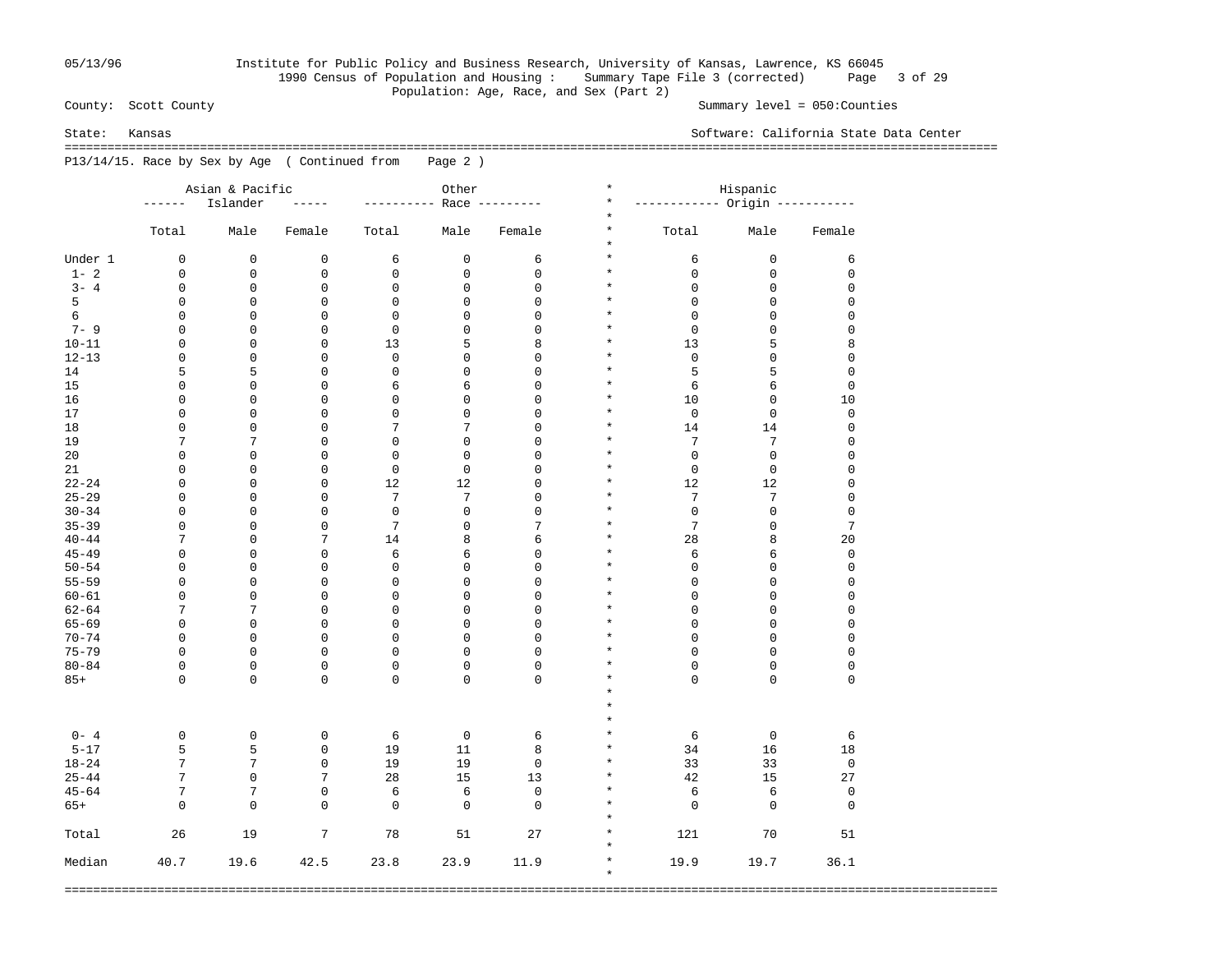## 05/13/96 Institute for Public Policy and Business Research, University of Kansas, Lawrence, KS 66045 1990 Census of Population and Housing : Summary Tape File 3 (corrected) Page 3 of 29 Population: Age, Race, and Sex (Part 2)<br>County: Scott County

Summary level =  $050$ : Counties

 =================================================================================================================================== P13/14/15. Race by Sex by Age ( Continued from Page 2 )

|           |                  | Asian & Pacific     |                  |                     | Other          |                | $^\star$             | Hispanic                      |             |                |
|-----------|------------------|---------------------|------------------|---------------------|----------------|----------------|----------------------|-------------------------------|-------------|----------------|
|           | ------           | Islander            | $- - - - -$      | ----------          |                | Race --------- | $^\star$             | ----------- Origin ---------- |             |                |
|           | Total            | Male                | Female           | Total               | Male           | Female         | $^\star$<br>$^\star$ | Total                         | Male        | Female         |
|           |                  |                     |                  |                     |                |                | $^\star$             |                               |             |                |
| Under 1   | 0                | 0                   | 0                | 6                   | $\mathsf 0$    | 6              | $\star$              | 6                             | 0           | 6              |
| $1 - 2$   | 0                | 0                   | 0                | $\mathsf 0$         | $\mathsf 0$    | $\mathsf 0$    | $\star$              | $\mathbf 0$                   | 0           | 0              |
| $3 - 4$   | 0                | 0                   | 0                | $\mathbf 0$         | 0              | $\mathbf 0$    | $\star$              | $\mathsf 0$                   | 0           | 0              |
| 5         | 0                | 0                   | 0                | $\mathsf 0$         | 0              | $\mathsf 0$    | $\star$              | $\mathsf 0$                   | $\mathsf 0$ | 0              |
| 6         | 0                | 0                   | 0                | $\mathsf 0$         | 0              | $\mathsf 0$    | $\star$              | $\mathsf 0$                   | $\mathsf 0$ | 0              |
| $7 - 9$   | 0                | 0                   | $\mathsf 0$      | $\mathbf 0$         | 0              | $\mathsf 0$    | $\star$              | $\mathsf 0$                   | $\mathsf 0$ | 0              |
| $10 - 11$ | 0                | 0                   | 0                | 13                  | 5              | 8              | $\star$              | 13                            | 5           | 8              |
| $12 - 13$ | 0                | $\mathsf 0$         | $\mathsf 0$      | $\mathbf 0$         | 0              | $\mathbf{0}$   | $\star$              | $\mathsf 0$                   | $\mathsf 0$ | 0              |
| 14        | 5                | 5                   | 0                | $\mathsf 0$         | 0              | $\mathbf{0}$   | $\star$              | 5                             | 5           | 0              |
| 15        | 0                | $\mathsf 0$         | $\mathsf 0$      | 6                   | 6              | $\mathsf 0$    | $\star$              | 6                             | $\epsilon$  | 0              |
| 16        | 0                | 0                   | 0                | $\mathsf 0$         | 0              | $\mathbf{0}$   | $\star$              | 10                            | $\mathsf 0$ | 10             |
| 17        | 0                | $\mathsf 0$         | $\mathsf 0$      | $\mathsf 0$         | 0              | $\mathsf 0$    | $\star$              | $\mathbf 0$                   | $\mathsf 0$ | 0              |
| 18        | 0                | 0                   | 0                | 7                   | 7              | $\mathbf 0$    | $\star$              | 14                            | 14          | 0              |
| 19        | 7                | $\overline{7}$      | $\mathsf 0$      | $\mathsf 0$         | $\mathsf 0$    | $\mathsf 0$    | $\star$              | 7                             | 7           | 0              |
| 20        | 0                | $\mathsf 0$         | 0                | $\mathsf 0$         | $\mathsf 0$    | $\mathbf{0}$   | $\star$              | $\mathsf{O}\xspace$           | 0           | 0              |
| 21        | 0                | $\mathsf 0$         | $\mathsf 0$      | $\mathbf 0$         | $\mathsf 0$    | $\mathsf 0$    | $\star$              | $\mathsf 0$                   | $\mathsf 0$ | 0              |
| $22 - 24$ | 0                | 0                   | 0                | 12                  | 12             | $\mathbf 0$    | $\star$              | 12                            | 12          | 0              |
| $25 - 29$ | 0                | $\mathsf 0$         | $\mathsf 0$      | 7                   | $\overline{7}$ | $\mathsf 0$    | $\star$              | 7                             | 7           | 0              |
| $30 - 34$ | 0                | 0                   | 0                | $\mathbf 0$         | $\mathbf 0$    | $\mathbf 0$    | $\star$              | $\mathsf 0$                   | $\mathsf 0$ | 0              |
| $35 - 39$ | 0                | $\mathsf 0$         | $\mathsf 0$      | 7                   | $\mathsf 0$    | 7              | $\star$              | 7                             | $\mathsf 0$ | $\overline{7}$ |
| $40 - 44$ | 7                | $\mathsf 0$         | 7                | 14                  | 8              | 6              | $\star$              | 28                            | 8           | 20             |
| $45 - 49$ | 0                | $\mathsf 0$         | $\mathsf 0$      | 6                   | 6              | $\mathsf 0$    | $\star$              | 6                             | 6           | 0              |
| $50 - 54$ | 0                | $\mathsf 0$         | 0                | $\mathsf 0$         | 0              | $\mathbf 0$    | $\star$              | $\mathsf 0$                   | $\mathsf 0$ | 0              |
| $55 - 59$ | 0                | $\mathsf 0$         | $\mathsf 0$      | $\mathsf 0$         | 0              | $\mathbf 0$    | $\star$              | $\mathsf 0$                   | $\mathsf 0$ | 0              |
| $60 - 61$ | $\mathbf 0$      | $\mathsf 0$         | $\mathsf 0$      | $\mathsf{O}\xspace$ | 0              | $\mathbf 0$    | $\star$              | $\mathsf{O}\xspace$           | $\mathsf 0$ | 0              |
| $62 - 64$ | 7                | 7                   | $\mathsf 0$      | $\mathsf 0$         | $\mathbf 0$    | $\mathbf 0$    | $\star$              | $\mathbf 0$                   | $\mathsf 0$ | 0              |
| $65 - 69$ | $\mathbf 0$      | $\mathbf 0$         | $\mathsf 0$      | $\mathsf 0$         | 0              | $\mathbf 0$    | $\star$              | $\mathsf 0$                   | $\mathsf 0$ | 0              |
| $70 - 74$ | 0                | $\mathbf 0$         | $\mathsf 0$      | $\mathsf 0$         | $\mathbf 0$    | $\mathbf 0$    | $\star$              | $\mathbf 0$                   | $\mathsf 0$ | $\mathbf 0$    |
| $75 - 79$ | $\mathbf 0$      | $\mathbf 0$         | $\mathsf 0$      | $\mathsf 0$         | 0              | $\mathbf 0$    | $\star$              | $\mathbf 0$                   | $\mathsf 0$ | $\mathbf 0$    |
| $80 - 84$ | 0                | $\mathbf 0$         | $\mathsf 0$      | $\mathsf 0$         | 0              | $\mathbf 0$    | $\star$              | $\mathsf 0$                   | $\mathsf 0$ | $\mathbf 0$    |
|           | $\Omega$         | $\mathbf 0$         | $\mathbf 0$      | $\mathbf 0$         | 0              | $\Omega$       | $\star$              | $\Omega$                      | $\mathbf 0$ | $\overline{0}$ |
| $85+$     |                  |                     |                  |                     |                |                | $\star$              |                               |             |                |
|           |                  |                     |                  |                     |                |                | $\star$              |                               |             |                |
|           |                  |                     |                  |                     |                |                | $\star$              |                               |             |                |
|           |                  |                     |                  |                     |                |                | $\star$              |                               |             |                |
| $0 - 4$   | $\mathbf 0$<br>5 | $\mathbf 0$         | 0<br>$\mathbf 0$ | 6                   | $\mathbb O$    | 6              | $\star$              | 6                             | $\mathbf 0$ | 6              |
| $5 - 17$  | $7\overline{ }$  | 5<br>$\overline{7}$ |                  | 19                  | 11             | 8              | $\star$              | 34                            | 16          | 18             |
| $18 - 24$ |                  |                     | 0                | 19                  | 19             | $\mathbf 0$    | $\star$              | 33                            | 33          | $\mathbf 0$    |
| $25 - 44$ | 7                | $\mathbf 0$         | 7                | 28                  | 15             | 13             | $\star$              | 42                            | 15          | 27             |
| $45 - 64$ | 7                | 7                   | $\mathsf 0$      | 6                   | 6              | $\mathsf 0$    | $\star$              | 6                             | 6           | $\mathbf 0$    |
| $65+$     | $\mathbf 0$      | $\mathbf 0$         | $\mathbf 0$      | $\mathbf 0$         | $\mathbf 0$    | $\mathbf 0$    | $\star$              | $\mathbf 0$                   | $\mathbf 0$ | $\mathbf 0$    |
| Total     | 26               | 19                  | 7                | 78                  | 51             | 27             | $\star$<br>$\star$   | 121                           | 70          | 51             |
| Median    | 40.7             | 19.6                | 42.5             | 23.8                | 23.9           | 11.9           | $\star$<br>$\star$   | 19.9                          | 19.7        | 36.1           |

===================================================================================================================================

State: Kansas Software: California State Data Center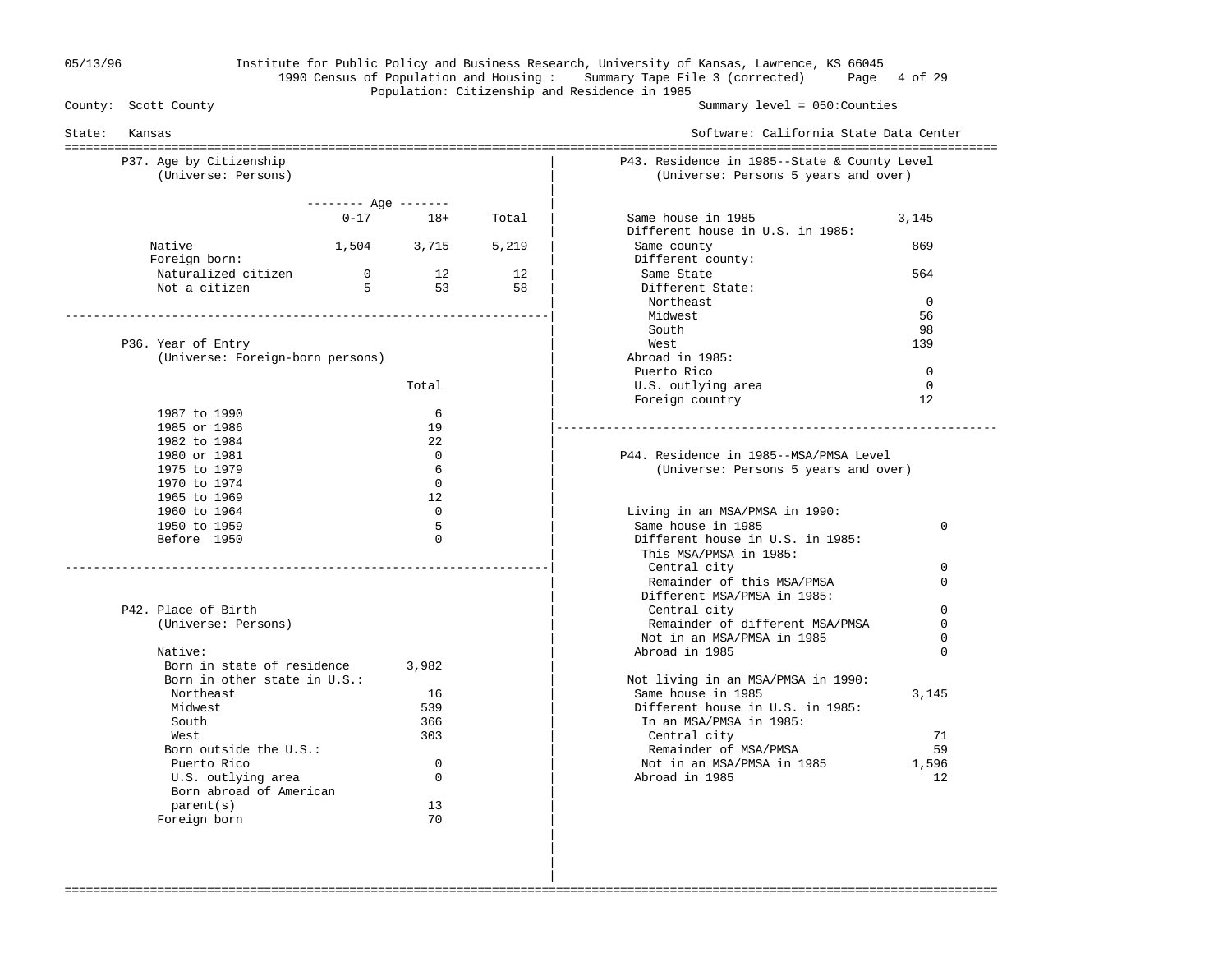#### 05/13/96 Institute for Public Policy and Business Research, University of Kansas, Lawrence, KS 66045 1990 Census of Population and Housing : Summary Tape File 3 (corrected) Page 4 of 29 Population: Citizenship and Residence in 1985<br>County: Scott County

Summary level =  $050$ : Counties

| Kansas<br>State:                               |                      |              |          | Software: California State Data Center                                               |               |
|------------------------------------------------|----------------------|--------------|----------|--------------------------------------------------------------------------------------|---------------|
| P37. Age by Citizenship<br>(Universe: Persons) |                      |              |          | P43. Residence in 1985--State & County Level<br>(Universe: Persons 5 years and over) |               |
|                                                | -------- Age ------- |              |          |                                                                                      |               |
|                                                |                      | $0 - 17$ 18+ | Total    | Same house in 1985<br>Different house in U.S. in 1985:                               | 3,145         |
| Native<br>Foreign born:                        |                      | 1,504 3,715  | 5,219    | Same county<br>Different county:                                                     | 869           |
| Naturalized citizen<br>Not a citizen           | $\overline{0}$<br>5  | 12<br>53     | 12<br>58 | Same State<br>Different State:                                                       | 564           |
|                                                |                      |              |          | Northeast                                                                            | $\Omega$      |
|                                                |                      |              |          | Midwest                                                                              | 56            |
|                                                |                      |              |          | South                                                                                | 98            |
| P36. Year of Entry                             |                      |              |          | West                                                                                 | 139           |
| (Universe: Foreign-born persons)               |                      |              |          | Abroad in 1985:<br>Puerto Rico                                                       | $\Omega$      |
|                                                |                      | Total        |          | U.S. outlying area                                                                   | $\mathbf 0$   |
|                                                |                      |              |          | Foreign country                                                                      | 12            |
| 1987 to 1990                                   |                      | 6            |          |                                                                                      |               |
| 1985 or 1986                                   |                      | 19           |          |                                                                                      |               |
| 1982 to 1984                                   |                      | 22           |          |                                                                                      |               |
| 1980 or 1981                                   |                      | $\Omega$     |          | P44. Residence in 1985--MSA/PMSA Level                                               |               |
| 1975 to 1979                                   |                      | 6            |          | (Universe: Persons 5 years and over)                                                 |               |
| 1970 to 1974                                   |                      | $\Omega$     |          |                                                                                      |               |
| 1965 to 1969                                   |                      | 12           |          |                                                                                      |               |
| 1960 to 1964                                   |                      | $\Omega$     |          | Living in an MSA/PMSA in 1990:                                                       |               |
| 1950 to 1959                                   |                      | 5            |          | Same house in 1985                                                                   | 0             |
| Before 1950                                    |                      | $\Omega$     |          | Different house in U.S. in 1985:<br>This MSA/PMSA in 1985:                           |               |
|                                                |                      |              |          | Central city                                                                         | $\Omega$      |
|                                                |                      |              |          | Remainder of this MSA/PMSA<br>Different MSA/PMSA in 1985:                            | $\Omega$      |
| P42. Place of Birth                            |                      |              |          | Central city                                                                         | $\Omega$      |
| (Universe: Persons)                            |                      |              |          | Remainder of different MSA/PMSA                                                      | $\Omega$      |
| Native:                                        |                      |              |          | Not in an MSA/PMSA in 1985<br>Abroad in 1985                                         | 0<br>$\Omega$ |
| Born in state of residence                     |                      | 3,982        |          |                                                                                      |               |
| Born in other state in U.S.:                   |                      |              |          | Not living in an MSA/PMSA in 1990:                                                   |               |
| Northeast                                      |                      | 16           |          | Same house in 1985                                                                   | 3,145         |
| Midwest                                        |                      | 539          |          | Different house in U.S. in 1985:                                                     |               |
| South                                          |                      | 366          |          | In an MSA/PMSA in 1985:                                                              |               |
| West                                           |                      | 303          |          | Central city                                                                         | 71            |
| Born outside the U.S.:                         |                      |              |          | Remainder of MSA/PMSA                                                                | 59            |
| Puerto Rico                                    |                      | $\mathbf 0$  |          | Not in an MSA/PMSA in 1985                                                           | 1,596         |
| U.S. outlying area<br>Born abroad of American  |                      | $\mathbf 0$  |          | Abroad in 1985                                                                       | 12            |
| parent(s)                                      |                      | 13           |          |                                                                                      |               |
| Foreign born                                   |                      | 70           |          |                                                                                      |               |

===================================================================================================================================

 | | |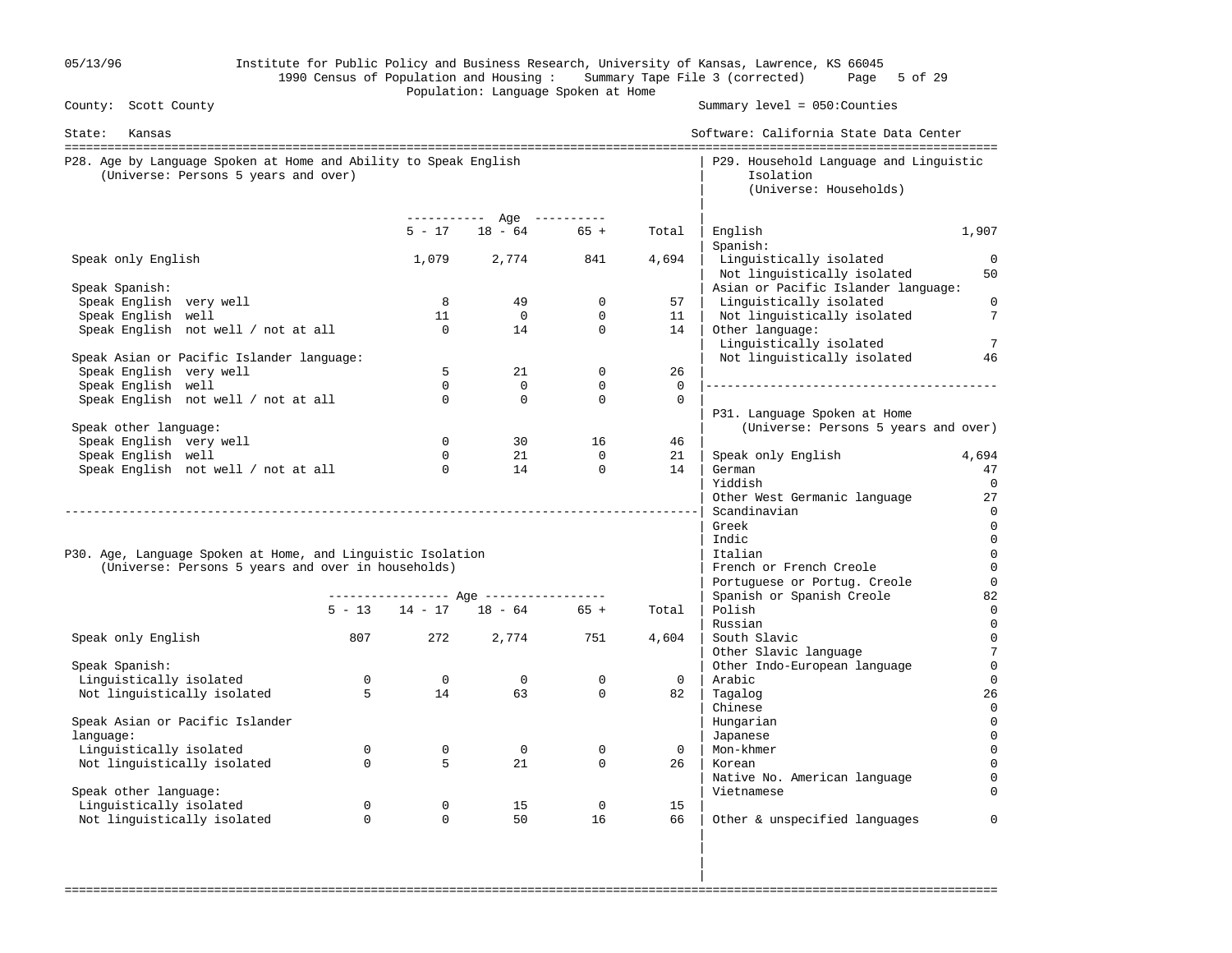| 05/13/96                                                                                                 |                |                | Population: Language Spoken at Home     |                            |                | Institute for Public Policy and Business Research, University of Kansas, Lawrence, KS 66045<br>1990 Census of Population and Housing: Summary Tape File 3 (corrected) Page 5 of 29 |                                  |
|----------------------------------------------------------------------------------------------------------|----------------|----------------|-----------------------------------------|----------------------------|----------------|------------------------------------------------------------------------------------------------------------------------------------------------------------------------------------|----------------------------------|
| County: Scott County                                                                                     |                |                |                                         |                            |                | Summary level = 050: Counties                                                                                                                                                      |                                  |
| State:<br>Kansas                                                                                         |                |                |                                         |                            |                | Software: California State Data Center                                                                                                                                             |                                  |
| P28. Age by Language Spoken at Home and Ability to Speak English<br>(Universe: Persons 5 years and over) |                |                |                                         |                            |                | P29. Household Language and Linguistic<br>Isolation<br>(Universe: Households)                                                                                                      |                                  |
|                                                                                                          |                | $5 - 17$       | ----------- Age ----------<br>$18 - 64$ | $65 +$                     |                |                                                                                                                                                                                    | 1,907                            |
|                                                                                                          |                |                |                                         |                            | Total          | English<br>Spanish:                                                                                                                                                                |                                  |
| Speak only English                                                                                       |                |                | 1,079 2,774                             | 841                        | 4,694          | Linguistically isolated<br>Not linguistically isolated                                                                                                                             | $\Omega$<br>50                   |
| Speak Spanish:                                                                                           |                |                |                                         |                            |                | Asian or Pacific Islander language:                                                                                                                                                |                                  |
| Speak English very well                                                                                  |                | 8<br>11        | 49<br>$\overline{0}$                    | $\mathbf 0$<br>$\mathbf 0$ | 57<br>11       | Linguistically isolated                                                                                                                                                            | $\overline{0}$<br>$\overline{7}$ |
| Speak English well<br>Speak English not well / not at all                                                |                | $\Omega$       | 14                                      | $\Omega$                   | 14             | Not linguistically isolated<br>Other language:<br>Linguistically isolated                                                                                                          | $\overline{7}$                   |
| Speak Asian or Pacific Islander language:                                                                |                |                |                                         |                            |                | Not linguistically isolated                                                                                                                                                        | 46                               |
| Speak English very well                                                                                  |                | 5              | 21                                      | $\mathbf 0$                | 26             |                                                                                                                                                                                    |                                  |
| Speak English well                                                                                       |                | $\Omega$       | $\Omega$                                | $\mathbf 0$                | $\Omega$       |                                                                                                                                                                                    |                                  |
| Speak English not well / not at all                                                                      |                | $\Omega$       | $\mathbf 0$                             | $\mathbf 0$                | $\mathbf 0$    | P31. Language Spoken at Home                                                                                                                                                       |                                  |
| Speak other language:                                                                                    |                |                |                                         |                            |                | (Universe: Persons 5 years and over)                                                                                                                                               |                                  |
| Speak English very well                                                                                  |                | $\Omega$       | 30                                      | 16                         | 46             |                                                                                                                                                                                    |                                  |
| Speak English well                                                                                       |                | $\Omega$       | 21                                      | $\Omega$                   | 21             | Speak only English                                                                                                                                                                 | 4,694                            |
| Speak English not well / not at all                                                                      |                | $\overline{0}$ | 14                                      | $\mathbf{0}$               | 14             | German                                                                                                                                                                             | 47                               |
|                                                                                                          |                |                |                                         |                            |                | Yiddish                                                                                                                                                                            |                                  |
|                                                                                                          |                |                |                                         |                            |                | Other West Germanic language<br>Scandinavian                                                                                                                                       | 27<br>$\overline{0}$             |
|                                                                                                          |                |                |                                         |                            |                | Greek                                                                                                                                                                              | $\mathbf 0$                      |
|                                                                                                          |                |                |                                         |                            |                | Indic                                                                                                                                                                              | $\mathbf 0$                      |
| P30. Age, Language Spoken at Home, and Linguistic Isolation                                              |                |                |                                         |                            |                | Italian                                                                                                                                                                            | $\mathbf 0$                      |
| (Universe: Persons 5 years and over in households)                                                       |                |                |                                         |                            |                | French or French Creole                                                                                                                                                            | $\overline{0}$                   |
|                                                                                                          |                |                |                                         |                            |                | Portuguese or Portug. Creole                                                                                                                                                       | $\mathbf 0$                      |
|                                                                                                          |                |                | ---------------- Age ----------------   |                            |                | Spanish or Spanish Creole                                                                                                                                                          | 82                               |
|                                                                                                          |                |                | $5 - 13$ $14 - 17$ $18 - 64$ $65 +$     |                            | Total          | Polish                                                                                                                                                                             | 0                                |
|                                                                                                          |                |                |                                         |                            |                | Russian                                                                                                                                                                            | $\mathbf 0$                      |
| Speak only English                                                                                       | 807            | 272            | 2,774                                   | 751                        | 4,604          | South Slavic                                                                                                                                                                       | $\mathbf{0}$                     |
| Speak Spanish:                                                                                           |                |                |                                         |                            |                | Other Slavic language<br>Other Indo-European language                                                                                                                              | $\overline{7}$<br>$\overline{0}$ |
| Linguistically isolated                                                                                  | $\overline{0}$ | $\overline{0}$ | $\overline{0}$                          | $\mathbf 0$                | $\overline{0}$ | Arabic                                                                                                                                                                             | 0                                |
| Not linguistically isolated                                                                              | 5              | 14             | 63                                      | $\mathbf 0$                | 82             | Tagalog                                                                                                                                                                            | 26                               |
|                                                                                                          |                |                |                                         |                            |                | Chinese                                                                                                                                                                            |                                  |
| Speak Asian or Pacific Islander                                                                          |                |                |                                         |                            |                | Hungarian                                                                                                                                                                          | 0                                |
| language:                                                                                                |                |                |                                         |                            |                | Japanese                                                                                                                                                                           | $\mathbf 0$                      |
| Linguistically isolated                                                                                  | $\mathbf 0$    | $\mathbf 0$    | $\overline{0}$                          | $\mathbf 0$                | $\mathbf{0}$   | Mon-khmer                                                                                                                                                                          |                                  |
| Not linguistically isolated                                                                              | $\Omega$       | 5              | 21                                      | $\mathbf 0$                | 26             | Korean                                                                                                                                                                             |                                  |
|                                                                                                          |                |                |                                         |                            |                | Native No. American language                                                                                                                                                       |                                  |
| Speak other language:                                                                                    |                |                |                                         |                            |                | Vietnamese                                                                                                                                                                         |                                  |
| Linguistically isolated                                                                                  | $\mathbf 0$    | $\mathbf 0$    | 15                                      | $\mathbf 0$                | 15             |                                                                                                                                                                                    |                                  |
| Not linguistically isolated                                                                              | $\mathbf 0$    | $\Omega$       | 50                                      | 16                         | 66             | Other & unspecified languages                                                                                                                                                      | $\Omega$                         |
|                                                                                                          |                |                |                                         |                            |                |                                                                                                                                                                                    |                                  |

===================================================================================================================================

in the contract of the contract of the contract of the contract of the contract of the contract of the contract in the contract of the contract of the contract of the contract of the contract of the contract of the contract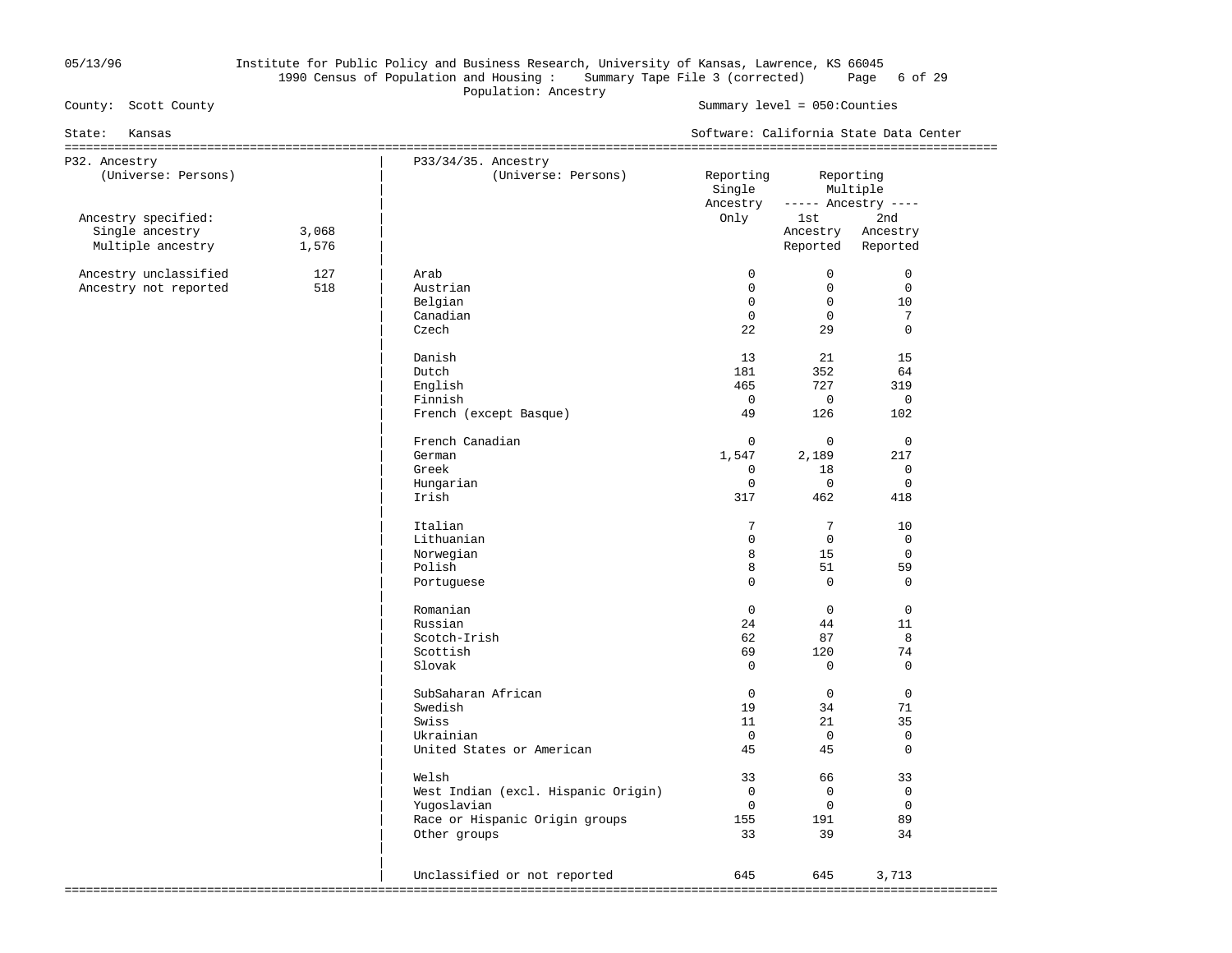#### 05/13/96 Institute for Public Policy and Business Research, University of Kansas, Lawrence, KS 66045 1990 Census of Population and Housing : Summary Tape File 3 (corrected) Page 6 of 29 Population: Ancestry<br>
County: Scott County<br>
County: Scott County

Summary level =  $050$ : Counties

| Kansas<br>State:                                            |                |                                                                                                               |                                                                 |                                                                | Software: California State Data Center                   |
|-------------------------------------------------------------|----------------|---------------------------------------------------------------------------------------------------------------|-----------------------------------------------------------------|----------------------------------------------------------------|----------------------------------------------------------|
| P32. Ancestry<br>(Universe: Persons)                        |                | P33/34/35. Ancestry<br>(Universe: Persons)                                                                    | Reporting<br>Single                                             | Reporting                                                      | Multiple                                                 |
| Ancestry specified:<br>Single ancestry<br>Multiple ancestry | 3,068<br>1,576 |                                                                                                               | Ancestry<br>Only                                                | lst<br>Ancestry<br>Reported                                    | $---$ Ancestry $---$<br>2nd<br>Ancestry<br>Reported      |
| Ancestry unclassified<br>Ancestry not reported              | 127<br>518     | Arab<br>Austrian<br>Belgian<br>Canadian<br>Czech<br>Danish                                                    | $\Omega$<br>$\mathbf{0}$<br>$\mathbf 0$<br>$\Omega$<br>22<br>13 | $\Omega$<br>$\mathbf 0$<br>$\mathbf 0$<br>$\Omega$<br>29<br>21 | $\Omega$<br>$\mathsf 0$<br>10<br>7<br>$\Omega$<br>15     |
|                                                             |                | Dutch<br>English<br>Finnish<br>French (except Basque)                                                         | 181<br>465<br>$\mathbf 0$<br>49                                 | 352<br>727<br>$\mathbf 0$<br>126                               | 64<br>319<br>$\overline{0}$<br>102                       |
|                                                             |                | French Canadian<br>German<br>Greek<br>Hungarian<br>Irish                                                      | $\Omega$<br>1,547<br>0<br>$\mathbf 0$<br>317                    | $\Omega$<br>2,189<br>18<br>$\mathbf 0$<br>462                  | $\overline{0}$<br>217<br>0<br>$\mathbf 0$<br>418         |
|                                                             |                | Italian<br>Lithuanian<br>Norwegian<br>Polish<br>Portuguese                                                    | 7<br>$\Omega$<br>8<br>8<br>$\Omega$                             | $7\phantom{.0}$<br>$\Omega$<br>15<br>51<br>$\mathbf 0$         | 10<br>$\mathbf 0$<br>$\mathbf 0$<br>59<br>$\overline{0}$ |
|                                                             |                | Romanian<br>Russian<br>Scotch-Irish<br>Scottish<br>Slovak                                                     | $\mathbf 0$<br>24<br>62<br>69<br>$\mathbf 0$                    | $\mathbf 0$<br>44<br>87<br>120<br>$\mathbf 0$                  | $\mathbf 0$<br>11<br>8<br>74<br>$\Omega$                 |
|                                                             |                | SubSaharan African<br>Swedish<br>Swiss<br>Ukrainian<br>United States or American                              | $\mathbf{0}$<br>19<br>11<br>$\overline{0}$<br>45                | $\Omega$<br>34<br>21<br>$\overline{0}$<br>45                   | $\Omega$<br>71<br>35<br>$\overline{0}$<br>$\Omega$       |
|                                                             |                | Welsh<br>West Indian (excl. Hispanic Origin)<br>Yugoslavian<br>Race or Hispanic Origin groups<br>Other groups | 33<br>$\overline{0}$<br>$\overline{0}$<br>155<br>33             | 66<br>$\Omega$<br>$\overline{0}$<br>191<br>39                  | 33<br>$\overline{0}$<br>$\mathbf 0$<br>89<br>34          |
|                                                             |                | Unclassified or not reported                                                                                  | 645                                                             | 645                                                            | 3,713                                                    |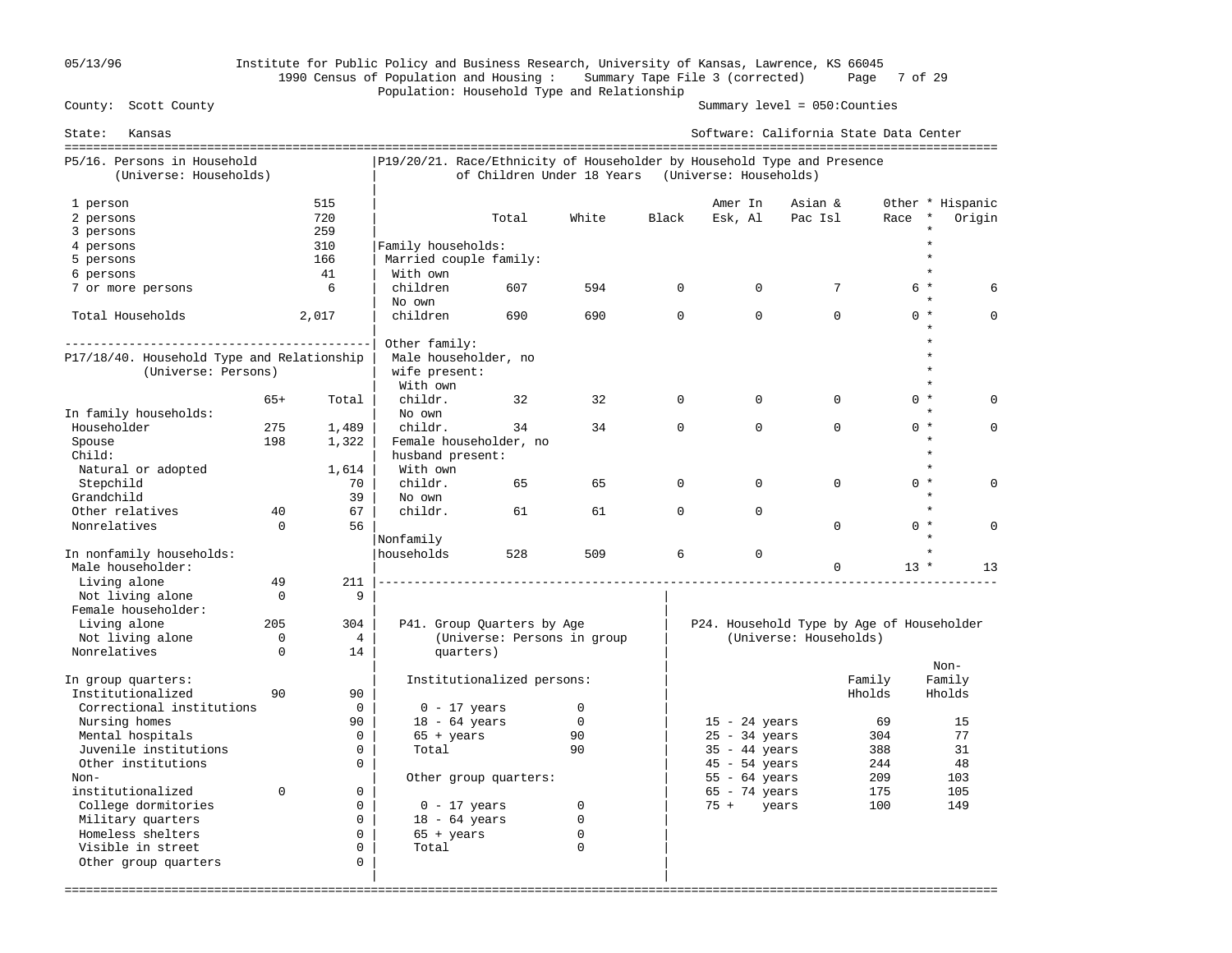## 05/13/96 Institute for Public Policy and Business Research, University of Kansas, Lawrence, KS 66045 1990 Census of Population and Housing : Summary Tape File 3 (corrected) Page 7 of 29 Population: Household Type and Relationship<br>County: Scott County

Summary level =  $050$ : Counties

| State:<br>Kansas                                      |             |                 |                                                                         |                             |              |             | Software: California State Data Center    |                        |        |                  |          |
|-------------------------------------------------------|-------------|-----------------|-------------------------------------------------------------------------|-----------------------------|--------------|-------------|-------------------------------------------|------------------------|--------|------------------|----------|
| P5/16. Persons in Household<br>(Universe: Households) |             |                 | P19/20/21. Race/Ethnicity of Householder by Household Type and Presence | of Children Under 18 Years  |              |             | (Universe: Households)                    |                        |        |                  |          |
| 1 person                                              |             | 515             |                                                                         |                             |              |             | Amer In                                   | Asian &                |        | Other * Hispanic |          |
| 2 persons                                             |             | 720             |                                                                         | Total                       | White        | Black       | Esk, Al                                   | Pac Isl                | Race * |                  | Origin   |
| 3 persons                                             |             | 259             |                                                                         |                             |              |             |                                           |                        |        |                  |          |
| 4 persons                                             |             | 310             | Family households:                                                      |                             |              |             |                                           |                        |        | $\star$          |          |
| 5 persons                                             |             | 166             | Married couple family:                                                  |                             |              |             |                                           |                        |        | $\star$          |          |
| 6 persons                                             |             | 41              | With own                                                                |                             |              |             |                                           |                        |        |                  |          |
| 7 or more persons                                     |             | 6               | children                                                                | 607                         | 594          | $\Omega$    | $\Omega$                                  | 7                      |        | $6*$             | 6        |
|                                                       |             |                 | No own                                                                  |                             |              |             |                                           |                        |        |                  |          |
| Total Households                                      |             | 2,017           | children                                                                | 690                         | 690          | $\Omega$    | $\Omega$                                  | $\Omega$               |        | $0 *$            | $\Omega$ |
|                                                       |             |                 | Other family:                                                           |                             |              |             |                                           |                        |        | $\star$          |          |
| P17/18/40. Household Type and Relationship            |             |                 | Male householder, no                                                    |                             |              |             |                                           |                        |        |                  |          |
| (Universe: Persons)                                   |             |                 | wife present:                                                           |                             |              |             |                                           |                        |        |                  |          |
|                                                       |             |                 | With own                                                                |                             |              |             |                                           |                        |        |                  |          |
|                                                       | $65+$       | Total           | childr.                                                                 | 32                          | 32           | $\mathbf 0$ | $\Omega$                                  | $\mathbf 0$            |        | $0 *$            | $\Omega$ |
| In family households:                                 |             |                 | No own                                                                  |                             |              |             |                                           |                        |        |                  |          |
| Householder                                           | 275         | 1,489           | childr.                                                                 | 34                          | 34           | $\mathbf 0$ | $\mathbf 0$                               | $\Omega$               |        | $0 *$            | $\Omega$ |
| Spouse                                                | 198         | 1,322           | Female householder, no                                                  |                             |              |             |                                           |                        |        | $\star$          |          |
| Child:                                                |             |                 | husband present:                                                        |                             |              |             |                                           |                        |        | $\star$          |          |
| Natural or adopted                                    |             | 1,614           | With own                                                                |                             |              |             |                                           |                        |        | $\star$          |          |
| Stepchild                                             |             | 70              | childr.                                                                 | 65                          | 65           | $\mathbf 0$ | $\Omega$                                  | $\Omega$               |        | $0 *$            | $\cap$   |
| Grandchild                                            |             | 39              | No own                                                                  |                             |              |             |                                           |                        |        | $\star$          |          |
| Other relatives                                       | 40          | 67              | childr.                                                                 | 61                          | 61           | $\Omega$    | $\Omega$                                  |                        |        | $\star$          |          |
| Nonrelatives                                          | $\Omega$    | 56              |                                                                         |                             |              |             |                                           | $\Omega$               |        | $0 *$            | $\Omega$ |
|                                                       |             |                 | Nonfamily                                                               |                             |              |             |                                           |                        |        |                  |          |
| In nonfamily households:<br>Male householder:         |             |                 | households                                                              | 528                         | 509          | 6           | $\mathbf{0}$                              | $\Omega$               | $13 *$ |                  | 13       |
| Living alone                                          | 49          | 211             |                                                                         |                             |              |             |                                           |                        |        |                  |          |
| Not living alone                                      | $\mathbf 0$ | 9               |                                                                         |                             |              |             |                                           |                        |        |                  |          |
| Female householder:                                   |             |                 |                                                                         |                             |              |             |                                           |                        |        |                  |          |
| Living alone                                          | 205         | 304             |                                                                         | P41. Group Quarters by Age  |              |             | P24. Household Type by Age of Householder |                        |        |                  |          |
| Not living alone                                      | $\mathbf 0$ | $4\overline{ }$ |                                                                         | (Universe: Persons in group |              |             |                                           | (Universe: Households) |        |                  |          |
| Nonrelatives                                          | $\Omega$    | 14              | quarters)                                                               |                             |              |             |                                           |                        |        |                  |          |
|                                                       |             |                 |                                                                         |                             |              |             |                                           |                        |        | Non-             |          |
| In group quarters:                                    |             |                 |                                                                         | Institutionalized persons:  |              |             |                                           |                        | Family | Family           |          |
| Institutionalized                                     | 90          | 90              |                                                                         |                             |              |             |                                           |                        | Hholds | Hholds           |          |
| Correctional institutions                             |             | $\mathbf 0$     | $0 - 17$ years                                                          |                             | $\mathbf{0}$ |             |                                           |                        |        |                  |          |
| Nursing homes                                         |             | 90              | $18 - 64$ years                                                         |                             | $\Omega$     |             | $15 - 24$ years                           |                        | 69     | 15               |          |
| Mental hospitals                                      |             | $\Omega$        | $65 + \text{years}$                                                     |                             | 90           |             | $25 - 34$ years                           |                        | 304    | 77               |          |
| Juvenile institutions                                 |             | $\mathbf 0$     | Total                                                                   |                             | 90           |             | $35 - 44$ years                           |                        | 388    | 31               |          |
| Other institutions                                    |             | $\Omega$        |                                                                         |                             |              |             | $45 - 54$ years                           |                        | 244    | 48               |          |
| Non-                                                  |             |                 |                                                                         | Other group quarters:       |              |             | $55 - 64$ years                           |                        | 209    | 103              |          |
| institutionalized                                     | $\Omega$    | $\Omega$        |                                                                         |                             |              |             | $65 - 74$ years                           |                        | 175    | 105              |          |
| College dormitories                                   |             | $\Omega$        | $0 - 17$ years                                                          |                             | $\mathbf 0$  |             | $75 + \text{years}$                       |                        | 100    | 149              |          |
| Military quarters                                     |             | $\Omega$        | $18 - 64$ years                                                         |                             | $\mathbf 0$  |             |                                           |                        |        |                  |          |
| Homeless shelters                                     |             | $\Omega$        | $65 + \text{years}$                                                     |                             | $\mathbf 0$  |             |                                           |                        |        |                  |          |
| Visible in street                                     |             | $\mathbf 0$     | Total                                                                   |                             | $\mathbf 0$  |             |                                           |                        |        |                  |          |
| Other group quarters                                  |             | $\mathbf 0$     |                                                                         |                             |              |             |                                           |                        |        |                  |          |
|                                                       |             |                 |                                                                         |                             |              |             |                                           |                        |        |                  |          |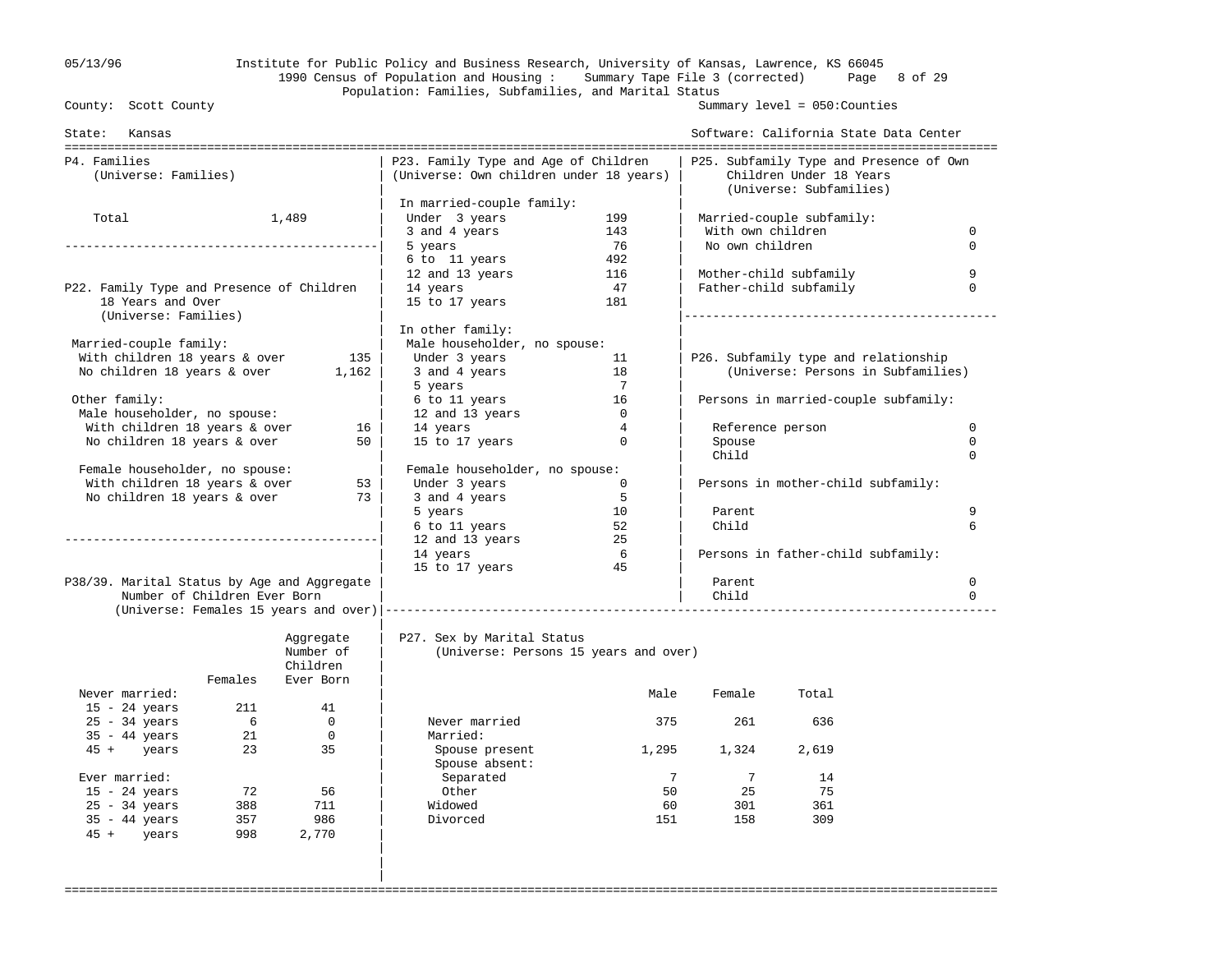## 05/13/96 Institute for Public Policy and Business Research, University of Kansas, Lawrence, KS 66045 1990 Census of Population and Housing : Summary Tape File 3 (corrected) Page 8 of 29 Population: Families, Subfamilies, and Marital Status<br>County: Scott County

|

Summary level =  $050$ : Counties

| State: Kansas                               |         |                |                                                                                 |                |                   | Software: California State Data Center                                                        |             |
|---------------------------------------------|---------|----------------|---------------------------------------------------------------------------------|----------------|-------------------|-----------------------------------------------------------------------------------------------|-------------|
| P4. Families<br>(Universe: Families)        |         |                | P23. Family Type and Age of Children<br>(Universe: Own children under 18 years) |                |                   | P25. Subfamily Type and Presence of Own<br>Children Under 18 Years<br>(Universe: Subfamilies) |             |
|                                             |         |                | In married-couple family:                                                       |                |                   |                                                                                               |             |
| Total                                       |         | 1,489          | Under 3 years                                                                   | 199            |                   | Married-couple subfamily:                                                                     |             |
|                                             |         |                | 3 and 4 years                                                                   | 143            | With own children |                                                                                               | $\mathbf 0$ |
|                                             |         |                | 5 years                                                                         | 76             | No own children   |                                                                                               | $\Omega$    |
|                                             |         |                | 6 to 11 years                                                                   | 492            |                   |                                                                                               |             |
|                                             |         |                | 12 and 13 years                                                                 | 116            |                   | Mother-child subfamily                                                                        | 9           |
| P22. Family Type and Presence of Children   |         |                | 14 years                                                                        | 47             |                   | Father-child subfamily                                                                        | $\Omega$    |
| 18 Years and Over<br>(Universe: Families)   |         |                | 15 to 17 years                                                                  | 181            |                   |                                                                                               |             |
|                                             |         |                | In other family:                                                                |                |                   |                                                                                               |             |
| Married-couple family:                      |         |                | Male householder, no spouse:                                                    |                |                   |                                                                                               |             |
| With children 18 years & over               |         | 135            | Under 3 years                                                                   | 11             |                   | P26. Subfamily type and relationship                                                          |             |
| No children 18 years & over                 |         | 1,162          | 3 and 4 years                                                                   | 18             |                   | (Universe: Persons in Subfamilies)                                                            |             |
|                                             |         |                | 5 years                                                                         | $\overline{7}$ |                   |                                                                                               |             |
| Other family:                               |         |                | 6 to 11 years                                                                   | 16             |                   | Persons in married-couple subfamily:                                                          |             |
| Male householder, no spouse:                |         |                | 12 and 13 years                                                                 | $\overline{0}$ |                   |                                                                                               |             |
| With children 18 years & over               |         | 16             | 14 years                                                                        | $\overline{4}$ | Reference person  |                                                                                               | $\mathbf 0$ |
| No children 18 years & over                 |         | 50             | 15 to 17 years                                                                  | $\Omega$       | Spouse            |                                                                                               | $\Omega$    |
|                                             |         |                |                                                                                 |                | Child             |                                                                                               | $\Omega$    |
| Female householder, no spouse:              |         |                | Female householder, no spouse:                                                  |                |                   |                                                                                               |             |
| With children 18 years & over               |         | 53             | Under 3 years                                                                   | $\overline{0}$ |                   | Persons in mother-child subfamily:                                                            |             |
| No children 18 years & over                 |         | 73             | 3 and 4 years                                                                   | 5              |                   |                                                                                               |             |
|                                             |         |                | 5 years                                                                         | 10             | Parent            |                                                                                               | 9           |
|                                             |         |                | 6 to 11 years                                                                   | 52             | Child             |                                                                                               | 6           |
|                                             |         |                | 12 and 13 years                                                                 | 25             |                   |                                                                                               |             |
|                                             |         |                | 14 years                                                                        | - 6            |                   | Persons in father-child subfamily:                                                            |             |
|                                             |         |                | 15 to 17 years                                                                  | 45             |                   |                                                                                               |             |
| P38/39. Marital Status by Age and Aggregate |         |                |                                                                                 |                | Parent            |                                                                                               | $\mathbf 0$ |
| Number of Children Ever Born                |         |                |                                                                                 |                | Child             |                                                                                               | $\Omega$    |
|                                             |         |                | (Universe: Females 15 years and over)  ---------------------------------        |                |                   |                                                                                               |             |
|                                             |         | Aggregate      | P27. Sex by Marital Status                                                      |                |                   |                                                                                               |             |
|                                             |         | Number of      | (Universe: Persons 15 years and over)                                           |                |                   |                                                                                               |             |
|                                             |         | Children       |                                                                                 |                |                   |                                                                                               |             |
|                                             | Females | Ever Born      |                                                                                 |                |                   |                                                                                               |             |
| Never married:                              |         |                |                                                                                 | Male           | Female            | Total                                                                                         |             |
| $15 - 24$ years                             | 211     | 41             |                                                                                 |                |                   |                                                                                               |             |
| $25 - 34$ years                             | 6       | $\overline{0}$ | Never married                                                                   | 375            | 261               | 636                                                                                           |             |
| $35 - 44$ years                             | 21      | $\overline{0}$ | Married:                                                                        |                |                   |                                                                                               |             |
| 45 + years                                  | 23      | 35             | Spouse present                                                                  | 1,295          | 1,324             | 2,619                                                                                         |             |
|                                             |         |                | Spouse absent:                                                                  |                |                   |                                                                                               |             |
| Ever married:                               |         |                | Separated                                                                       | 7              | $7\overline{ }$   | 14                                                                                            |             |
| $15 - 24$ years                             | 72      | 56             | Other                                                                           | 50             | 25                | 75                                                                                            |             |
| $25 - 34$ years                             | 388     | 711            | Widowed                                                                         | 60             | 301               | 361                                                                                           |             |
| $35 - 44$ years                             | 357     | 986            | Divorced                                                                        | 151            | 158               | 309                                                                                           |             |
| 45 + years                                  | 998     | 2,770          |                                                                                 |                |                   |                                                                                               |             |
|                                             |         |                |                                                                                 |                |                   |                                                                                               |             |
|                                             |         |                |                                                                                 |                |                   |                                                                                               |             |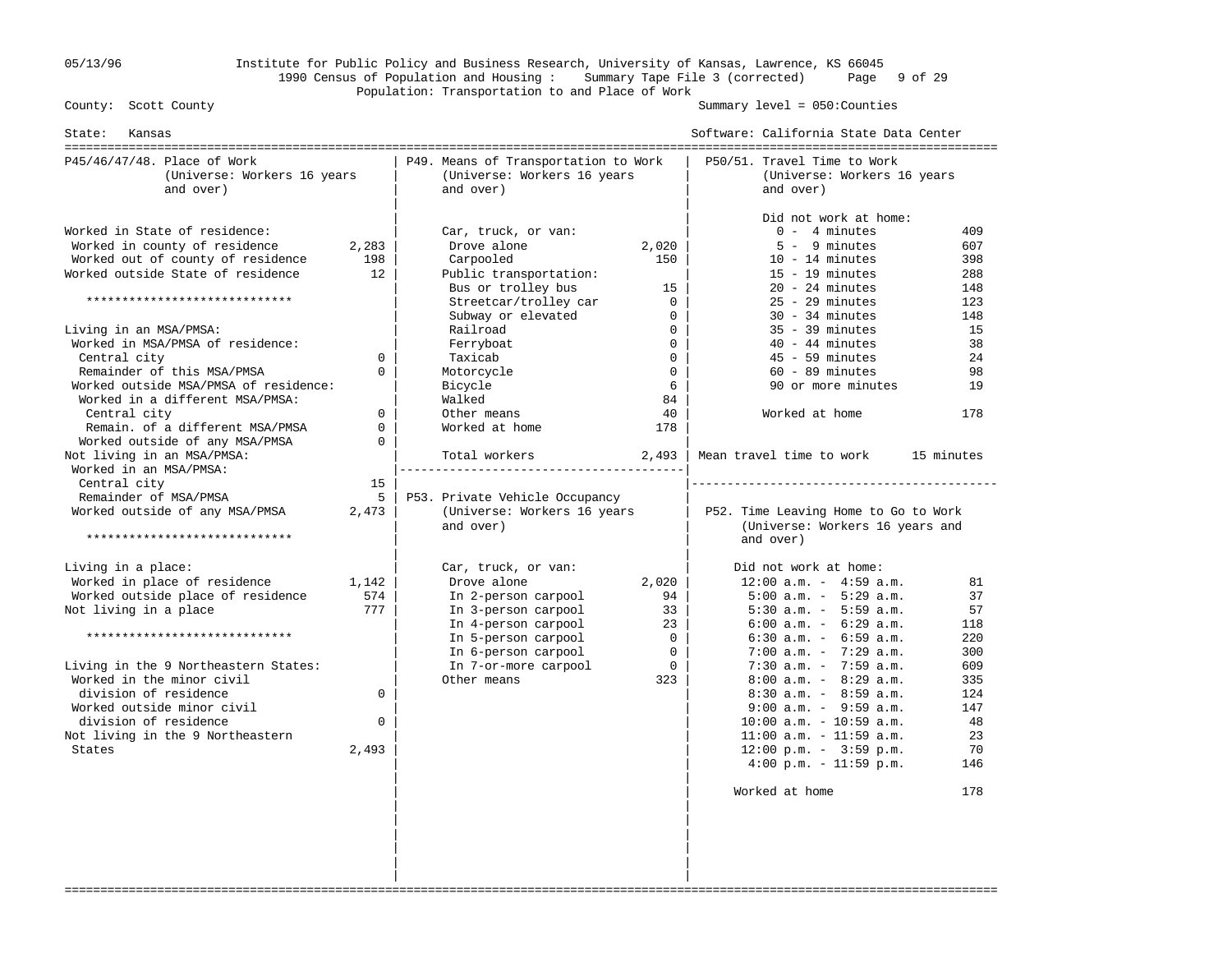## 05/13/96 Institute for Public Policy and Business Research, University of Kansas, Lawrence, KS 66045 1990 Census of Population and Housing : Summary Tape File 3 (corrected) Page 9 of 29 Population: Transportation to and Place of Work

Summary level =  $050$ : Counties

| State: Kansas                                                                                                                                                                                                                                                                                                                                                                                                                                          |                                                                            |                                                                                                                                                                                                                                                        |                                                                                                                                   | Software: California State Data Center                                                                                                                                                                                                                                                                                                                                                                                                                                                         |                                                                                                 |
|--------------------------------------------------------------------------------------------------------------------------------------------------------------------------------------------------------------------------------------------------------------------------------------------------------------------------------------------------------------------------------------------------------------------------------------------------------|----------------------------------------------------------------------------|--------------------------------------------------------------------------------------------------------------------------------------------------------------------------------------------------------------------------------------------------------|-----------------------------------------------------------------------------------------------------------------------------------|------------------------------------------------------------------------------------------------------------------------------------------------------------------------------------------------------------------------------------------------------------------------------------------------------------------------------------------------------------------------------------------------------------------------------------------------------------------------------------------------|-------------------------------------------------------------------------------------------------|
| P45/46/47/48. Place of Work<br>(Universe: Workers 16 years<br>and over)                                                                                                                                                                                                                                                                                                                                                                                |                                                                            | P49. Means of Transportation to Work<br>(Universe: Workers 16 years<br>and over)                                                                                                                                                                       |                                                                                                                                   | P50/51. Travel Time to Work<br>(Universe: Workers 16 years<br>and over)                                                                                                                                                                                                                                                                                                                                                                                                                        |                                                                                                 |
| Worked in State of residence:<br>Worked in county of residence<br>Worked out of county of residence<br>Worked outside State of residence<br>*****************************<br>Living in an MSA/PMSA:<br>Worked in MSA/PMSA of residence:<br>Central city<br>Remainder of this MSA/PMSA<br>Worked outside MSA/PMSA of residence:<br>Worked in a different MSA/PMSA:<br>Central city<br>Remain. of a different MSA/PMSA<br>Worked outside of any MSA/PMSA | 2,283<br>198<br>12<br>0<br>$\Omega$<br>$\Omega$<br>$\mathbf 0$<br>$\Omega$ | Car, truck, or van:<br>Drove alone<br>Carpooled<br>Public transportation:<br>Bus or trolley bus<br>Streetcar/trolley car<br>Subway or elevated<br>Railroad<br>Ferryboat<br>Taxicab<br>Motorcycle<br>Bicycle<br>Walked<br>Other means<br>Worked at home | 2,020<br>150<br>15<br>$\mathbf 0$<br>$\mathbf 0$<br>$\mathbf 0$<br>$\Omega$<br>$\mathbf 0$<br>$\mathbf 0$<br>6<br>84<br>40<br>178 | Did not work at home:<br>$0 - 4$ minutes<br>$5 - 9$ minutes<br>$10 - 14$ minutes<br>$15 - 19$ minutes<br>$20 - 24$ minutes<br>$25 - 29$ minutes<br>$30 - 34$ minutes<br>$35 - 39$ minutes<br>$40 - 44$ minutes<br>$45 - 59$ minutes<br>$60 - 89$ minutes<br>90 or more minutes<br>Worked at home                                                                                                                                                                                               | 409<br>607<br>398<br>288<br>148<br>123<br>148<br>15<br>38<br>24<br>98<br>19<br>178              |
| Not living in an MSA/PMSA:<br>Worked in an MSA/PMSA:<br>Central city<br>Remainder of MSA/PMSA<br>Worked outside of any MSA/PMSA<br>*****************************                                                                                                                                                                                                                                                                                       | 15<br>5<br>2,473                                                           | Total workers<br>-------------------------------------<br>P53. Private Vehicle Occupancy<br>(Universe: Workers 16 years<br>and over)                                                                                                                   | 2,493                                                                                                                             | Mean travel time to work<br>P52. Time Leaving Home to Go to Work<br>(Universe: Workers 16 years and<br>and over)                                                                                                                                                                                                                                                                                                                                                                               | 15 minutes                                                                                      |
| Living in a place:<br>Worked in place of residence<br>Worked outside place of residence<br>Not living in a place<br>*****************************<br>Living in the 9 Northeastern States:<br>Worked in the minor civil<br>division of residence<br>Worked outside minor civil<br>division of residence<br>Not living in the 9 Northeastern<br>States                                                                                                   | 1,142<br>574<br>777<br>$\Omega$<br>$\Omega$<br>2,493                       | Car, truck, or van:<br>Drove alone<br>In 2-person carpool<br>In 3-person carpool<br>In 4-person carpool<br>In 5-person carpool<br>In 6-person carpool<br>In 7-or-more carpool<br>Other means                                                           | 2,020<br>94<br>33<br>23<br>$\mathbf 0$<br>$\Omega$<br>$\Omega$<br>323                                                             | Did not work at home:<br>$12:00$ a.m. - $4:59$ a.m.<br>$5:00$ a.m. - $5:29$ a.m.<br>$5:30$ a.m. - $5:59$ a.m.<br>$6:00$ a.m. - $6:29$ a.m.<br>$6:30$ a.m. - $6:59$ a.m.<br>$7:00$ a.m. - $7:29$ a.m.<br>7:30 a.m. - $7:59$ a.m.<br>$8:00$ a.m. - $8:29$ a.m.<br>$8:30$ a.m. - $8:59$ a.m.<br>$9:00$ a.m. - $9:59$ a.m.<br>$10:00$ a.m. - $10:59$ a.m.<br>$11:00$ a.m. - $11:59$ a.m.<br>$12:00 \text{ p.m.} - 3:59 \text{ p.m.}$<br>$4:00 \text{ p.m.} - 11:59 \text{ p.m.}$<br>Worked at home | 81<br>37<br>57<br>118<br>220<br>300<br>609<br>335<br>124<br>147<br>48<br>23<br>70<br>146<br>178 |
|                                                                                                                                                                                                                                                                                                                                                                                                                                                        |                                                                            |                                                                                                                                                                                                                                                        |                                                                                                                                   |                                                                                                                                                                                                                                                                                                                                                                                                                                                                                                |                                                                                                 |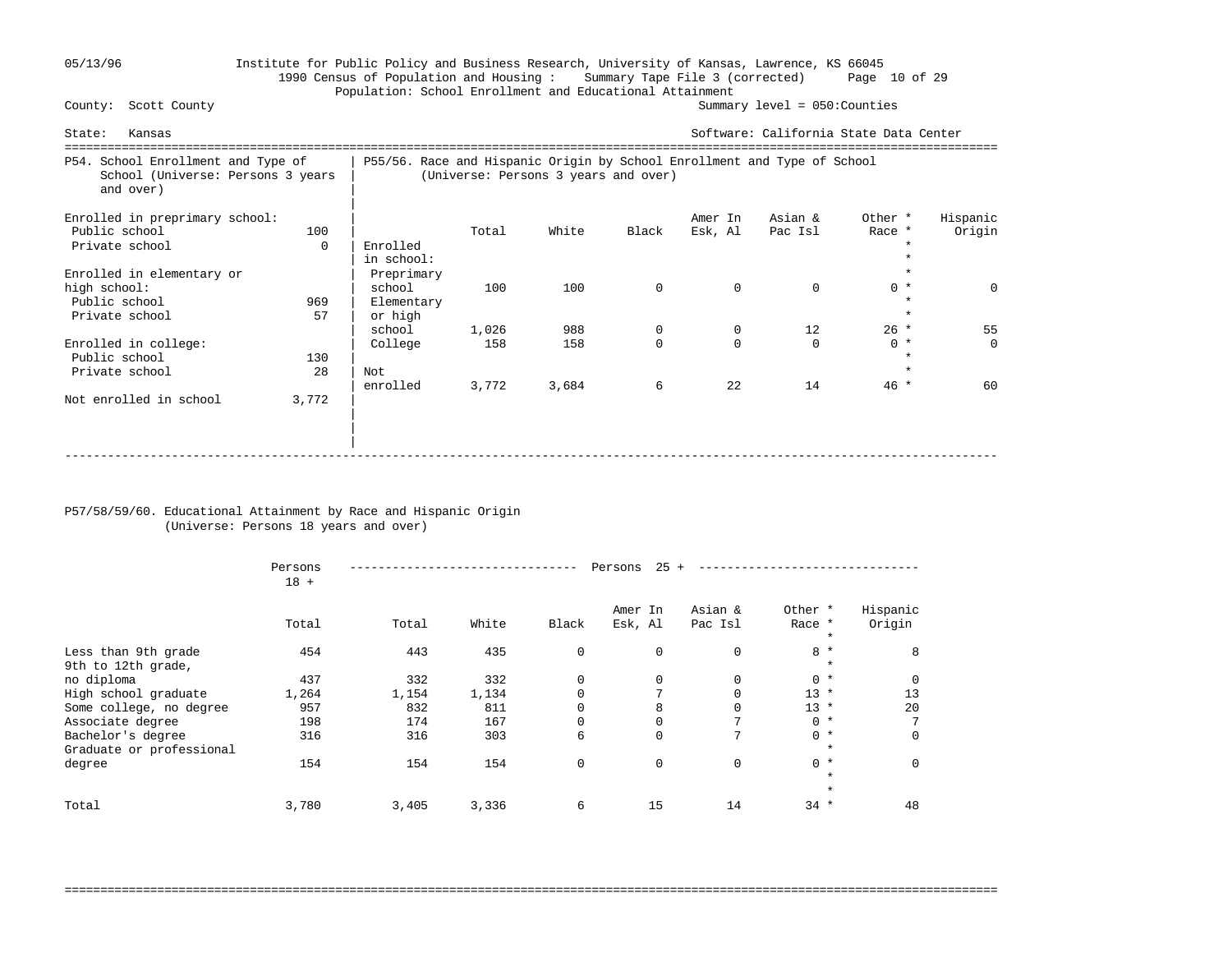## 05/13/96 Institute for Public Policy and Business Research, University of Kansas, Lawrence, KS 66045 1990 Census of Population and Housing : Summary Tape File 3 (corrected) Page 10 of 29 Population: School Enrollment and Educational Attainment<br>County: Scott County (Summar

Summary level =  $050$ : Counties

| Kansas<br>State:                                                                     |                 |                                                                          |                       |                                      |                    |                                 | Software: California State Data Center |                           |                      |
|--------------------------------------------------------------------------------------|-----------------|--------------------------------------------------------------------------|-----------------------|--------------------------------------|--------------------|---------------------------------|----------------------------------------|---------------------------|----------------------|
| P54. School Enrollment and Type of<br>School (Universe: Persons 3 years<br>and over) |                 | P55/56. Race and Hispanic Origin by School Enrollment and Type of School |                       | (Universe: Persons 3 years and over) |                    |                                 |                                        |                           |                      |
| Enrolled in preprimary school:<br>Public school<br>Private school                    | 100<br>$\Omega$ | Enrolled<br>in school:                                                   | Total                 | White                                | Black              | Amer In<br>Esk, Al              | Asian &<br>Pac Isl                     | Other *<br>Race *         | Hispanic<br>Origin   |
| Enrolled in elementary or<br>high school:<br>Public school<br>Private school         | 969<br>57       | Preprimary<br>school<br>Elementary<br>or high                            | 100                   | 100                                  | $\mathbf 0$        | $\Omega$                        | $\Omega$                               | $0 *$<br>$\star$          | $\Omega$             |
| Enrolled in college:<br>Public school<br>Private school                              | 130<br>28       | school<br>College<br>Not<br>enrolled                                     | 1,026<br>158<br>3,772 | 988<br>158<br>3,684                  | 0<br>$\Omega$<br>6 | $\mathbf 0$<br>$\Omega$<br>2.2. | 12<br>$\Omega$<br>14                   | $26 *$<br>$0 *$<br>$46 *$ | 55<br>$\Omega$<br>60 |
| Not enrolled in school                                                               | 3,772           |                                                                          |                       |                                      |                    |                                 |                                        |                           |                      |

#### P57/58/59/60. Educational Attainment by Race and Hispanic Origin (Universe: Persons 18 years and over)

|                                               | Persons<br>$18 +$ |       |       |             | 25<br>Persons      |                    |                              |                    |
|-----------------------------------------------|-------------------|-------|-------|-------------|--------------------|--------------------|------------------------------|--------------------|
|                                               | Total             | Total | White | Black       | Amer In<br>Esk, Al | Asian &<br>Pac Isl | Other *<br>Race *<br>$\star$ | Hispanic<br>Origin |
| Less than 9th grade<br>9th to 12th grade,     | 454               | 443   | 435   | $\mathbf 0$ | $\Omega$           | 0                  | $8 *$<br>$\star$             | 8                  |
| no diploma                                    | 437               | 332   | 332   | 0           | $\Omega$           | 0                  | $0 *$                        | $\Omega$           |
| High school graduate                          | 1,264             | 1,154 | 1,134 | $\Omega$    |                    | $\Omega$           | $13 *$                       | 13                 |
| Some college, no degree                       | 957               | 832   | 811   | $\Omega$    | 8                  | $\Omega$           | $13 *$                       | 20                 |
| Associate degree                              | 198               | 174   | 167   | $\mathbf 0$ |                    | $\mathbf{r}$       | $0 *$                        |                    |
| Bachelor's degree<br>Graduate or professional | 316               | 316   | 303   | 6           | $\Omega$           | 7                  | $0 *$<br>$\star$             | $\Omega$           |
| degree                                        | 154               | 154   | 154   | $\mathbf 0$ | $\mathbf 0$        | $\mathbf 0$        | $0 *$<br>$\star$             | $\Omega$           |
|                                               |                   |       |       |             |                    |                    | $\star$                      |                    |
| Total                                         | 3,780             | 3,405 | 3,336 | 6           | 15                 | 14                 | $34 *$                       | 48                 |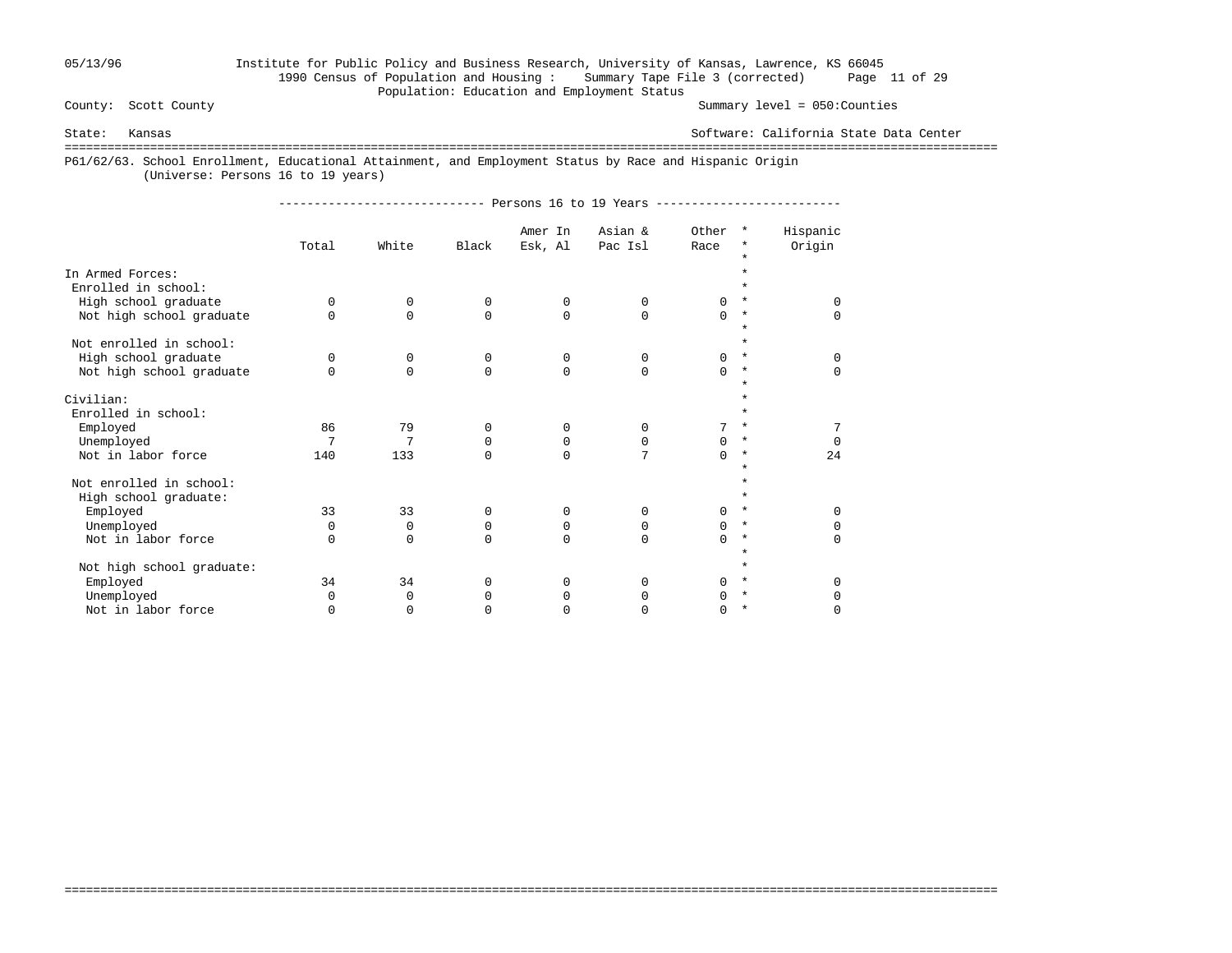## 05/13/96 Institute for Public Policy and Business Research, University of Kansas, Lawrence, KS 66045 1990 Census of Population and Housing : Summary Tape File 3 (corrected) Page 11 of 29 Population: Education and Employment Status

Summary level =  $050$ : Counties

State: Kansas Software: California State Data Center

===================================================================================================================================

===================================================================================================================================

P61/62/63. School Enrollment, Educational Attainment, and Employment Status by Race and Hispanic Origin

(Universe: Persons 16 to 19 years)

----------------------------- Persons 16 to 19 Years --------------------------

|                                         | Total    | White       | Black       | Amer In<br>Esk, Al | Asian &<br>Pac Isl | Other<br>Race | $\star$<br>*        | Hispanic<br>Origin |
|-----------------------------------------|----------|-------------|-------------|--------------------|--------------------|---------------|---------------------|--------------------|
|                                         |          |             |             |                    |                    |               | $\star$             |                    |
| In Armed Forces:<br>Enrolled in school: |          |             |             |                    |                    |               | ÷                   |                    |
| High school graduate                    | $\Omega$ | 0           | 0           | 0                  | 0                  | 0             | $\star$             | $\Omega$           |
| Not high school graduate                | $\Omega$ | $\Omega$    | $\mathbf 0$ | $\Omega$           | $\Omega$           | $\Omega$      | $^\star$<br>$\star$ | $\Omega$           |
| Not enrolled in school:                 |          |             |             |                    |                    |               | $\star$             |                    |
| High school graduate                    | $\Omega$ | 0           | 0           | 0                  | $\Omega$           | $\Omega$      | $\star$             | $\Omega$           |
| Not high school graduate                | $\Omega$ | $\Omega$    | $\Omega$    | $\Omega$           | $\Omega$           | $\Omega$      | $\ast$              | $\Omega$           |
|                                         |          |             |             |                    |                    |               | $\star$             |                    |
| Civilian:                               |          |             |             |                    |                    |               | ÷                   |                    |
| Enrolled in school:                     |          |             |             |                    |                    |               | $\star$             |                    |
| Employed                                | 86       | 79          | $\Omega$    | $\Omega$           | $\Omega$           | 7             | $\star$             |                    |
| Unemployed                              | 7        | 7           | 0           | 0                  | $\Omega$           | $\Omega$      | $\star$             | $\Omega$           |
| Not in labor force                      | 140      | 133         | $\Omega$    | $\Omega$           | 7                  | $\Omega$      | $\star$<br>$\star$  | 24                 |
| Not enrolled in school:                 |          |             |             |                    |                    |               | $\star$             |                    |
| High school graduate:                   |          |             |             |                    |                    |               | $\star$             |                    |
| Employed                                | 33       | 33          | 0           | 0                  | $\Omega$           | $\Omega$      | $^\star$            | $\Omega$           |
| Unemployed                              | $\Omega$ | $\mathbf 0$ | 0           | 0                  | 0                  | $\Omega$      | $\ast$              | $\Omega$           |
| Not in labor force                      | $\Omega$ | $\Omega$    | $\Omega$    | $\Omega$           | $\Omega$           | $\Omega$      | $\ast$              | $\Omega$           |
| Not high school graduate:               |          |             |             |                    |                    |               | $\star$<br>$\star$  |                    |
| Employed                                | 34       | 34          | $\Omega$    | $\Omega$           | $\Omega$           | $\cap$        | $\ast$              | $\Omega$           |
| Unemployed                              | $\Omega$ | 0           | $\Omega$    | $\Omega$           | 0                  | 0             | $\star$             | 0                  |
| Not in labor force                      | $\Omega$ | $\Omega$    | $\Omega$    | U                  | O                  | 0             | $\ast$              | $\Omega$           |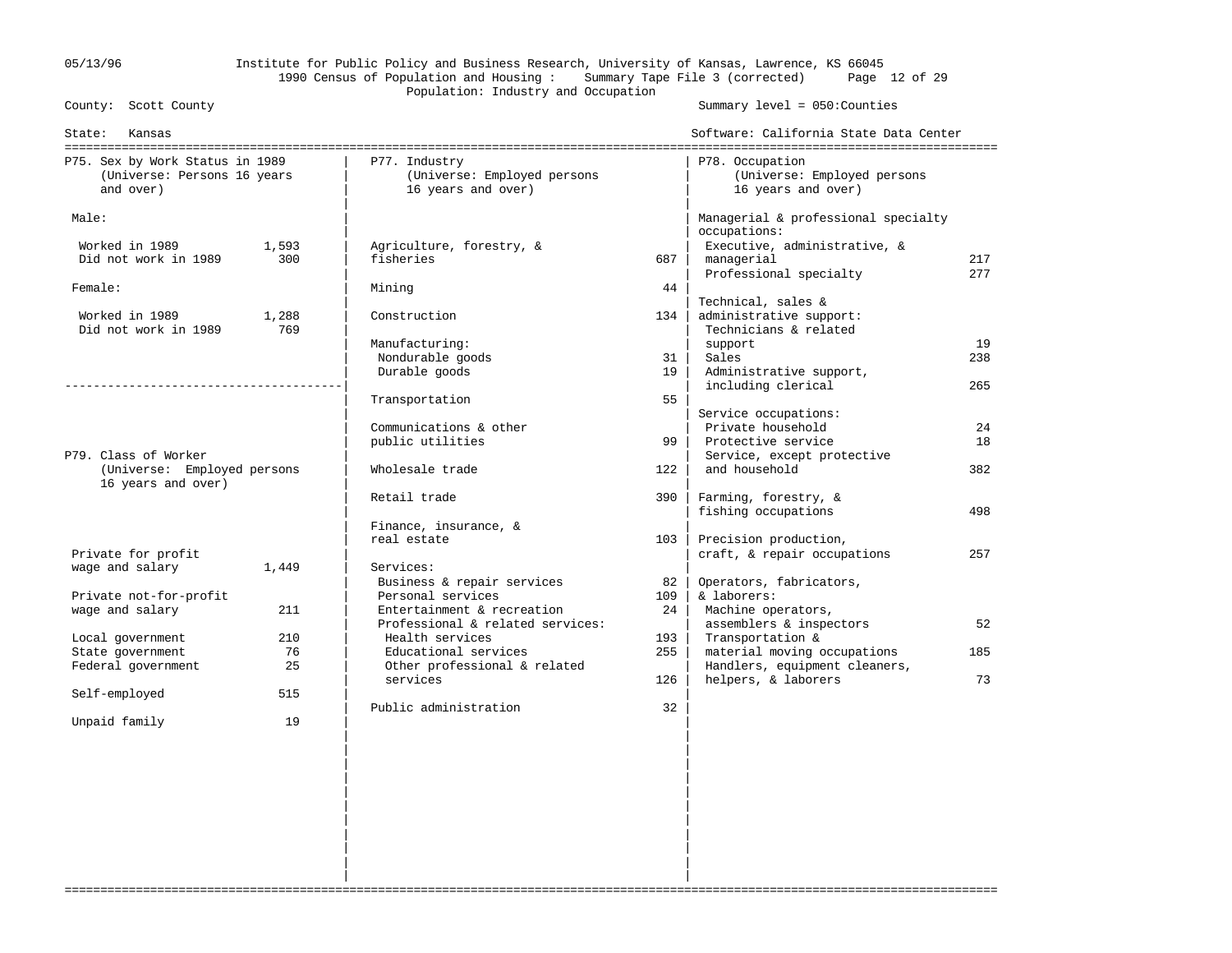## 05/13/96 Institute for Public Policy and Business Research, University of Kansas, Lawrence, KS 66045 1990 Census of Population and Housing : Summary Tape File 3 (corrected) Page 12 of 29 Population: Industry and Occupation<br>County: Scott County

Summary level =  $050$ : Counties

| State:<br>Kansas                |       |                                  |     | Software: California State Data Center |     |
|---------------------------------|-------|----------------------------------|-----|----------------------------------------|-----|
| P75. Sex by Work Status in 1989 |       | P77. Industry                    |     | P78. Occupation                        |     |
| (Universe: Persons 16 years     |       | (Universe: Employed persons      |     | (Universe: Employed persons            |     |
| and over)                       |       | 16 years and over)               |     | 16 years and over)                     |     |
| Male:                           |       |                                  |     | Managerial & professional specialty    |     |
|                                 |       |                                  |     | occupations:                           |     |
| Worked in 1989                  | 1,593 | Agriculture, forestry, &         |     | Executive, administrative, &           |     |
| Did not work in 1989            | 300   | fisheries                        | 687 | managerial                             | 217 |
|                                 |       |                                  |     | Professional specialty                 | 277 |
| Female:                         |       | Mining                           | 44  |                                        |     |
|                                 |       |                                  |     | Technical, sales &                     |     |
| Worked in 1989                  | 1,288 | Construction                     | 134 | administrative support:                |     |
| Did not work in 1989            | 769   |                                  |     | Technicians & related                  |     |
|                                 |       | Manufacturing:                   |     | support                                | 19  |
|                                 |       | Nondurable goods                 | 31  | Sales                                  | 238 |
|                                 |       | Durable goods                    | 19  | Administrative support,                |     |
|                                 |       |                                  |     | including clerical                     | 265 |
|                                 |       | Transportation                   | 55  |                                        |     |
|                                 |       |                                  |     | Service occupations:                   |     |
|                                 |       | Communications & other           |     | Private household                      | 24  |
|                                 |       | public utilities                 | 99  | Protective service                     | 18  |
| P79. Class of Worker            |       |                                  |     | Service, except protective             |     |
| (Universe: Employed persons     |       | Wholesale trade                  | 122 | and household                          | 382 |
| 16 years and over)              |       |                                  |     |                                        |     |
|                                 |       | Retail trade                     | 390 | Farming, forestry, &                   |     |
|                                 |       |                                  |     | fishing occupations                    | 498 |
|                                 |       | Finance, insurance, &            |     |                                        |     |
|                                 |       | real estate                      | 103 | Precision production,                  |     |
| Private for profit              |       |                                  |     | craft, & repair occupations            | 257 |
| wage and salary                 | 1,449 | Services:                        |     |                                        |     |
|                                 |       | Business & repair services       | 82  | Operators, fabricators,                |     |
| Private not-for-profit          |       | Personal services                | 109 | & laborers:                            |     |
| wage and salary                 | 211   | Entertainment & recreation       | 24  | Machine operators,                     |     |
|                                 |       | Professional & related services: |     | assemblers & inspectors                | 52  |
| Local government                | 210   | Health services                  | 193 | Transportation &                       |     |
| State government                | 76    | Educational services             | 255 | material moving occupations            | 185 |
| Federal government              | 25    | Other professional & related     |     | Handlers, equipment cleaners,          |     |
|                                 |       | services                         | 126 | helpers, & laborers                    | 73  |
| Self-employed                   | 515   |                                  |     |                                        |     |
|                                 |       | Public administration            | 32  |                                        |     |
| Unpaid family                   | 19    |                                  |     |                                        |     |
|                                 |       |                                  |     |                                        |     |
|                                 |       |                                  |     |                                        |     |
|                                 |       |                                  |     |                                        |     |
|                                 |       |                                  |     |                                        |     |
|                                 |       |                                  |     |                                        |     |
|                                 |       |                                  |     |                                        |     |
|                                 |       |                                  |     |                                        |     |
|                                 |       |                                  |     |                                        |     |
|                                 |       |                                  |     |                                        |     |
|                                 |       |                                  |     |                                        |     |
|                                 |       |                                  |     |                                        |     |

===================================================================================================================================

| |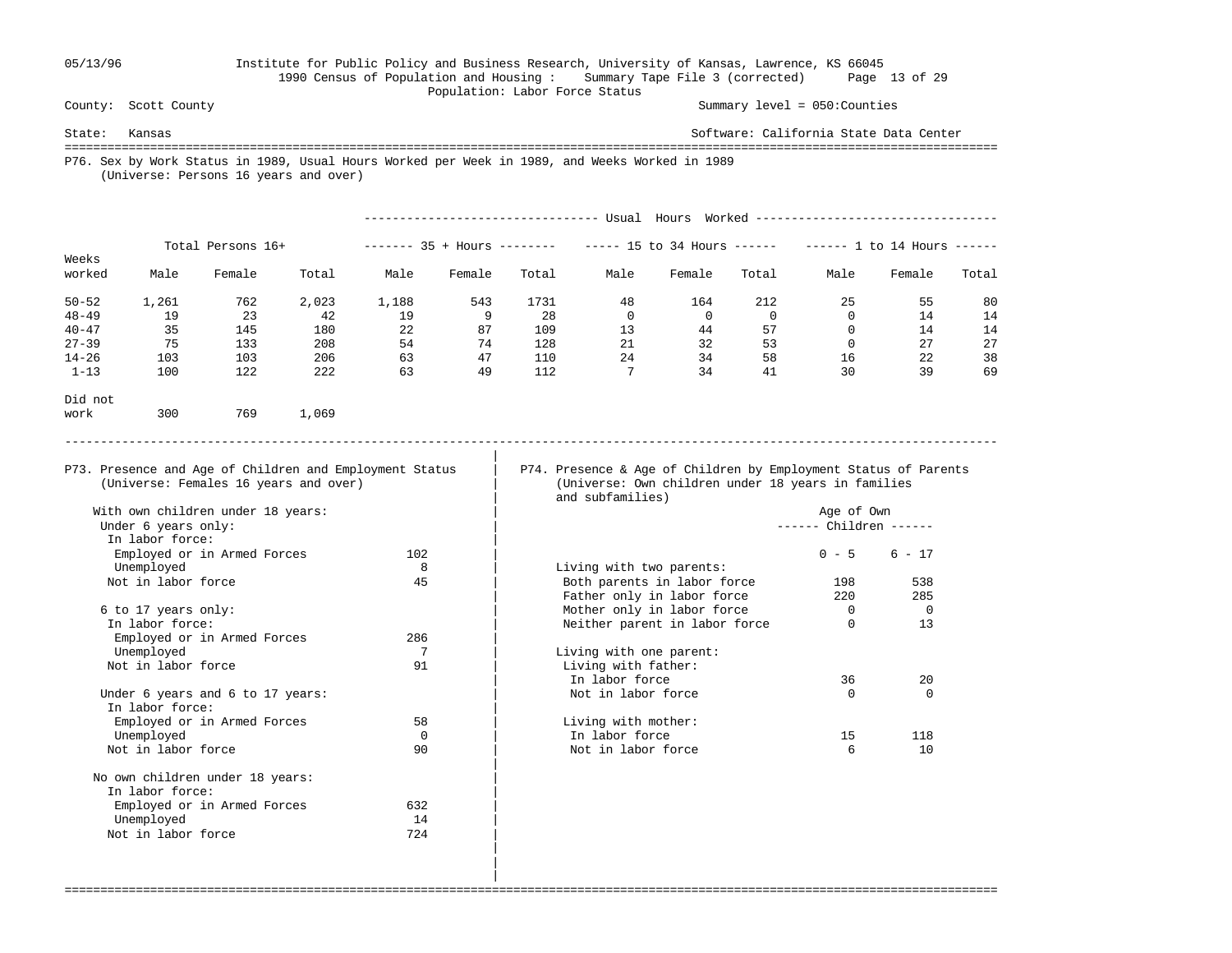#### 05/13/96 Institute for Public Policy and Business Research, University of Kansas, Lawrence, KS 66045 1990 Census of Population and Housing : Summary Tape File 3 (corrected) Page 13 of 29 Population: Labor Force Status<br>
County: Scott County

Summary level =  $050$ : Counties

State: Kansas Software: California State Data Center =================================================================================================================================== P76. Sex by Work Status in 1989, Usual Hours Worked per Week in 1989, and Weeks Worked in 1989 (Universe: Persons 16 years and over)

|           |       |                   |       |       |                         |       | Usual         | Hours                | Worked - |               |        |       |  |
|-----------|-------|-------------------|-------|-------|-------------------------|-------|---------------|----------------------|----------|---------------|--------|-------|--|
| Weeks     |       | Total Persons 16+ |       |       | 35 + Hours<br>--------- |       | $- - - - - -$ | 15 to 34 Hours $---$ |          | 1 to 14 Hours |        |       |  |
| worked    | Male  | Female            | Total | Male  | Female                  | Total | Male          | Female               | Total    | Male          | Female | Total |  |
| $50 - 52$ | 1,261 | 762               | 2,023 | 1,188 | 543                     | 1731  | 48            | 164                  | 212      | 25            | 55     | 80    |  |
| $48 - 49$ | 19    | 23                | 42    | 19    | 9                       | 28    | 0             | $\mathbf{0}$         |          |               | 14     | 14    |  |
| $40 - 47$ | 35    | 145               | 180   | 22    | 87                      | 109   | 13            | 44                   | 57       |               | 14     | 14    |  |
| $27 - 39$ | 75    | 133               | 208   | 54    | 74                      | 128   | 21            | 32                   | 53       | 0             | 27     | 27    |  |
| $14 - 26$ | 103   | 103               | 206   | 63    | 47                      | 110   | 24            | 34                   | 58       | 16            | 22     | 38    |  |
| $1 - 13$  | 100   | 122               | 222   | 63    | 49                      | 112   | 7             | 34                   | 41       | 30            | 39     | 69    |  |
| Did not   |       |                   |       |       |                         |       |               |                      |          |               |        |       |  |
| work      | 300   | 769               | 1,069 |       |                         |       |               |                      |          |               |        |       |  |
|           |       |                   |       |       |                         |       |               |                      |          |               |        |       |  |

===================================================================================================================================

|

P73. Presence and Age of Children and Employment Status | P74. Presence & Age of Children by Employment Status of Parents (Universe: Females 16 years and over) | (Universe: Own children under 18 years in families (Universe: Own children under 18 years in families and subfamilies)

With own children under 18 years:  $\qquad \qquad$  |  $\qquad \qquad$  Age of Own

| 102 |                               | $0 - 5$ | $6 - 17$               |
|-----|-------------------------------|---------|------------------------|
| 8   | Living with two parents:      |         |                        |
| 45  | Both parents in labor force   | 198     | 538                    |
|     | Father only in labor force    | 220     | 285                    |
|     | Mother only in labor force    |         | $\Omega$               |
|     | Neither parent in labor force |         | 13                     |
| 286 |                               |         |                        |
|     | Living with one parent:       |         |                        |
| 91  | Living with father:           |         |                        |
|     | In labor force                | 36      | 20                     |
|     |                               |         | ------ Children ------ |

|                                  |          | In labor force      |    | 20  |
|----------------------------------|----------|---------------------|----|-----|
| Under 6 years and 6 to 17 years: |          | Not in labor force  |    |     |
| In labor force:                  |          |                     |    |     |
| Employed or in Armed Forces      | 58       | Living with mother: |    |     |
| Unemployed                       |          | In labor force      | 15 | 118 |
| Not in labor force               | $Q \cap$ | Not in labor force  |    | 10  |

|                                  |     | $1001012$ $01127$ $111$ $100001$ $10$ |
|----------------------------------|-----|---------------------------------------|
| 6 to 17 years only:              |     | Mother only in labor fo               |
| In labor force:                  |     | Neither parent in labor               |
| Employed or in Armed Forces      | 286 |                                       |
| Unemployed                       |     | Living with one parent:               |
| Not in labor force               | 91  | Living with father:<br>In labor force |
| Under 6 years and 6 to 17 years: |     | Not in labor force                    |
| In labor force:                  |     |                                       |
| Employed or in Armed Forces      | 58  | Living with mother:                   |
| Unemployed                       |     | In labor force                        |
| Not in labor force               | 90  | Not in labor force                    |
| No own children under 18 years:  |     |                                       |
| In labor force:                  |     |                                       |
| Employed or in Armed Forces      | 632 |                                       |
| Unemployed                       | 14  |                                       |
| Not in labor force               | 724 |                                       |
|                                  |     |                                       |

 | |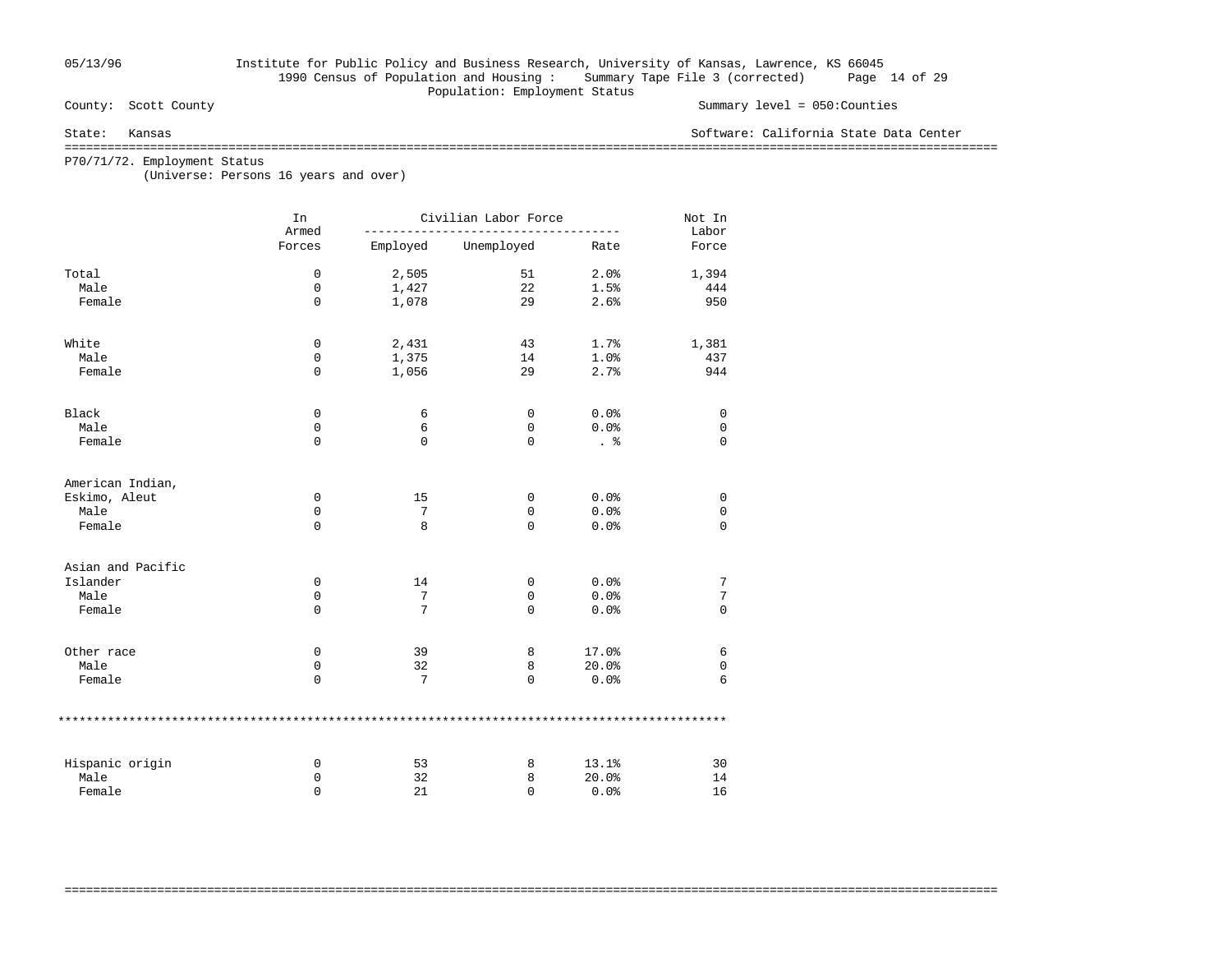## 05/13/96 Institute for Public Policy and Business Research, University of Kansas, Lawrence, KS 66045 1990 Census of Population and Housing : Summary Tape File 3 (corrected) Page 14 of 29 Population: Employment Status<br>
County: Scott County

#### Summary level =  $050$ : Counties

#### State: Kansas Software: California State Data Center

===================================================================================================================================

===================================================================================================================================

P70/71/72. Employment Status

(Universe: Persons 16 years and over)

|                   | In<br>Armed |          | Civilian Labor Force |       | Not In<br>Labor |
|-------------------|-------------|----------|----------------------|-------|-----------------|
|                   | Forces      | Employed | Unemployed           | Rate  | Force           |
| Total             | 0           | 2,505    | 51                   | 2.0%  | 1,394           |
| Male              | 0           | 1,427    | 22                   | 1.5%  | 444             |
| Female            | $\mathbf 0$ | 1,078    | 29                   | 2.6%  | 950             |
| White             | 0           | 2,431    | 43                   | 1.7%  | 1,381           |
| Male              | 0           | 1,375    | 14                   | 1.0%  | 437             |
| Female            | $\mathbf 0$ | 1,056    | 29                   | 2.7%  | 944             |
| Black             | 0           | 6        | 0                    | 0.0%  | 0               |
| Male              | $\mathbf 0$ | 6        | $\mathbf 0$          | 0.0%  | $\mathbf 0$     |
| Female            | $\mathbf 0$ | 0        | 0                    | . 응   | $\Omega$        |
| American Indian,  |             |          |                      |       |                 |
| Eskimo, Aleut     | 0           | 15       | 0                    | 0.0%  | 0               |
| Male              | 0           | 7        | 0                    | 0.0%  | 0               |
| Female            | $\mathbf 0$ | 8        | $\mathbf 0$          | 0.0%  | $\mathbf 0$     |
| Asian and Pacific |             |          |                      |       |                 |
| Islander          | 0           | 14       | 0                    | 0.0%  | 7               |
| Male              | 0           | 7        | 0                    | 0.0%  | 7               |
| Female            | $\Omega$    | 7        | 0                    | 0.0%  | $\Omega$        |
| Other race        | $\mathbf 0$ | 39       | 8                    | 17.0% | 6               |
| Male              | 0           | 32       | 8                    | 20.0% | $\mathsf 0$     |
| Female            | $\mathbf 0$ | 7        | 0                    | 0.0%  | 6               |
|                   |             |          |                      |       |                 |
| Hispanic origin   | 0           | 53       | 8                    | 13.1% | 30              |
| Male              | 0           | 32       | 8                    | 20.0% | 14              |
| Female            | $\mathbf 0$ | 21       | 0                    | 0.0%  | 16              |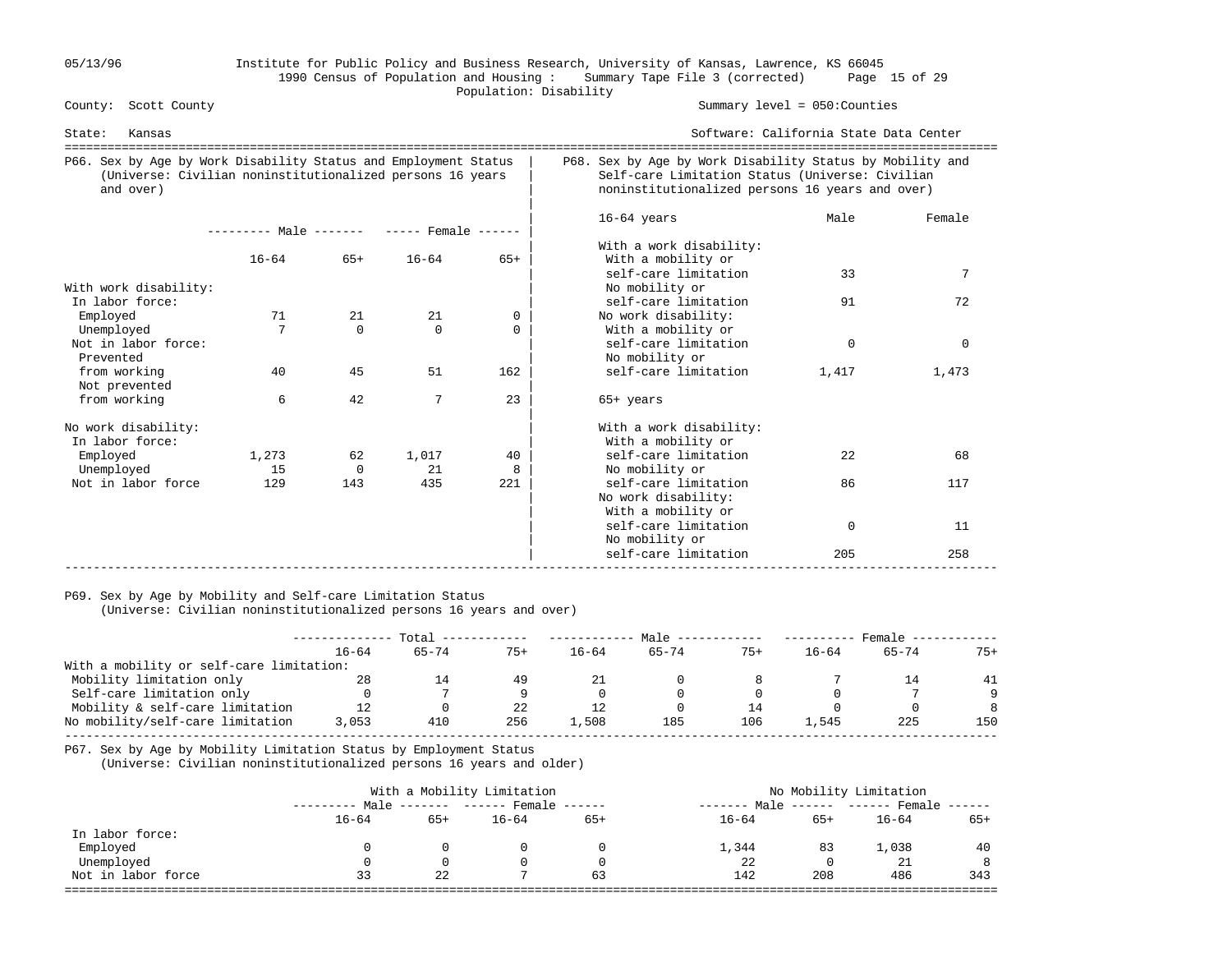### 05/13/96 Institute for Public Policy and Business Research, University of Kansas, Lawrence, KS 66045 1990 Census of Population and Housing : Summary Tape File 3 (corrected) Page 15 of 29 Population: Disability<br>
County: Scott County

#### Summary level =  $050$ : Counties

| Kansas<br>State:                                                                                                                          |                                     |          |           |       |                                                                                                                                                                 | Software: California State Data Center<br>============================ |          |  |  |
|-------------------------------------------------------------------------------------------------------------------------------------------|-------------------------------------|----------|-----------|-------|-----------------------------------------------------------------------------------------------------------------------------------------------------------------|------------------------------------------------------------------------|----------|--|--|
| P66. Sex by Age by Work Disability Status and Employment Status<br>(Universe: Civilian noninstitutionalized persons 16 years<br>and over) |                                     |          |           |       | P68. Sex by Age by Work Disability Status by Mobility and<br>Self-care Limitation Status (Universe: Civilian<br>noninstitutionalized persons 16 years and over) |                                                                        |          |  |  |
|                                                                                                                                           | $------$ Male $-- ---$ Female $---$ |          |           |       | $16-64$ years<br>With a work disability:                                                                                                                        | Male                                                                   | Female   |  |  |
|                                                                                                                                           | $16 - 64$                           | $65+$    | $16 - 64$ | $65+$ | With a mobility or                                                                                                                                              |                                                                        |          |  |  |
| With work disability:                                                                                                                     |                                     |          |           |       | self-care limitation<br>No mobility or                                                                                                                          | 33                                                                     | 7        |  |  |
| In labor force:                                                                                                                           |                                     |          |           |       | self-care limitation                                                                                                                                            | 91                                                                     | 72       |  |  |
| Employed                                                                                                                                  | 71                                  | 21       | 21        | 0     | No work disability:                                                                                                                                             |                                                                        |          |  |  |
| Unemployed                                                                                                                                |                                     | $\Omega$ | $\Omega$  | 0     | With a mobility or                                                                                                                                              |                                                                        |          |  |  |
| Not in labor force:<br>Prevented                                                                                                          |                                     |          |           |       | self-care limitation<br>No mobility or                                                                                                                          | $\mathbf 0$                                                            | $\Omega$ |  |  |
| from working<br>Not prevented                                                                                                             | 40                                  | 45       | 51        | 162   | self-care limitation                                                                                                                                            | 1,417                                                                  | 1,473    |  |  |
| from working                                                                                                                              | 6                                   | 42       | 7         | 23    | $65+$ years                                                                                                                                                     |                                                                        |          |  |  |
| No work disability:<br>In labor force:                                                                                                    |                                     |          |           |       | With a work disability:<br>With a mobility or                                                                                                                   |                                                                        |          |  |  |
| Employed                                                                                                                                  | 1,273                               | 62       | 1,017     | 40    | self-care limitation                                                                                                                                            | 22.                                                                    | 68       |  |  |
| Unemployed                                                                                                                                | 15                                  | $\Omega$ | 21        | 8     | No mobility or                                                                                                                                                  |                                                                        |          |  |  |
| Not in labor force                                                                                                                        | 129                                 | 143      | 435       | 221   | self-care limitation<br>No work disability:<br>With a mobility or                                                                                               | 86                                                                     | 117      |  |  |
|                                                                                                                                           |                                     |          |           |       | self-care limitation<br>No mobility or                                                                                                                          | $\mathbf 0$                                                            | 11       |  |  |
|                                                                                                                                           |                                     |          |           |       | self-care limitation                                                                                                                                            | 205                                                                    | 258      |  |  |

#### P69. Sex by Age by Mobility and Self-care Limitation Status

(Universe: Civilian noninstitutionalized persons 16 years and over)

|                                          | Total     |           |       | Male      |           |       | Female    |           |       |
|------------------------------------------|-----------|-----------|-------|-----------|-----------|-------|-----------|-----------|-------|
|                                          | $16 - 64$ | $65 - 74$ | $75+$ | $16 - 64$ | $65 - 74$ | $75+$ | $16 - 64$ | $65 - 74$ | $75+$ |
| With a mobility or self-care limitation: |           |           |       |           |           |       |           |           |       |
| Mobility limitation only                 | 28        | 14        | 49    |           |           |       |           |           | 41    |
| Self-care limitation only                |           |           |       |           | $\Omega$  |       |           |           | Q     |
| Mobility & self-care limitation          | 12        |           | 22    |           |           | 14    |           |           | 8     |
| No mobility/self-care limitation         | 3,053     | 410       | 256   | 1,508     | 185       | 106   | . . 545   | 225       | 150   |
|                                          |           |           |       |           |           |       |           |           |       |

P67. Sex by Age by Mobility Limitation Status by Employment Status

(Universe: Civilian noninstitutionalized persons 16 years and older)

|                    |           |                     | With a Mobility Limitation | No Mobility Limitation |                  |          |                             |       |
|--------------------|-----------|---------------------|----------------------------|------------------------|------------------|----------|-----------------------------|-------|
|                    |           | Male ------- ------ |                            | Female $---$           | Male<br>-------- |          | $----- - --- Fromale -----$ |       |
|                    | $16 - 64$ | $65+$               | $16 - 64$                  | $65+$                  | $16 - 64$        | $65+$    | $16 - 64$                   | $65+$ |
| In labor force:    |           |                     |                            |                        |                  |          |                             |       |
| Employed           |           | 0                   |                            | 0                      | 1,344            | 83       | 1,038                       | 40    |
| Unemployed         | 0         | $\Omega$            |                            | $\Omega$               | 22               | $\Omega$ | 21                          | 8     |
| Not in labor force | 33        | 22                  |                            | 63                     | 142              | 208      | 486                         | 343   |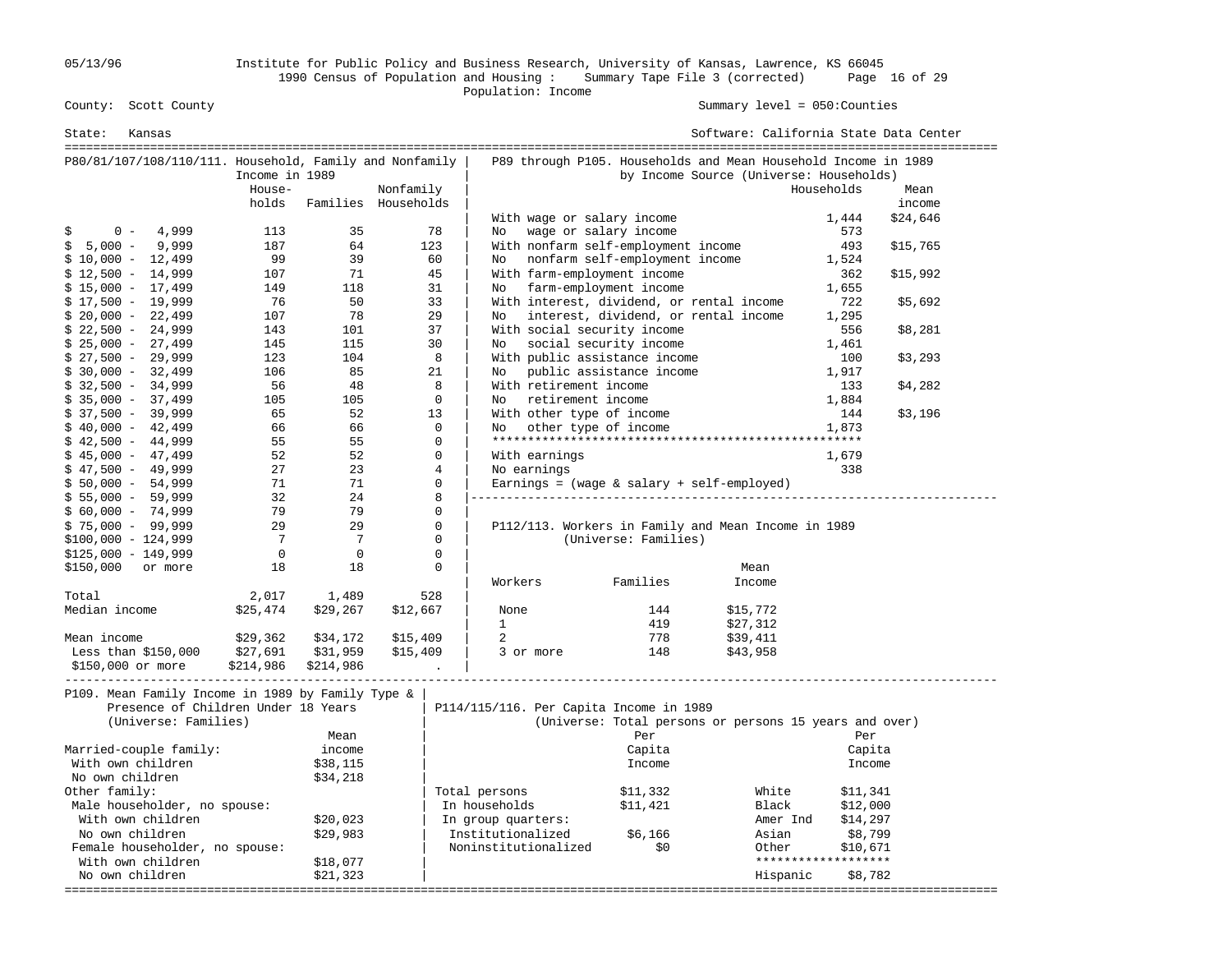05/13/96 Institute for Public Policy and Business Research, University of Kansas, Lawrence, KS 66045 1990 Census of Population and Housing : Summary Tape File 3 (corrected) Page 16 of 29 Population: Income

Summary level =  $050$ : Counties

| State:<br>Kansas                                        |                |                 |                     |                    |                            |                                         | Software: California State Data Center                         |                     |          |
|---------------------------------------------------------|----------------|-----------------|---------------------|--------------------|----------------------------|-----------------------------------------|----------------------------------------------------------------|---------------------|----------|
| P80/81/107/108/110/111. Household, Family and Nonfamily |                |                 |                     |                    |                            |                                         | P89 through P105. Households and Mean Household Income in 1989 |                     |          |
|                                                         | Income in 1989 |                 |                     |                    |                            |                                         | by Income Source (Universe: Households)                        |                     |          |
|                                                         | House-         |                 | Nonfamily           |                    |                            |                                         |                                                                | Households          | Mean     |
|                                                         | holds          |                 | Families Households |                    |                            |                                         |                                                                |                     | income   |
|                                                         |                |                 |                     |                    | With wage or salary income |                                         |                                                                | 1,444               | \$24,646 |
| $0 -$<br>4,999<br>\$                                    | 113            | 35              | 78                  | No                 |                            | wage or salary income                   |                                                                | 573                 |          |
| $5,000 -$<br>9,999<br>\$                                | 187            | 64              | 123                 |                    |                            | With nonfarm self-employment income     |                                                                | 493                 | \$15,765 |
| $$10,000 - 12,499$                                      | 99             | 39              | 60                  | No                 |                            | nonfarm self-employment income          |                                                                | 1,524               |          |
| $$12,500 - 14,999$                                      | 107            | 71              | 45                  |                    |                            | With farm-employment income             |                                                                | 362                 | \$15,992 |
| $$15,000 - 17,499$                                      | 149            | 118             | 31                  | No                 |                            | farm-employment income                  |                                                                | 1,655               |          |
| $$17,500 - 19,999$                                      | 76             | 50              | 33                  |                    |                            |                                         | With interest, dividend, or rental income                      | 722                 | \$5,692  |
| $$20,000 - 22,499$                                      | 107            | 78              | 29                  | No                 |                            |                                         | interest, dividend, or rental income                           | 1,295               |          |
| $$22,500 - 24,999$                                      | 143            | 101             | 37                  |                    |                            | With social security income             |                                                                | 556                 | \$8,281  |
| $$25,000 - 27,499$                                      | 145            | 115             | 30                  | No.                |                            | social security income                  |                                                                | 1,461               |          |
| $$27,500 - 29,999$                                      | 123            | 104             |                     | 8                  |                            | With public assistance income           |                                                                | 100                 | \$3,293  |
| $$30,000 - 32,499$                                      | 106            | 85              | 21                  | No                 |                            | public assistance income                |                                                                | 1,917               |          |
| $$32,500 - 34,999$                                      | 56             | 48              |                     | 8                  | With retirement income     |                                         |                                                                | 133                 | \$4,282  |
| $$35,000 - 37,499$                                      | 105            | 105             |                     | $\mathbf 0$<br>No  | retirement income          |                                         |                                                                | 1,884               |          |
| $$37,500 - 39,999$                                      | 65             | 52              | 13                  |                    | With other type of income  |                                         |                                                                | 144                 | \$3,196  |
| $$40,000 - 42,499$                                      | 66             | 66              |                     | $\mathbf 0$<br>No. | other type of income       |                                         |                                                                | 1,873               |          |
| $$42,500 - 44,999$                                      | 55             | 55              |                     | $\Omega$           |                            |                                         |                                                                |                     |          |
| $$45,000 - 47,499$                                      | 52             | 52              |                     | $\Omega$           | With earnings              |                                         |                                                                | 1,679               |          |
| $$47,500 - 49,999$                                      | 27             | 23              |                     | $\overline{4}$     | No earnings                |                                         |                                                                | 338                 |          |
| $$50,000 - 54,999$                                      | 71             | 71              |                     | 0                  |                            |                                         | Earnings = $(wage & salary + self-employed)$                   |                     |          |
| $$55,000 - 59,999$                                      | 32             | 24              |                     | 8                  |                            |                                         |                                                                |                     |          |
| $$60,000 - 74,999$                                      | 79             | 79              |                     | 0                  |                            |                                         |                                                                |                     |          |
| $$75,000 - 99,999$                                      | 29             | 29              |                     | $\mathbf 0$        |                            |                                         | P112/113. Workers in Family and Mean Income in 1989            |                     |          |
| $$100,000 - 124,999$                                    | 7              | $7\phantom{.0}$ |                     | 0                  |                            | (Universe: Families)                    |                                                                |                     |          |
| $$125,000 - 149,999$                                    | 0              | $\overline{0}$  |                     | 0                  |                            |                                         |                                                                |                     |          |
| \$150,000<br>or more                                    | 18             | 18              |                     | $\mathbf 0$        |                            |                                         | Mean                                                           |                     |          |
|                                                         |                |                 |                     |                    | Workers                    | Families                                | Income                                                         |                     |          |
| Total                                                   | 2,017          | 1,489           | 528                 |                    |                            |                                         |                                                                |                     |          |
| Median income                                           | \$25,474       | \$29,267        | \$12,667            | None               |                            | 144                                     | \$15,772                                                       |                     |          |
|                                                         |                |                 |                     | $\mathbf{1}$       |                            | 419                                     | \$27,312                                                       |                     |          |
| Mean income                                             | \$29,362       | \$34,172        | \$15,409            | 2                  |                            | 778                                     | \$39,411                                                       |                     |          |
| Less than $$150,000$                                    | \$27,691       | \$31,959        | \$15,409            |                    | 3 or more                  | 148                                     | \$43,958                                                       |                     |          |
| \$150,000 or more                                       | \$214,986      | \$214,986       |                     |                    |                            |                                         |                                                                |                     |          |
| P109. Mean Family Income in 1989 by Family Type &       |                |                 |                     |                    |                            |                                         |                                                                |                     |          |
| Presence of Children Under 18 Years                     |                |                 |                     |                    |                            | P114/115/116. Per Capita Income in 1989 |                                                                |                     |          |
| (Universe: Families)                                    |                |                 |                     |                    |                            |                                         | (Universe: Total persons or persons 15 years and over)         |                     |          |
|                                                         |                | Mean            |                     |                    |                            | Per                                     |                                                                | Per                 |          |
| Married-couple family:                                  |                | income          |                     |                    |                            | Capita                                  |                                                                | Capita              |          |
| With own children                                       |                | \$38,115        |                     |                    |                            | Income                                  |                                                                | Income              |          |
| No own children                                         |                | \$34,218        |                     |                    |                            |                                         |                                                                |                     |          |
| Other family:                                           |                |                 |                     | Total persons      |                            | \$11,332                                | White                                                          | \$11,341            |          |
| Male householder, no spouse:                            |                |                 |                     | In households      |                            | \$11,421                                | Black                                                          | \$12,000            |          |
| With own children                                       |                | \$20,023        |                     | In group quarters: |                            |                                         | Amer Ind                                                       | \$14,297            |          |
| No own children                                         |                | \$29,983        |                     | Institutionalized  |                            | \$6,166                                 | Asian                                                          | \$8,799             |          |
| Female householder, no spouse:                          |                |                 |                     |                    | Noninstitutionalized       | \$0                                     | Other                                                          | \$10,671            |          |
| With own children                                       |                | \$18,077        |                     |                    |                            |                                         |                                                                | ******************* |          |
| No own children                                         |                | \$21,323        |                     |                    |                            |                                         | Hispanic                                                       | \$8,782             |          |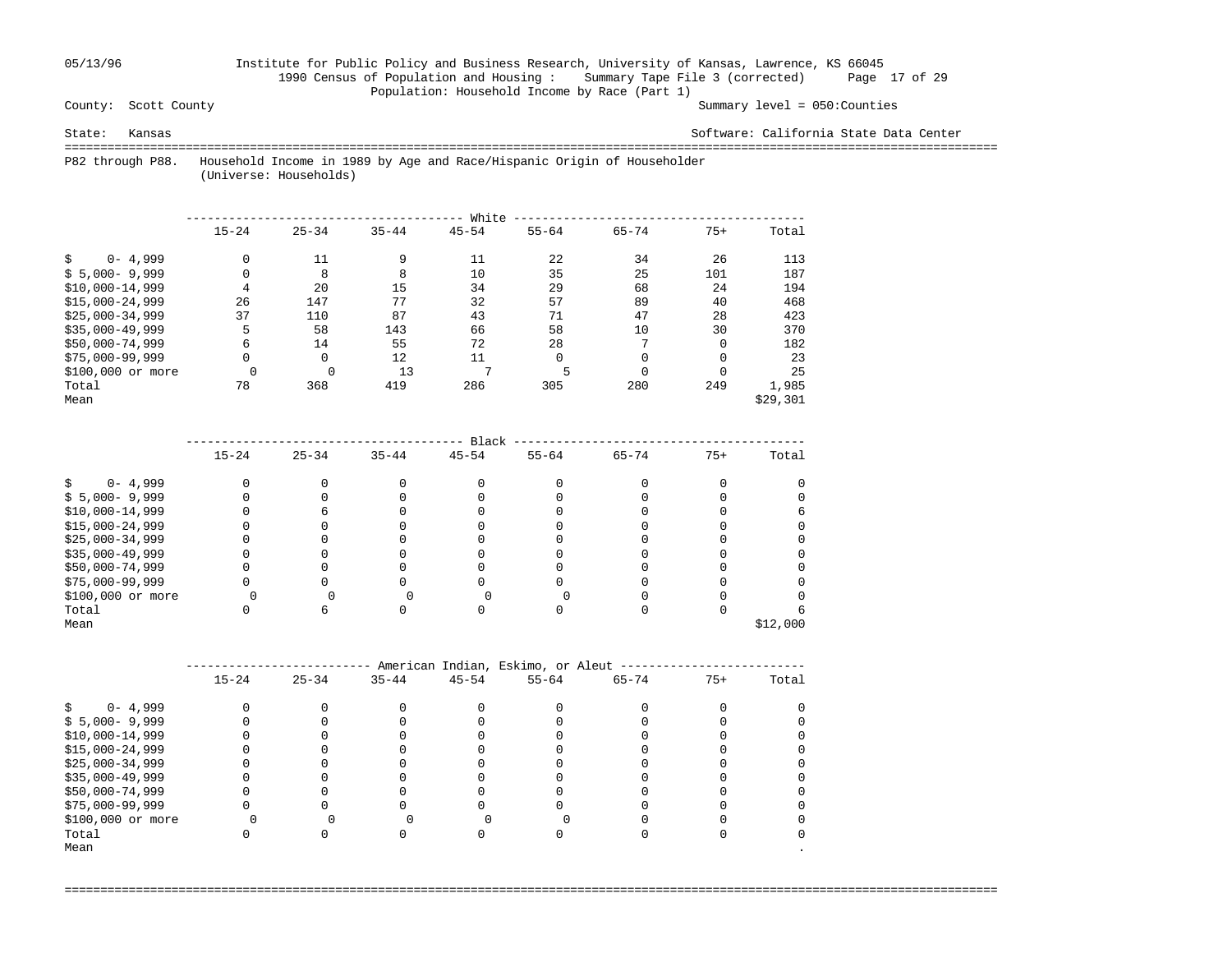## 05/13/96 Institute for Public Policy and Business Research, University of Kansas, Lawrence, KS 66045 1990 Census of Population and Housing : Summary Tape File 3 (corrected) Page 17 of 29 Population: Household Income by Race (Part 1)<br>County: Scott County

Summary level =  $050$ : Counties

State: Kansas Software: California State Data Center

 =================================================================================================================================== P82 through P88. Household Income in 1989 by Age and Race/Hispanic Origin of Householder

(Universe: Households)

|                    |           |           |           | White        |           |           |          |          |
|--------------------|-----------|-----------|-----------|--------------|-----------|-----------|----------|----------|
|                    | $15 - 24$ | $25 - 34$ | $35 - 44$ | $45 - 54$    | $55 - 64$ | $65 - 74$ | $75+$    | Total    |
| $0 - 4,999$        | $\Omega$  | 11        | 9         | 11           | 2.2.      | 34        | 26       | 113      |
| $$5,000-9,999$     | 0         | 8         | 8         | 10           | 35        | 25        | 101      | 187      |
| $$10,000-14,999$   | 4         | 20        | 15        | 34           | 29        | 68        | 24       | 194      |
| $$15.000 - 24.999$ | 26        | 147       | 77        | 32           | 57        | 89        | 40       | 468      |
| $$25.000 - 34.999$ | 37        | 110       | 87        | 43           | 71        | 47        | 28       | 423      |
| $$35,000-49,999$   | 5         | 58        | 143       | 66           | 58        | 10        | 30       | 370      |
| $$50,000-74,999$   | 6         | 14        | 55        | 72           | 28        | 7         | $\Omega$ | 182      |
| $$75,000-99,999$   | 0         | 0         | 12        | 11           | $\Omega$  | $\Omega$  | $\Omega$ | 23       |
| \$100,000 or more  |           |           | 13        | $\mathbf{r}$ | 5         | $\Omega$  |          | 25       |
| Total              | 78        | 368       | 419       | 286          | 305       | 280       | 249      | 1,985    |
| Mean               |           |           |           |              |           |           |          | \$29,301 |

|                   |           |           |           | Black     |           |           |       |          |
|-------------------|-----------|-----------|-----------|-----------|-----------|-----------|-------|----------|
|                   | $15 - 24$ | $25 - 34$ | $35 - 44$ | $45 - 54$ | $55 - 64$ | $65 - 74$ | $75+$ | Total    |
| $0 - 4,999$       |           |           |           |           |           |           |       |          |
| $$5,000-9,999$    |           |           |           |           |           |           |       |          |
| $$10,000-14,999$  |           |           |           |           |           |           |       |          |
| $$15,000-24,999$  |           |           |           |           |           |           |       |          |
| $$25,000-34,999$  |           |           |           |           |           |           |       |          |
| $$35,000-49,999$  |           |           |           |           |           |           |       |          |
| \$50,000-74,999   |           |           |           |           |           |           |       |          |
| \$75,000-99,999   |           |           |           |           |           |           |       |          |
| \$100,000 or more |           |           |           |           |           |           |       |          |
| Total             |           |           |           |           |           |           |       |          |
| Mean              |           |           |           |           |           |           |       | \$12,000 |

|                   |           |           |           |           | American Indian, Eskimo, or Aleut |           |       |       |
|-------------------|-----------|-----------|-----------|-----------|-----------------------------------|-----------|-------|-------|
|                   | $15 - 24$ | $25 - 34$ | $35 - 44$ | $45 - 54$ | $55 - 64$                         | $65 - 74$ | $75+$ | Total |
| $0 - 4,999$       |           |           |           |           |                                   |           |       |       |
| $$5,000-9,999$    |           |           |           |           |                                   |           |       |       |
| $$10,000-14,999$  |           |           |           |           |                                   |           |       |       |
| $$15,000-24,999$  |           |           |           |           |                                   |           |       |       |
| $$25,000-34,999$  |           |           |           |           |                                   |           |       |       |
| $$35,000-49,999$  |           |           |           |           |                                   |           |       |       |
| \$50,000-74,999   |           |           |           |           |                                   |           |       |       |
| $$75,000-99,999$  |           |           |           |           |                                   |           |       |       |
| \$100,000 or more |           |           |           |           |                                   |           |       |       |
| Total             |           |           |           |           |                                   |           |       |       |
| Mean              |           |           |           |           |                                   |           |       |       |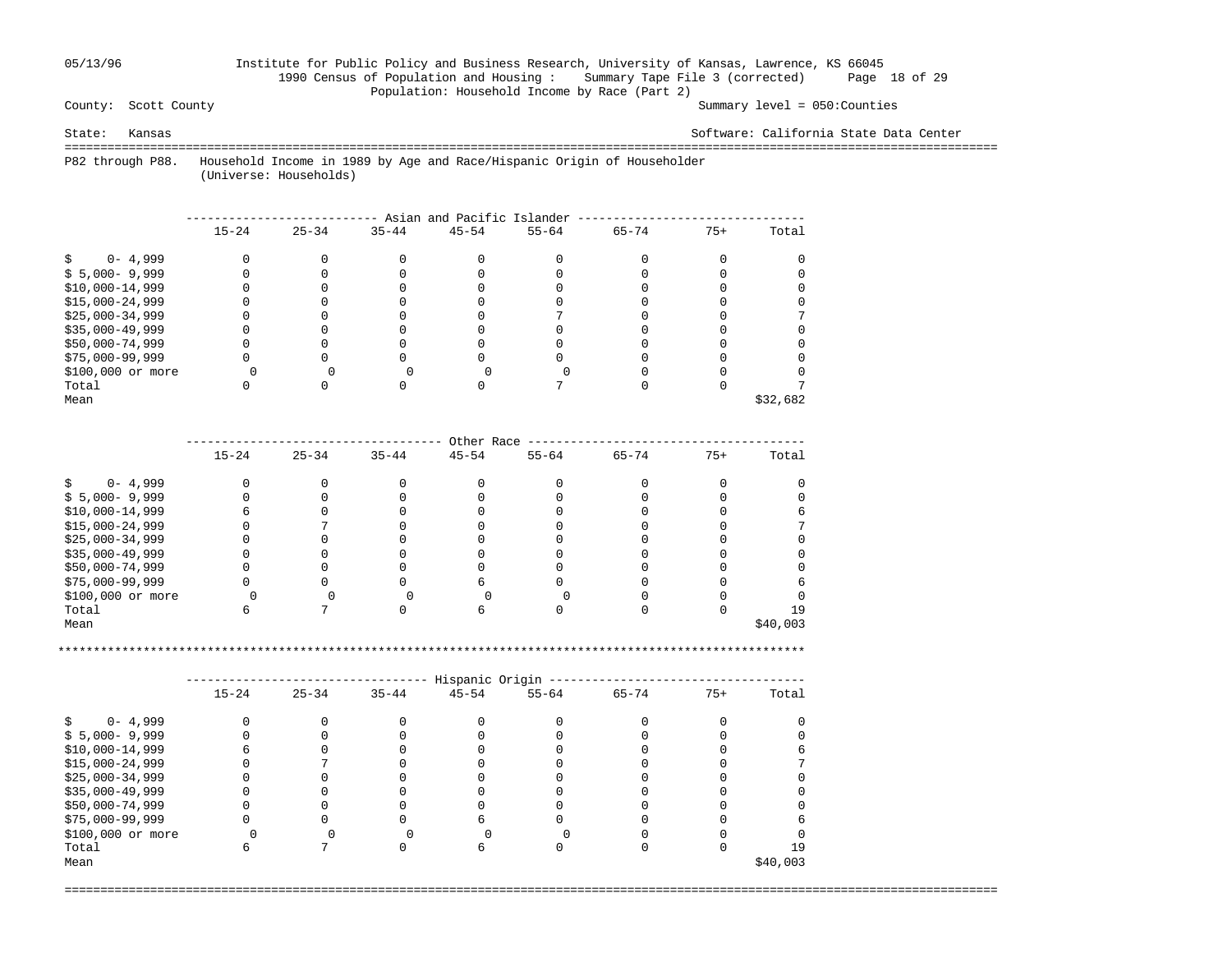## 05/13/96 Institute for Public Policy and Business Research, University of Kansas, Lawrence, KS 66045 1990 Census of Population and Housing : Summary Tape File 3 (corrected) Page 18 of 29 Population: Household Income by Race (Part 2)<br>County: Scott County

Summary level =  $050$ : Counties

State: Kansas Software: California State Data Center

 =================================================================================================================================== P82 through P88. Household Income in 1989 by Age and Race/Hispanic Origin of Householder

(Universe: Households)

|                   |           |           |           | Asian and Pacific Islander |           |           |       |          |
|-------------------|-----------|-----------|-----------|----------------------------|-----------|-----------|-------|----------|
|                   | $15 - 24$ | $25 - 34$ | $35 - 44$ | $45 - 54$                  | $55 - 64$ | $65 - 74$ | $75+$ | Total    |
| $0 - 4,999$       |           |           |           |                            |           |           |       |          |
| $$5,000-9,999$    |           |           |           |                            |           |           |       |          |
| $$10,000-14,999$  |           |           |           |                            |           |           |       |          |
| $$15,000-24,999$  |           |           |           |                            |           |           |       |          |
| $$25,000-34,999$  |           |           |           |                            |           |           |       |          |
| $$35,000-49,999$  |           |           |           |                            |           |           |       |          |
| \$50,000-74,999   |           |           |           |                            |           |           |       |          |
| $$75,000-99,999$  |           |           |           |                            |           |           |       |          |
| \$100,000 or more |           |           |           |                            |           |           |       |          |
| Total             |           |           |           |                            |           |           |       |          |
| Mean              |           |           |           |                            |           |           |       | \$32,682 |

|                   |           |           |           | Other Race |           |           |       |          |
|-------------------|-----------|-----------|-----------|------------|-----------|-----------|-------|----------|
|                   | $15 - 24$ | $25 - 34$ | $35 - 44$ | $45 - 54$  | $55 - 64$ | $65 - 74$ | $75+$ | Total    |
| $0 - 4,999$       |           |           |           |            |           |           |       |          |
| $$5,000-9,999$    |           |           |           |            |           |           |       |          |
| $$10,000-14,999$  |           |           |           |            |           |           |       |          |
| $$15,000-24,999$  |           |           |           |            |           |           |       |          |
| $$25,000-34,999$  |           |           |           |            |           |           |       |          |
| $$35,000-49,999$  |           |           |           |            |           |           |       |          |
| \$50,000-74,999   |           |           |           |            |           |           |       |          |
| $$75,000-99,999$  |           |           |           |            |           |           |       |          |
| \$100,000 or more |           |           |           |            |           |           |       |          |
| Total             |           |           |           |            |           |           |       | 19       |
| Mean              |           |           |           |            |           |           |       | \$40,003 |

\*\*\*\*\*\*\*\*\*\*\*\*\*\*\*\*\*\*\*\*\*\*\*\*\*\*\*\*\*\*\*\*\*\*\*\*\*\*\*\*\*\*\*\*\*\*\*\*\*\*\*\*\*\*\*\*\*\*\*\*\*\*\*\*\*\*\*\*\*\*\*\*\*\*\*\*\*\*\*\*\*\*\*\*\*\*\*\*\*\*\*\*\*\*\*\*\*\*\*\*\*\*\*\*\*

|                   |           |           |           | Hispanic Origin |           |           |       |          |
|-------------------|-----------|-----------|-----------|-----------------|-----------|-----------|-------|----------|
|                   | $15 - 24$ | $25 - 34$ | $35 - 44$ | $45 - 54$       | $55 - 64$ | $65 - 74$ | $75+$ | Total    |
| $0 - 4,999$<br>S. |           |           |           |                 |           |           |       |          |
| $$5,000-9,999$    |           |           |           |                 |           |           |       |          |
| $$10,000-14,999$  |           |           |           |                 |           |           |       |          |
| $$15,000-24,999$  |           |           |           |                 |           |           |       |          |
| $$25,000-34,999$  |           |           |           |                 |           |           |       |          |
| $$35,000-49,999$  |           |           |           |                 |           |           |       |          |
| $$50,000-74,999$  |           |           |           |                 |           |           |       |          |
| $$75,000-99,999$  |           |           |           |                 |           |           |       |          |
| \$100,000 or more |           |           |           |                 |           |           |       |          |
| Total             |           |           |           |                 |           |           |       | 1 9      |
| Mean              |           |           |           |                 |           |           |       | \$40,003 |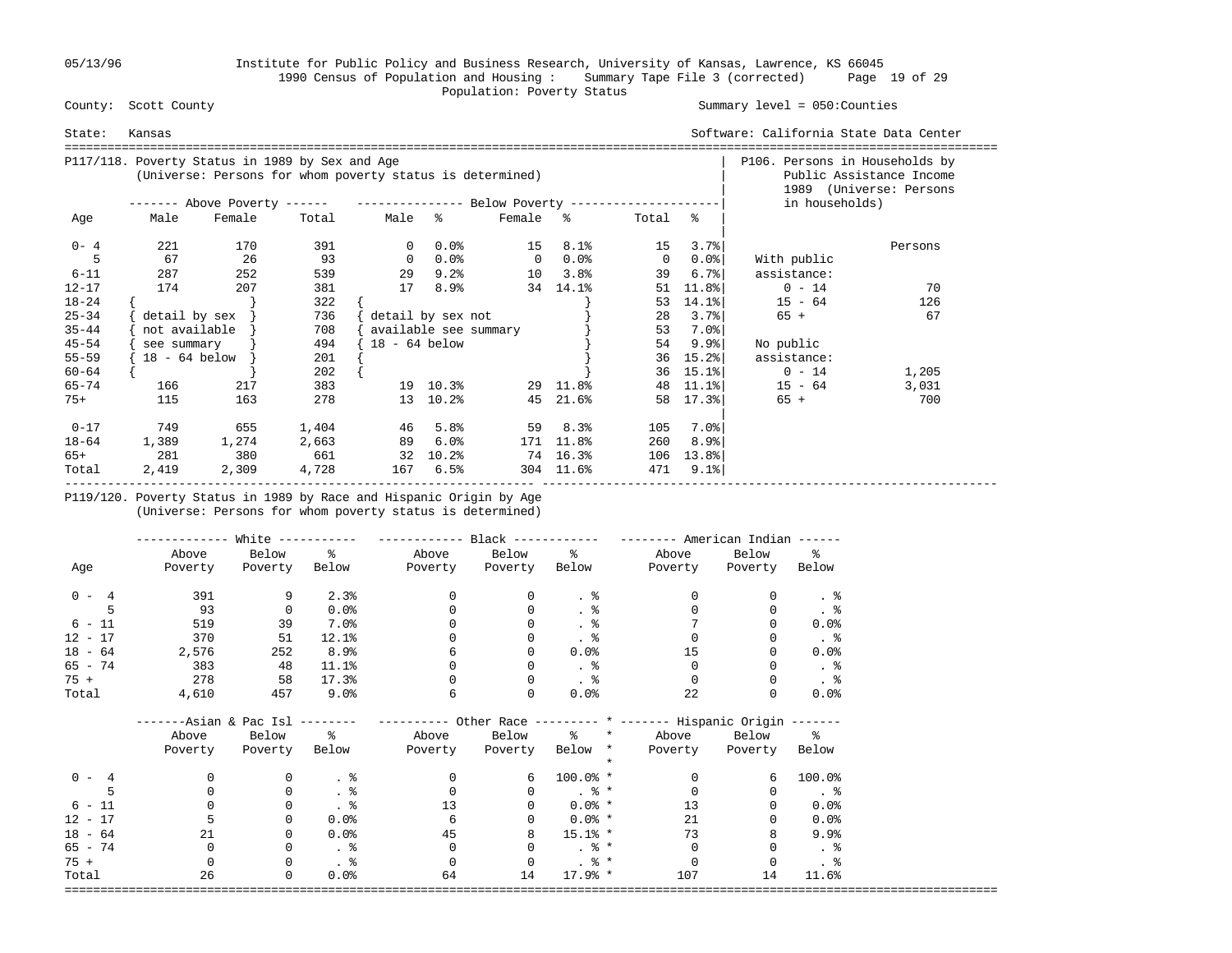05/13/96 Institute for Public Policy and Business Research, University of Kansas, Lawrence, KS 66045 1990 Census of Population and Housing : Summary Tape File 3 (corrected) Page 19 of 29 Population: Poverty Status<br>
County: Scott County

#### Summary level =  $050$ : Counties

| State:    | Kansas          |                                                                                                              |       |                 |                       |                |           |                |                    | Software: California State Data Center<br>=================================== |                                                     |
|-----------|-----------------|--------------------------------------------------------------------------------------------------------------|-------|-----------------|-----------------------|----------------|-----------|----------------|--------------------|-------------------------------------------------------------------------------|-----------------------------------------------------|
|           |                 | P117/118. Poverty Status in 1989 by Sex and Age<br>(Universe: Persons for whom poverty status is determined) |       |                 |                       |                |           |                |                    | P106. Persons in Households by                                                | Public Assistance Income<br>1989 (Universe: Persons |
|           |                 | ------- Above Poverty ------ ---------------- Below Poverty --------------------                             |       |                 |                       |                |           |                |                    | in households)                                                                |                                                     |
| Age       | Male            | Female                                                                                                       | Total | Male %          |                       | Female %       |           | Total %        |                    |                                                                               |                                                     |
| $0 - 4$   | 221             | 170                                                                                                          | 391   |                 | $0.0$ $8$             | 15             | 8.1%      | 15             | 3.7%               |                                                                               | Persons                                             |
|           | 67              | 26                                                                                                           | 93    | $\Omega$        | $0.0$ %               | $\overline{0}$ | $0.0$ %   | $\overline{0}$ | $0.0$ °            | With public                                                                   |                                                     |
| $6 - 11$  | 287             | 252                                                                                                          | 539   | 29              | 9.2%                  | 10             | 3.8%      | 39             | $6.7$ $\epsilon$   | assistance:                                                                   |                                                     |
| $12 - 17$ | 174             | 207                                                                                                          | 381   | 17              | 8.9%                  |                | 34 14.1%  | 51             | 11.8%              | $0 - 14$                                                                      | 70                                                  |
| $18 - 24$ |                 |                                                                                                              | 322   |                 |                       |                |           | 53             | $14.1$ $ $         | $15 - 64$                                                                     | 126                                                 |
| $25 - 34$ | detail by sex   |                                                                                                              | 736   |                 | detail by sex not     |                |           | 28             | 3.7%               | $65 +$                                                                        | 67                                                  |
| $35 - 44$ | not available   |                                                                                                              | 708   |                 | available see summary |                |           | 53             | 7.0%               |                                                                               |                                                     |
| $45 - 54$ | see summary     |                                                                                                              | 494   | $18 - 64$ below |                       |                |           | 54             | 9.9%               | No public                                                                     |                                                     |
| $55 - 59$ | $18 - 64$ below |                                                                                                              | 201   |                 |                       |                |           | 36             | $15.2$ $ $         | assistance:                                                                   |                                                     |
| $60 - 64$ |                 |                                                                                                              | 202   |                 |                       |                |           | 36             | $15.1$ $ $         | $0 - 14$                                                                      | 1,205                                               |
| $65 - 74$ | 166             | 217                                                                                                          | 383   |                 | 19 10.3%              |                | 29 11.8%  | 48             | $11.1$ $8$         | $15 - 64$                                                                     | 3,031                                               |
| $75+$     | 115             | 163                                                                                                          | 278   |                 | 13 10.2%              | 45             | 21.6%     |                | 58 17.3%           | $65 +$                                                                        | 700                                                 |
| $0 - 17$  | 749             | 655                                                                                                          | 1,404 | 46              | 5.8%                  | 59             | 8.3%      | 105            | 7.0%               |                                                                               |                                                     |
| $18 - 64$ | 1,389           | 1,274                                                                                                        | 2,663 | 89              | 6.0%                  |                | 171 11.8% | 260            | 8.9%               |                                                                               |                                                     |
| 65+       | 281             | 380                                                                                                          | 661   | 32              | $10.2\%$              |                | 74 16.3%  | 106            | 13.8%              |                                                                               |                                                     |
| Total     | 2,419           | 2,309                                                                                                        | 4,728 | 167             | 6.5%                  | 304            | 11.6%     | 471            | $9.1$ <sup>8</sup> |                                                                               |                                                     |

 P119/120. Poverty Status in 1989 by Race and Hispanic Origin by Age (Universe: Persons for whom poverty status is determined)

|                      |              | White $-----$                |               | ------------          | $Black$ ------------ |                                | -------- American Indian ------                                 |               |                      |
|----------------------|--------------|------------------------------|---------------|-----------------------|----------------------|--------------------------------|-----------------------------------------------------------------|---------------|----------------------|
|                      | Above        | Below                        | $\frac{1}{6}$ |                       | Above Below %        |                                | Above                                                           | Below         | $\approx$            |
| Age                  | Poverty      | Poverty                      | Below         | Poverty Poverty Below |                      |                                | Poverty                                                         | Poverty Below |                      |
| $0 - 4$              | 391          | 9                            | 2.3%          | $\mathbf{0}$          | 0                    | . 응                            | $\Omega$                                                        | $\Omega$      |                      |
| 5                    | 93           | $\mathbf 0$                  | $0.0$ $8$     | $\Omega$              | 0                    | $\frac{8}{100}$                |                                                                 | $\Omega$      |                      |
| $6 - 11$             | 519          | 39                           | $7.0\%$       |                       |                      | $\frac{8}{3}$                  |                                                                 |               | $0.0$ $8$            |
| $12 - 17$            | 370          | 51                           | 12.1%         |                       |                      | $\frac{8}{100}$                |                                                                 |               |                      |
| $18 - 64$            | 2,576        | 252                          | 8.9%          | 6                     |                      | 0.0%                           | 15                                                              |               | 0.0%                 |
| $65 - 74$            | 383          | 48                           | 11.1%         |                       |                      | $\ddot{\phantom{1}}$           | $\Omega$                                                        |               |                      |
| 75 +                 | 278          | 58                           | 17.3%         |                       | $\Omega$             | . 응                            | $\Omega$                                                        |               | . 응                  |
| Total                | 4,610        | 457                          | $9.0\%$       | 6                     | $\Omega$             | 0.0%                           | 22                                                              |               | 0.0%                 |
|                      |              | ----Asian & Pac Isl -------- |               |                       |                      |                                | --------- Other Race -------- * ------- Hispanic Origin ------- |               |                      |
|                      | Above        | Below %                      |               |                       | Above Below          |                                | % * Above Below %                                               |               |                      |
|                      | Poverty      | Poverty                      | Below         | Poverty               | Poverty              | Below *                        | Poverty                                                         | Poverty Below |                      |
|                      |              |                              |               |                       |                      |                                |                                                                 |               |                      |
| $0 - 4$              |              | 0                            | $\cdot$ %     | $\Omega$              | 6                    | $100.0%$ *                     | $\Omega$                                                        | 6             | 100.0%               |
|                      | <sup>0</sup> | $\mathbf 0$                  | . 응           | $\Omega$              | $\Omega$             | $\frac{1}{6}$ $\frac{1}{6}$    | $\Omega$                                                        | $\Omega$      | $\ddot{\phantom{1}}$ |
| $6 - 11$             |              | 0                            | . 응           | 13                    | $\Omega$             | $0.0\%$ *                      | 13                                                              |               | 0.0%                 |
| $12 - 17$            |              | 0                            | 0.0%          | 6                     | 0                    | $0.0\%$ *                      | 21                                                              |               | 0.0%                 |
| $18 - 64$            | 21           | 0                            | $0.0$ %       | 45                    | 8                    | $15.1%$ *                      | 73                                                              |               | 9.9%                 |
| 65 - 74              | $\Omega$     | $\mathbf 0$                  |               | $\mathbf{0}$          | $\Omega$             | $\frac{8}{6}$ *                | 0                                                               |               | $. \circ$            |
| $75 +$               | $\Omega$     | $\mathbf 0$                  |               | $\Omega$              | $\Omega$             | . %                            | $\Omega$                                                        |               | $\frac{8}{3}$        |
| Total<br>=========== | 26           | $\mathbf 0$                  | 0.0%          | 64                    | 14                   | $17.9%$ *<br>================= | 107                                                             | 14            | 11.6%                |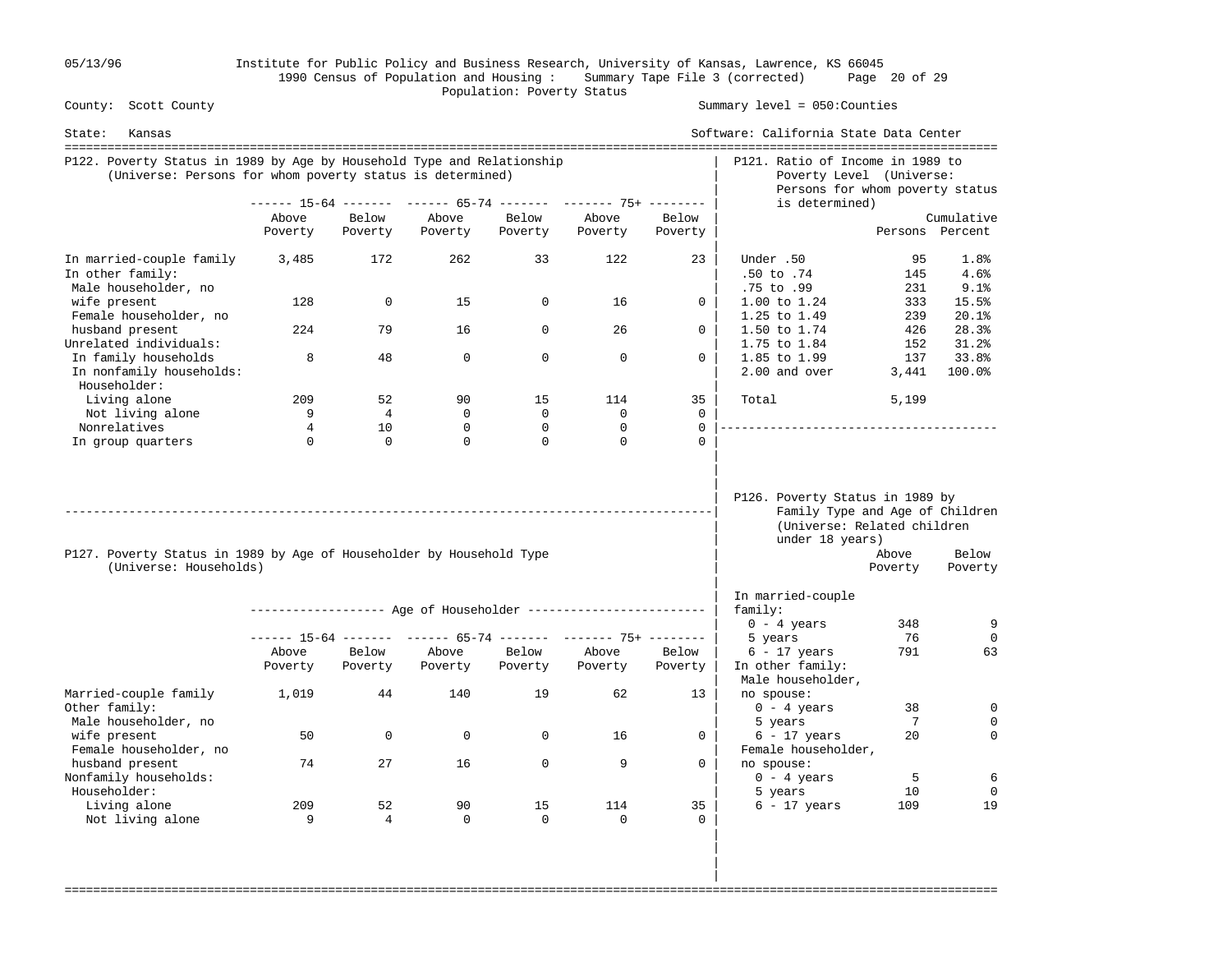05/13/96 Institute for Public Policy and Business Research, University of Kansas, Lawrence, KS 66045 1990 Census of Population and Housing : Summary Tape File 3 (corrected) Page 20 of 29 Population: Poverty Status<br>
County: Scott County

Summary level =  $050$ : Counties

| State:<br>Kansas                                                                                                                    |                  |                  |                  |                  |                                                                |                  | Software: California State Data Center                                                                               |                  |                      |
|-------------------------------------------------------------------------------------------------------------------------------------|------------------|------------------|------------------|------------------|----------------------------------------------------------------|------------------|----------------------------------------------------------------------------------------------------------------------|------------------|----------------------|
| P122. Poverty Status in 1989 by Age by Household Type and Relationship<br>(Universe: Persons for whom poverty status is determined) |                  |                  |                  |                  |                                                                |                  | P121. Ratio of Income in 1989 to<br>Poverty Level (Universe:<br>Persons for whom poverty status                      |                  |                      |
|                                                                                                                                     |                  |                  |                  |                  | ------ 15-64 ------- ------ 65-74 ------- ------- 75+ -------- |                  | is determined)                                                                                                       |                  |                      |
|                                                                                                                                     | Above            | Below            | Above            | Below            | Above                                                          | Below            |                                                                                                                      |                  | Cumulative           |
|                                                                                                                                     | Poverty          | Poverty          | Poverty          | Poverty          | Poverty                                                        | Poverty          |                                                                                                                      | Persons Percent  |                      |
| In married-couple family<br>In other family:<br>Male householder, no                                                                | 3,485            | 172              | 262              | 33               | 122                                                            | 23               | Under .50<br>$.50$ to $.74$<br>.75 to .99                                                                            | 95<br>145<br>231 | 1.8%<br>4.6%<br>9.1% |
| wife present<br>Female householder, no                                                                                              | 128              | 0                | 15               | 0                | 16                                                             | $\mathbf{0}$     | $1.00$ to $1.24$<br>1.25 to 1.49                                                                                     | 333<br>239       | 15.5%<br>20.1%       |
| husband present<br>Unrelated individuals:                                                                                           | 224              | 79               | 16               | $\Omega$         | 26                                                             | $\Omega$         | 1.50 to 1.74<br>1.75 to 1.84                                                                                         | 426<br>152       | 28.3%<br>31.2%       |
| In family households<br>In nonfamily households:<br>Householder:                                                                    | 8                | 48               | $\Omega$         | $\Omega$         | $\Omega$                                                       | $\Omega$         | 1.85 to 1.99<br>2.00 and over                                                                                        | 137<br>3,441     | 33.8%<br>100.0%      |
| Living alone                                                                                                                        | 209              | 52               | 90               | 15               | 114                                                            | 35               | Total                                                                                                                | 5,199            |                      |
| Not living alone                                                                                                                    | 9                | 4                | $\Omega$         | $\mathbf 0$      | $\mathbf 0$                                                    | $\Omega$         |                                                                                                                      |                  |                      |
| Nonrelatives                                                                                                                        | 4                | 10               | $\Omega$         | 0                | $\mathbf 0$                                                    | $\Omega$         |                                                                                                                      |                  |                      |
| In group quarters                                                                                                                   | $\Omega$         | $\Omega$         | $\Omega$         | $\Omega$         | $\Omega$                                                       | $\cap$           |                                                                                                                      |                  |                      |
| P127. Poverty Status in 1989 by Age of Householder by Household Type<br>(Universe: Households)                                      |                  |                  |                  |                  |                                                                |                  | P126. Poverty Status in 1989 by<br>Family Type and Age of Children<br>(Universe: Related children<br>under 18 years) | Above<br>Poverty | Below<br>Poverty     |
|                                                                                                                                     |                  |                  |                  |                  |                                                                |                  | In married-couple                                                                                                    |                  |                      |
|                                                                                                                                     |                  |                  |                  |                  | ------------------ Age of Householder ------------------------ |                  | family:                                                                                                              |                  |                      |
|                                                                                                                                     |                  |                  |                  |                  |                                                                |                  | $0 - 4$ years                                                                                                        | 348              | 9                    |
|                                                                                                                                     |                  |                  |                  |                  | ------ 15-64 ------- ------ 65-74 ------- ------- 75+ -------- |                  | 5 years                                                                                                              | 76               | $\Omega$             |
|                                                                                                                                     | Above<br>Poverty | Below<br>Poverty | Above<br>Poverty | Below<br>Poverty | Above<br>Poverty                                               | Below<br>Poverty | $6 - 17$ years<br>In other family:<br>Male householder,                                                              | 791              | 63                   |
| Married-couple family<br>Other family:                                                                                              | 1,019            | 44               | 140              | 19               | 62                                                             | 13               | no spouse:<br>$0 - 4$ years                                                                                          | 38               | $\mathbf 0$          |
| Male householder, no<br>wife present<br>Female householder, no                                                                      | 50               | 0                | $\mathbf 0$      | $\Omega$         | 16                                                             | $\Omega$         | 5 years<br>$6 - 17$ years<br>Female householder,                                                                     | 7<br>20          | $\Omega$<br>$\Omega$ |
| husband present<br>Nonfamily households:                                                                                            | 74               | 27               | 16               | $\mathbf 0$      | 9                                                              | $\Omega$         | no spouse:<br>$0 - 4 \text{ years}$                                                                                  | 5                | 6                    |
| Householder:<br>Living alone                                                                                                        | 209              | 52               | 90               | 15               | 114                                                            | 35               | 5 years<br>$6 - 17$ years                                                                                            | 10<br>109        | $\mathbf 0$<br>19    |
| Not living alone                                                                                                                    | 9                | $\overline{4}$   | 0                | $\mathbf 0$      | $\mathbf 0$                                                    | $\Omega$         |                                                                                                                      |                  |                      |

===================================================================================================================================

 | | |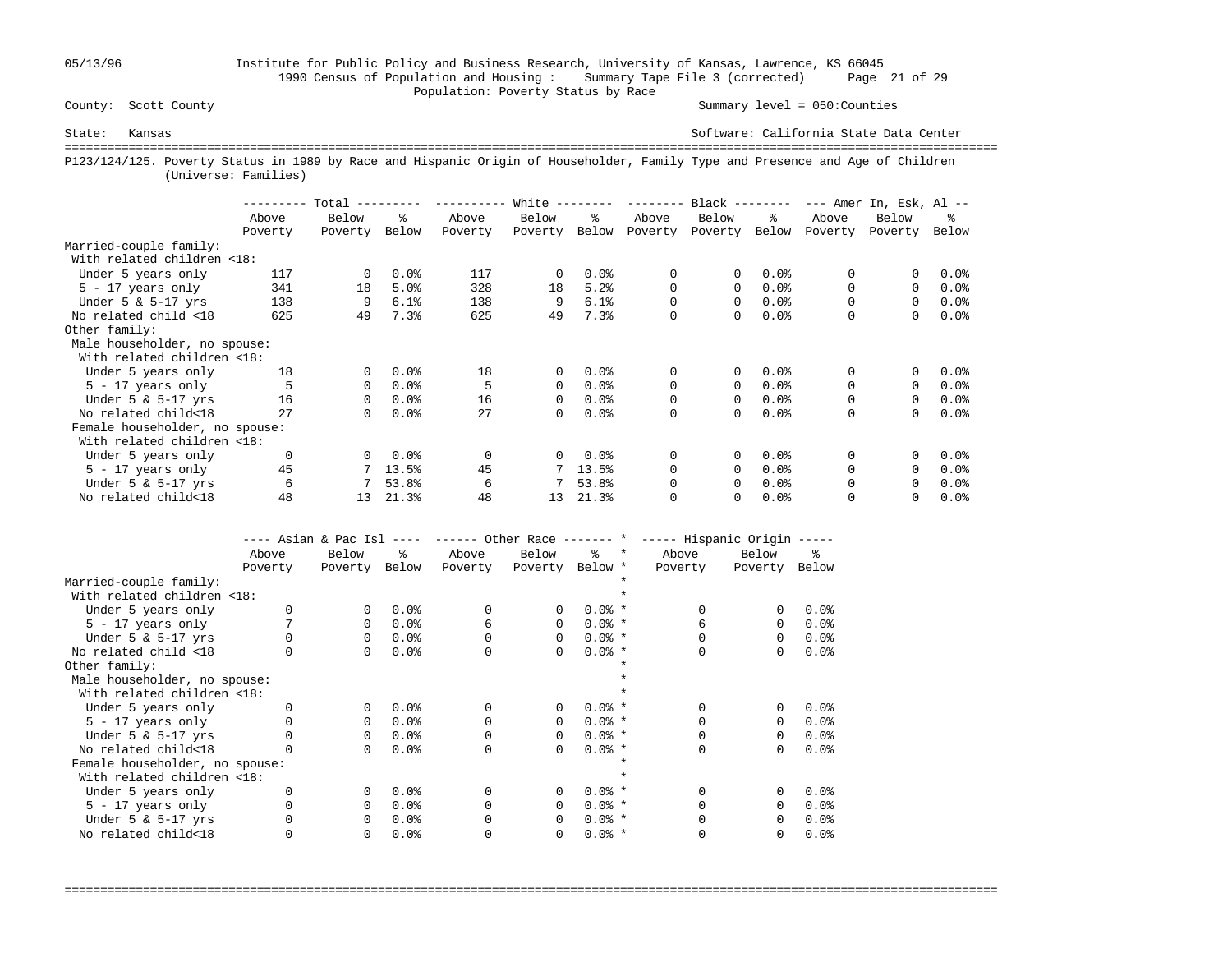## 05/13/96 Institute for Public Policy and Business Research, University of Kansas, Lawrence, KS 66045 1990 Census of Population and Housing : Summary Tape File 3 (corrected) Page 21 of 29 Population: Poverty Status by Race<br>
County: Scott County

Summary level =  $050$ : Counties

State: Kansas Software: California State Data Center =================================================================================================================================== P123/124/125. Poverty Status in 1989 by Race and Hispanic Origin of Householder, Family Type and Presence and Age of Children (Universe: Families)

|                                | --------- | $Total$ --------- |         | --------- | White $------$ |                        | --------- | $Black$ -------- |         |          | $---$ Amer In, Esk, Al $---$ |         |
|--------------------------------|-----------|-------------------|---------|-----------|----------------|------------------------|-----------|------------------|---------|----------|------------------------------|---------|
|                                | Above     | Below             | °≈      | Above     | Below          | ዱ                      | Above     | Below            | ະ       | Above    | Below                        | °≈      |
|                                | Poverty   | Poverty           | Below   | Poverty   | Poverty        | Below                  | Poverty   | Poverty          | Below   | Poverty  | Poverty                      | Below   |
| Married-couple family:         |           |                   |         |           |                |                        |           |                  |         |          |                              |         |
| With related children <18:     |           |                   |         |           |                |                        |           |                  |         |          |                              |         |
| Under 5 years only             | 117       | $\Omega$          | 0.0%    | 117       | $\Omega$       | 0.0%                   | 0         | 0                | 0.0%    | 0        |                              | $0.0$ % |
| $5 - 17$ years only            | 341       | 18                | 5.0%    | 328       | 18             | 5.2%                   | 0         | 0                | 0.0%    | $\Omega$ | $\Omega$                     | $0.0$ % |
| Under $5 \& 5-17$ yrs          | 138       | 9                 | 6.1%    | 138       | 9              | 6.1%                   | 0         | 0                | 0.0%    | 0        | $\Omega$                     | $0.0$ % |
| No related child <18           | 625       | 49                | 7.3%    | 625       | 49             | 7.3%                   | 0         | 0                | $0.0$ % | 0        | 0                            | 0.0%    |
| Other family:                  |           |                   |         |           |                |                        |           |                  |         |          |                              |         |
| Male householder, no spouse:   |           |                   |         |           |                |                        |           |                  |         |          |                              |         |
| With related children <18:     |           |                   |         |           |                |                        |           |                  |         |          |                              |         |
| Under 5 years only             | 18        | 0                 | 0.0%    | 18        | $\mathbf{0}$   | 0.0%                   | $\Omega$  | $\Omega$         | $0.0$ % | 0        | 0                            | 0.0%    |
| $5 - 17$ years only            |           | 0                 | 0.0%    | 5         | $\Omega$       | $0.0$ %                | 0         | 0                | 0.0%    | $\Omega$ | $\Omega$                     | $0.0$ % |
| Under $5 \& 5-17$ yrs          | 16        | 0                 | 0.0%    | 16        | $\Omega$       | $0.0$ %                | 0         | 0                | $0.0$ % | 0        | $\Omega$                     | $0.0$ % |
| No related child<18            | 27        | $\Omega$          | 0.0%    | 27        | $\Omega$       | 0.0%                   | 0         | 0                | $0.0$ % | 0        | $\Omega$                     | 0.0%    |
| Female householder, no spouse: |           |                   |         |           |                |                        |           |                  |         |          |                              |         |
| With related children <18:     |           |                   |         |           |                |                        |           |                  |         |          |                              |         |
| Under 5 years only             | 0         | 0                 | $0.0$ % | $\Omega$  | $\Omega$       | 0.0%                   | 0         | 0                | 0.0%    | 0        |                              | 0.0%    |
| $5 - 17$ years only            | 45        |                   | 13.5%   | 45        |                | $7, 13.5$ <sup>2</sup> | $\Omega$  | 0                | 0.0%    |          | $\Omega$                     | 0.0%    |
| Under $5 \& 5-17$ yrs          | 6         |                   | 53.8%   | 6         |                | 53.8%                  | 0         | 0                | 0.0%    | $\Omega$ | $\Omega$                     | $0.0$ % |
| No related child<18            | 48        | 13                | 21.3%   | 48        | 13             | 21.3%                  | O         | 0                | 0.0%    |          |                              | $0.0$ % |

|                                |         |          |       |          |                 |          |         | ---- Asian & Pac Isl ---- ------ Other Race ------- * ----- Hispanic Origin ----- |          |       |
|--------------------------------|---------|----------|-------|----------|-----------------|----------|---------|-----------------------------------------------------------------------------------|----------|-------|
|                                | Above   | Below    | ዱ     | Above    | Below           | န္       | $\star$ | Above                                                                             | Below    | ፠     |
|                                | Poverty | Poverty  | Below | Poverty  | Poverty Below * |          |         | Poverty                                                                           | Poverty  | Below |
| Married-couple family:         |         |          |       |          |                 |          |         |                                                                                   |          |       |
| With related children <18:     |         |          |       |          |                 |          |         |                                                                                   |          |       |
| Under 5 years only             |         | $\Omega$ | 0.0%  | $\Omega$ | 0               | $0.0%$ * |         |                                                                                   | $\Omega$ | 0.0%  |
| $5 - 17$ years only            |         | $\Omega$ | 0.0%  | 6        | $\Omega$        | $0.0%$ * |         | 6                                                                                 | $\Omega$ | 0.0%  |
| Under $5 \& 5-17$ yrs          |         | $\Omega$ | 0.0%  |          | $\Omega$        | $0.0%$ * |         |                                                                                   | 0        | 0.0%  |
| No related child <18           |         | $\Omega$ | 0.0%  | $\Omega$ | 0               | $0.0%$ * |         |                                                                                   | 0        | 0.0%  |
| Other family:                  |         |          |       |          |                 |          |         |                                                                                   |          |       |
| Male householder, no spouse:   |         |          |       |          |                 |          |         |                                                                                   |          |       |
| With related children <18:     |         |          |       |          |                 |          |         |                                                                                   |          |       |
| Under 5 years only             |         | $\Omega$ | 0.0%  |          | 0               | $0.0%$ * |         |                                                                                   | $\Omega$ | 0.0%  |
| $5 - 17$ years only            |         | 0        | 0.0%  |          | $\Omega$        | $0.0%$ * |         |                                                                                   | 0        | 0.0%  |
| Under $5 \& 5-17$ yrs          |         | $\Omega$ | 0.0%  |          | $\Omega$        | $0.0%$ * |         |                                                                                   | $\Omega$ | 0.0%  |
| No related child<18            |         | $\Omega$ | 0.0%  |          | 0               | $0.0%$ * |         |                                                                                   | 0        | 0.0%  |
| Female householder, no spouse: |         |          |       |          |                 |          |         |                                                                                   |          |       |
| With related children <18:     |         |          |       |          |                 |          |         |                                                                                   |          |       |
| Under 5 years only             |         | $\Omega$ | 0.0%  | $\Omega$ | 0               | $0.0%$ * |         |                                                                                   | $\Omega$ | 0.0%  |
| $5 - 17$ years only            |         | 0        | 0.0%  |          | $\Omega$        | $0.0%$ * |         |                                                                                   | $\Omega$ | 0.0%  |
| Under $5 \& 5-17$ yrs          |         | 0        | 0.0%  |          | $\Omega$        | $0.0%$ * |         |                                                                                   | 0        | 0.0%  |
| No related child<18            |         | 0        | 0.0%  |          | 0               | $0.0%$ * |         |                                                                                   | 0        | 0.0%  |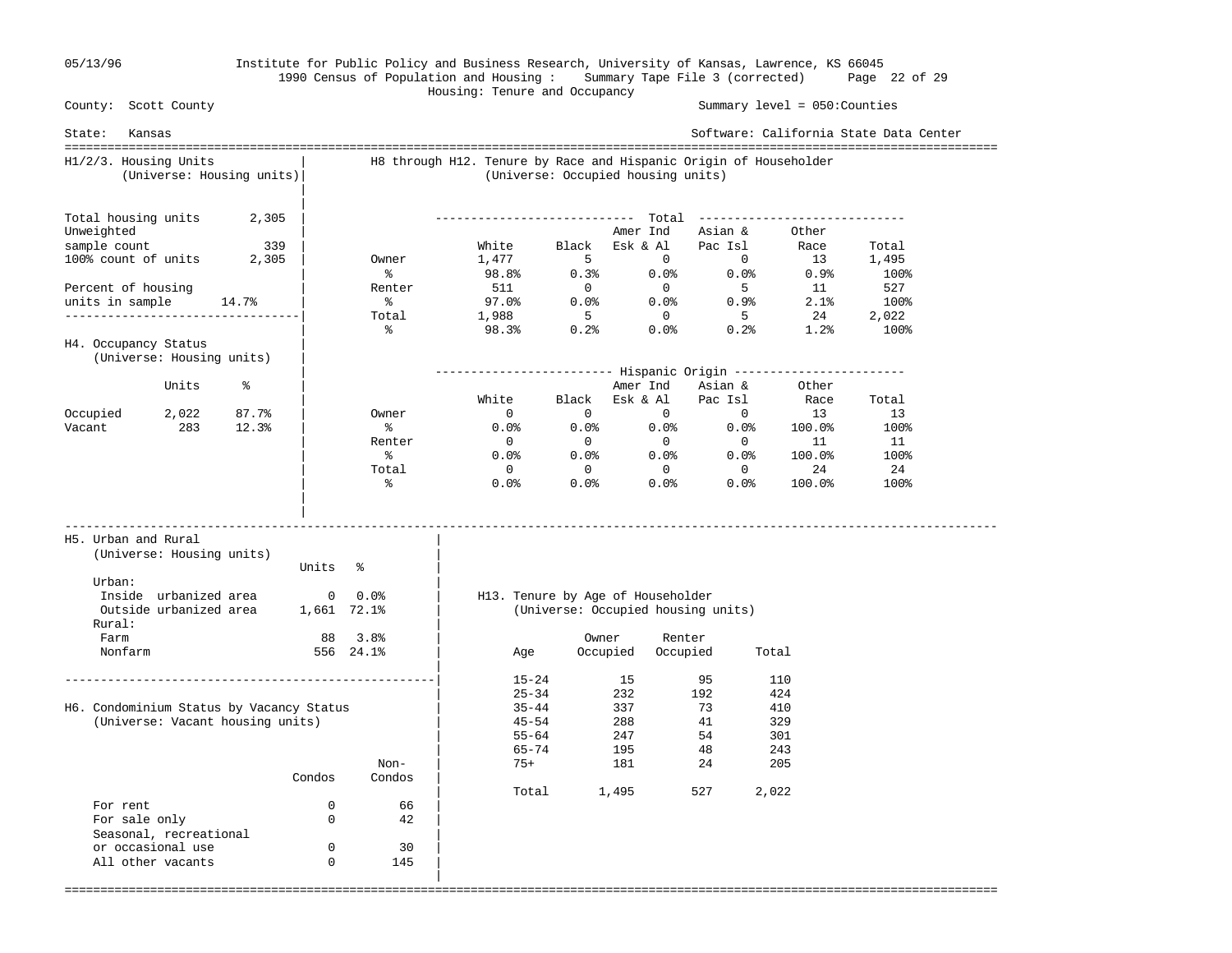|

#### 05/13/96 Institute for Public Policy and Business Research, University of Kansas, Lawrence, KS 66045 1990 Census of Population and Housing : Summary Tape File 3 (corrected) Page 22 of 29 Housing: Tenure and Occupancy

 County: Scott County Summary level = 050:Counties State: Kansas Software: California State Data Center =================================================================================================================================== H1/2/3. Housing Units | H8 through H12. Tenure by Race and Hispanic Origin of Householder (Universe: Housing units)| (Universe: Occupied housing units) | Total housing units  $2,305$  | Total housing units 2,305 | ---------------------------- Total ----------------------------- Unweighted  $\begin{array}{c|cccc}\n\text{Unweighted} & & & \\
\text{sample count} & & 339 & & \\
\text{100% count of units} & 2,305 & & \\
\end{array}$  Owner  $\begin{array}{c|cccc}\n\text{White} & & \text{Black} & \text{Esk & A1} & \text{Pac Isl} & \text{Race} \\
\text{1,477} & & 5 & 0 & 0 & 13\n\end{array}$  sample count 339 | White Black Esk & Al Pac Isl Race Total 100% count of units 2,305 | Owner 1,477 5 0 0 13 1,495  $\sim$  8 98.8% 0.3% 0.0% 0.0% 0.9% 100% Percent of housing  $\vert$  Renter 511 0 0 5 11 527 units in sample  $14.7$ % | % 97.0% 0.0% 0.0% 0.9% 2.1% 100% ----------------------------------| Total 1,988 5 0 5 24 2,022 | % 98.3% 0.2% 0.0% 0.2% 1.2% 100% H4. Occupancy Status (Universe: Housing units) | | ------------------------- Hispanic Origin ------------------------ Units % | Amer Ind Asian & Other | White Black Esk & Al Pac Isl Race Total Occupied 2,022 87.7% | Owner 0 0 0 0 0 13 13 Vacant 283 12.3% | % 0.0% 0.0% 0.0% 0.0% 100.0% 100% | Renter 0 0 0 0 0 11 11  $\sim$  8  $0.08$   $0.08$   $0.08$   $0.08$   $0.03$   $100.08$   $1008$  | Total 0 0 0 0 24 24  $\sim$  8  $0.08$   $0.08$   $0.08$   $0.08$   $0.03$   $100.08$   $1008$  | | ----------------------------------------------------------------------------------------------------------------------------------- H5. Urban and Rural | (Universe: Housing units) | Units % Urban:  $\qquad \qquad \blacksquare$  Inside urbanized area 0 0.0% | H13. Tenure by Age of Householder Outside urbanized area 1,661 72.1% | (Universe: Occupied housing units) Rural: | Farm 88 3.8% | Owner Renter Nonfarm 556 24.1% | Age Occupied Occupied Total | ----------------------------------------------------| 15-24 15 95 110  $|$  232 192 424 H6. Condominium Status by Vacancy Status | 35-44 337 73 410 (Universe: Vacant housing units)  $\begin{array}{ccc} | & 45-54 & 288 & 41 & 329 \\ | & 55-64 & 247 & 54 & 301 \end{array}$  $|$  55-64 247 54 301  $|$  65–74 195 48 243 Non-  $\vert$  75+ 181 24 205 Condos Condos | | Total 1,495 527 2,022 For rent  $0$  66<br>For sale only  $0$  42 For sale only 0 42 | Seasonal, recreational or occasional use 0 30 All other vacants 0 145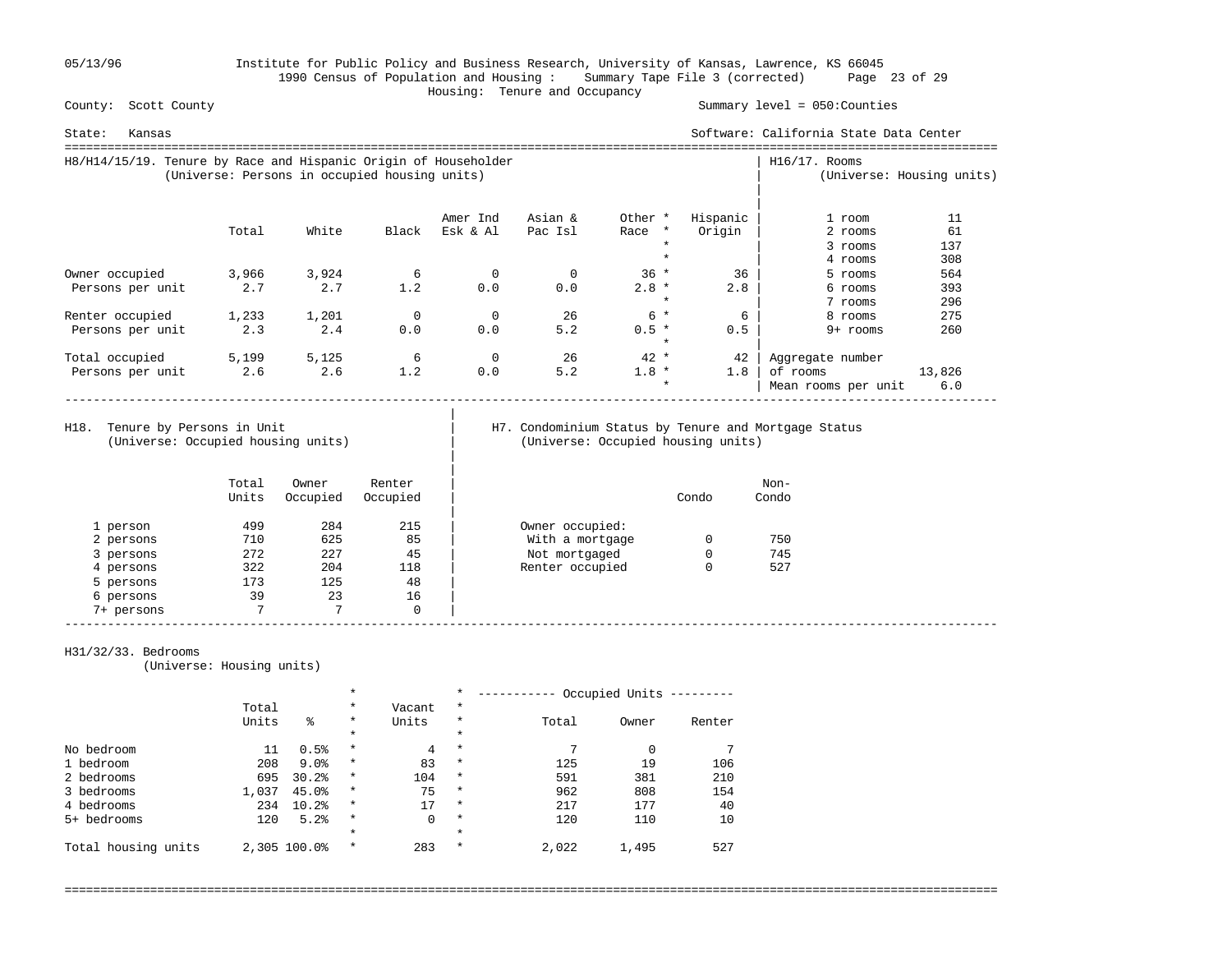05/13/96 Institute for Public Policy and Business Research, University of Kansas, Lawrence, KS 66045 1990 Census of Population and Housing : Summary Tape File 3 (corrected) Page 23 of 29 Housing: Tenure and Occupancy

Summary level =  $050$ : Counties

| Kansas<br>State:                                                |                                               |       |       |          |         |         |          | Software: California State Data Center |                           |
|-----------------------------------------------------------------|-----------------------------------------------|-------|-------|----------|---------|---------|----------|----------------------------------------|---------------------------|
| H8/H14/15/19. Tenure by Race and Hispanic Origin of Householder | (Universe: Persons in occupied housing units) |       |       |          |         |         |          | $H16/17$ . Rooms                       | (Universe: Housing units) |
|                                                                 |                                               |       |       | Amer Ind | Asian & | Other * | Hispanic | 1 room                                 | 11                        |
|                                                                 | Total                                         | White | Black | Esk & Al | Pac Isl | Race *  | Origin   | 2 rooms                                | 61                        |
|                                                                 |                                               |       |       |          |         | $\star$ |          | 3 rooms                                | 137                       |
|                                                                 |                                               |       |       |          |         | $\star$ |          | 4 rooms                                | 308                       |
| Owner occupied                                                  | 3,966                                         | 3,924 | 6     | 0        | 0       | $36 *$  | 36       | 5 rooms                                | 564                       |
| Persons per unit                                                | 2.7                                           | 2.7   | 1.2   | 0.0      | 0.0     | $2.8 *$ | 2.8      | 6 rooms                                | 393                       |
|                                                                 |                                               |       |       |          |         | $\star$ |          | 7 rooms                                | 296                       |
| Renter occupied                                                 | 1,233                                         | 1,201 | 0     | $\Omega$ | 26      | $6*$    | 6        | 8 rooms                                | 275                       |
| Persons per unit                                                | 2.3                                           | 2.4   | 0.0   | 0.0      | 5.2     | $0.5 *$ | 0.5      | $9+$ rooms                             | 260                       |
|                                                                 |                                               |       |       |          |         | $\ast$  |          |                                        |                           |
| Total occupied                                                  | 5,199                                         | 5,125 | 6     | 0        | 26      | $42 *$  | 42       | Aggregate number                       |                           |
| Persons per unit                                                | 2.6                                           | 2.6   | 1.2   | 0.0      | 5.2     | $1.8 *$ | 1.8      | of rooms                               | 13,826                    |
|                                                                 |                                               |       |       |          |         | $\star$ |          | Mean rooms per unit                    | 6.0                       |

(Universe: Occupied housing units) | (Universe: Occupied housing units)

|

|

# H18. Tenure by Persons in Unit | H7. Condominium Status by Tenure and Mortgage Status (Universe: Occupied housing units)

|            | Total<br>Units | Owner<br>Occupied | Renter<br>Occupied |                 | Condo | Non-<br>Condo |
|------------|----------------|-------------------|--------------------|-----------------|-------|---------------|
| 1 person   | 499            | 284               | 215                | Owner occupied: |       |               |
| 2 persons  | 710            | 625               | 85                 | With a mortgage |       | 750           |
| 3 persons  | 272            | 227               | 45                 | Not mortgaged   | 0     | 745           |
| 4 persons  | 322            | 204               | 118                | Renter occupied | 0     | 527           |
| 5 persons  | 173            | 125               | 48                 |                 |       |               |
| 6 persons  | 39             | 23                | 16                 |                 |       |               |
| 7+ persons | 7              | 7                 | 0                  |                 |       |               |

#### H31/32/33. Bedrooms

(Universe: Housing units)

|                     |       | $\star$      |          | $\star$        | Occupied Units |       |       |        |
|---------------------|-------|--------------|----------|----------------|----------------|-------|-------|--------|
|                     | Total |              | $\star$  | Vacant         | $^\star$       |       |       |        |
|                     | Units | ిక           | $\star$  | Units          | $\star$        | Total | Owner | Renter |
|                     |       |              | $\star$  |                | $\star$        |       |       |        |
| No bedroom          | 11    | 0.5%         | $^\star$ | $\overline{4}$ | $\star$        | 7     |       |        |
| 1 bedroom           | 208   | 9.0%         | $^\star$ | 83             | $\star$        | 125   | 19    | 106    |
| 2 bedrooms          | 695   | 30.2%        | $^\star$ | 104            | $\star$        | 591   | 381   | 210    |
| 3 bedrooms          | 1,037 | 45.0%        | $\star$  | 75             | $\star$        | 962   | 808   | 154    |
| 4 bedrooms          | 234   | 10.2%        | $\star$  | 17             | $\star$        | 217   | 177   | 40     |
| 5+ bedrooms         | 120   | 5.2%         | $\star$  | 0              | $\star$        | 120   | 110   | 10     |
|                     |       |              | $\star$  |                | $\star$        |       |       |        |
| Total housing units |       | 2,305 100.0% | $\star$  | 283            | $\star$        | 2,022 | 1,495 | 527    |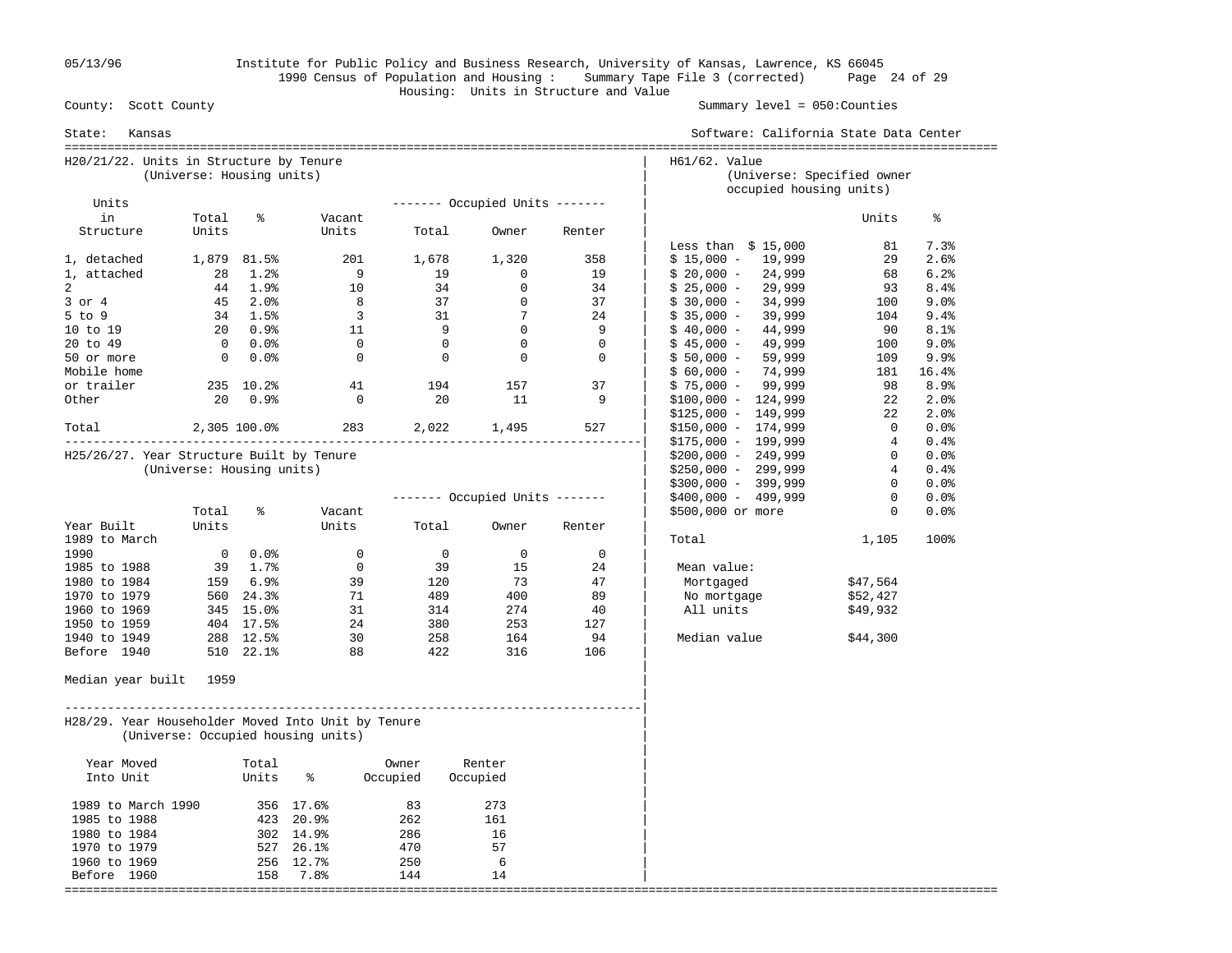05/13/96 Institute for Public Policy and Business Research, University of Kansas, Lawrence, KS 66045 1990 Census of Population and Housing : Summary Tape File 3 (corrected) Page 24 of 29 Housing: Units in Structure and Value County: Scott County

Summary level =  $050$ : Counties

| State:<br>Kansas                                   |                           |                          |                                    |                |                                |             | Software: California State Data Center      |                |           |
|----------------------------------------------------|---------------------------|--------------------------|------------------------------------|----------------|--------------------------------|-------------|---------------------------------------------|----------------|-----------|
| H20/21/22. Units in Structure by Tenure            | (Universe: Housing units) |                          |                                    |                |                                |             | H61/62. Value<br>(Universe: Specified owner |                |           |
| Units                                              |                           |                          |                                    |                | ------- Occupied Units ------- |             | occupied housing units)                     |                |           |
| in                                                 | Total                     | ႜ                        | Vacant                             |                |                                |             |                                             | Units          | ႜ         |
| Structure                                          | Units                     |                          | Units                              | Total          | Owner                          | Renter      |                                             |                |           |
|                                                    |                           |                          |                                    |                |                                |             | Less than $$15,000$                         | 81             | 7.3%      |
| 1, detached                                        |                           | 1,879 81.5%              | 201                                | 1,678          | 1,320                          | 358         | $$15,000 - 19,999$                          | 29             | 2.6%      |
| 1, attached                                        | 28                        | $1.2\%$                  | $\overline{9}$                     | 19             | $\mathbf 0$                    | 19          | $$20,000 - 24,999$                          | 68             | 6.2%      |
| 2                                                  |                           | 44 1.9%                  | 10                                 | 34             | $\mathbf 0$                    | 34          | $$25,000 -$<br>29,999                       | 93             | 8.4%      |
| $3$ or $4$                                         |                           | 45 2.0%                  | 8                                  | 37             | $\overline{0}$                 | 37          | 34,999<br>$$30,000 -$                       | 100            | 9.0%      |
| $5$ to $9$                                         |                           | 34 1.5%                  | $\overline{\mathbf{3}}$            | 31             | $\overline{7}$                 | 24          | $$35,000 -$<br>39,999                       | 104            | 9.4%      |
| 10 to 19                                           |                           | $20 \t 0.9$ <sup>9</sup> | 11                                 | 9              | $\overline{0}$                 | - 9         | $$40,000 -$<br>44,999                       | 90             | 8.1%      |
| 20 to 49                                           |                           | 0.0%                     | $\bigcirc$                         | $\overline{0}$ | $\Omega$                       | $\Omega$    | 49,999<br>$$45,000 -$                       | 100            | 9.0%      |
| 50 or more                                         |                           | $0.0$ %                  | $\mathbf 0$                        | $\overline{0}$ | $\overline{0}$                 | $\mathbf 0$ | $$50,000 -$<br>59,999                       | 109            | 9.9%      |
| Mobile home                                        |                           |                          |                                    |                |                                |             | $$60,000 - 74,999$                          |                | 181 16.4% |
| or trailer                                         |                           | 235 10.2%                | 41                                 | 194            | 157                            | 37          | $$75,000 - 99,999$                          | 98             | 8.9%      |
| Other                                              | 20                        | 0.9%                     | $\Omega$                           | 20             | 11                             | -9          | $$100,000 - 124,999$                        | 22             | 2.0%      |
|                                                    |                           |                          |                                    |                |                                |             | $$125,000 - 149,999$                        | 22             | 2.0%      |
| Total                                              | 2,305 100.0%              |                          |                                    |                | 283 2,022 1,495                | 527         | $$150,000 - 174,999$                        | $\mathbf{0}$   | $0.0$ %   |
|                                                    |                           |                          |                                    |                |                                |             | $$175,000 - 199,999$                        | 4              | 0.4%      |
| H25/26/27. Year Structure Built by Tenure          |                           |                          |                                    |                |                                |             | $$200,000 - 249,999$                        | $\overline{0}$ | 0.0%      |
|                                                    | (Universe: Housing units) |                          |                                    |                |                                |             | $$250,000 - 299,999$                        | 4              | 0.4%      |
|                                                    |                           |                          |                                    |                |                                |             | $$300,000 - 399,999$                        | $\mathbf{0}$   | $0.0$ %   |
|                                                    |                           |                          |                                    |                | ------- Occupied Units ------- |             | \$400,000 - 499,999                         | $\Omega$       | 0.0%      |
|                                                    | Total                     | နွ                       | Vacant                             |                |                                |             | \$500,000 or more                           | $\mathbf{0}$   | 0.0%      |
| Year Built                                         | Units                     |                          | Units                              | Total          | Owner                          | Renter      |                                             |                | 100%      |
| 1989 to March<br>1990                              |                           | $0.0$ %                  | $\mathbf 0$                        | $\overline{0}$ | $\mathbf 0$                    | $\mathbf 0$ | Total                                       | 1,105          |           |
| 1985 to 1988                                       |                           | 39 1.7%                  | $\overline{0}$                     | 39             | 15                             | 24          | Mean value:                                 |                |           |
| 1980 to 1984                                       |                           | 159 6.9%                 | 39                                 | 120            | 73                             | 47          | Mortgaged                                   | \$47,564       |           |
| 1970 to 1979                                       |                           | 560 24.3%                | 71                                 | 489            | 400                            | 89          | No mortgage                                 | \$52,427       |           |
| 1960 to 1969                                       |                           | 345 15.0%                | 31                                 | 314            | 274                            | 40          | All units                                   | \$49,932       |           |
| 1950 to 1959                                       |                           | 404 17.5%                | 24                                 | 380            | 253                            | 127         |                                             |                |           |
| 1940 to 1949                                       |                           | 288 12.5%                | 30                                 | 258            | 164                            | 94          | Median value                                | \$44,300       |           |
| Before 1940                                        |                           | 510 22.1%                | 88                                 | 422            | 316                            | 106         |                                             |                |           |
| Median year built 1959                             |                           |                          |                                    |                |                                |             |                                             |                |           |
| H28/29. Year Householder Moved Into Unit by Tenure |                           |                          | (Universe: Occupied housing units) |                |                                |             |                                             |                |           |
| Year Moved                                         |                           | Total                    |                                    | Owner          | Renter                         |             |                                             |                |           |
| Into Unit                                          |                           | Units                    | နွ                                 | Occupied       | Occupied                       |             |                                             |                |           |
| 1989 to March 1990                                 |                           |                          | 356 17.6%                          | 83             | 273                            |             |                                             |                |           |
| 1985 to 1988                                       |                           |                          | 423 20.9%                          | 262            | 161                            |             |                                             |                |           |
| 1980 to 1984                                       |                           |                          | 302 14.9%                          | 286            | 16                             |             |                                             |                |           |
| 1970 to 1979                                       |                           |                          | 527 26.1%                          | 470            | 57                             |             |                                             |                |           |
| 1960 to 1969                                       |                           |                          | 256 12.7%                          | 250            | 6                              |             |                                             |                |           |
| Before 1960                                        |                           |                          | 158 7.8%                           | 144            | 14                             |             |                                             |                |           |
|                                                    |                           |                          |                                    |                |                                |             |                                             |                |           |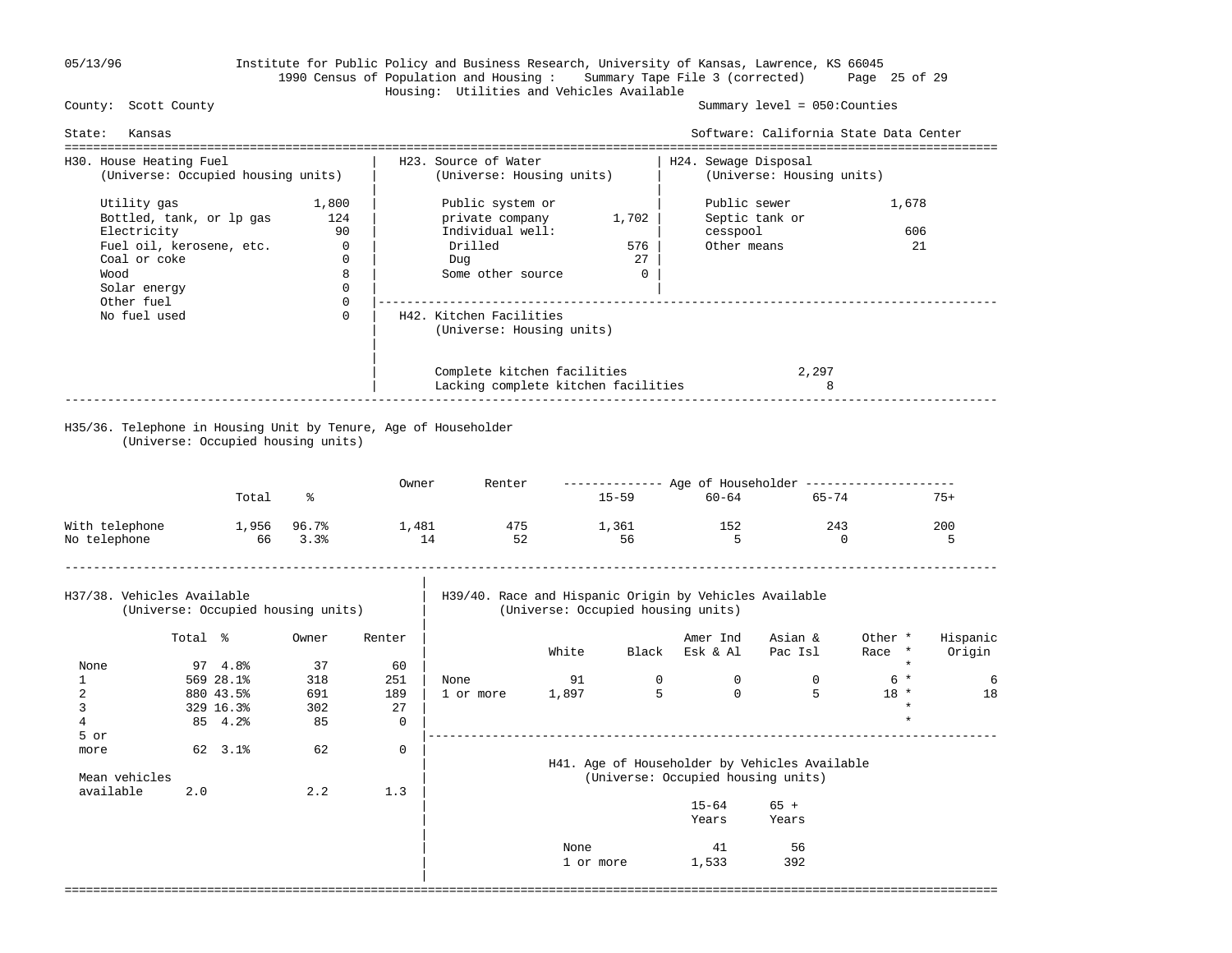| 05/13/96 |  |  |  |
|----------|--|--|--|
|----------|--|--|--|

## 05/13/96 Institute for Public Policy and Business Research, University of Kansas, Lawrence, KS 66045 1990 Census of Population and Housing : Summary Tape File 3 (corrected) Page 25 of 29 Housing: Utilities and Vehicles Available

Summary level =  $050$ : Counties

| State:                                                        | Kansas                                                                                                                           |                                                                  |                                                                                      |                                       |                                                                                                |             |                                      |                                         | Software: California State Data Center        |                                                 |                    |
|---------------------------------------------------------------|----------------------------------------------------------------------------------------------------------------------------------|------------------------------------------------------------------|--------------------------------------------------------------------------------------|---------------------------------------|------------------------------------------------------------------------------------------------|-------------|--------------------------------------|-----------------------------------------|-----------------------------------------------|-------------------------------------------------|--------------------|
|                                                               | H30. House Heating Fuel<br>(Universe: Occupied housing units)                                                                    |                                                                  |                                                                                      |                                       | H23. Source of Water<br>(Universe: Housing units)                                              |             |                                      | H24. Sewage Disposal                    | (Universe: Housing units)                     |                                                 |                    |
| Wood                                                          | Utility gas<br>Bottled, tank, or lp gas<br>Electricity<br>Fuel oil, kerosene, etc.<br>Coal or coke<br>Solar energy<br>Other fuel |                                                                  | 1,800<br>124<br>90<br>$\overline{0}$<br>$\mathbf{0}$<br>8<br>$\mathbf 0$<br>$\Omega$ |                                       | Public system or<br>private company<br>Individual well:<br>Drilled<br>Duq<br>Some other source |             | 1,702<br>576<br>27<br>$\overline{0}$ | Public sewer<br>cesspool<br>Other means | Septic tank or                                | 1,678<br>606<br>21                              |                    |
|                                                               | No fuel used                                                                                                                     |                                                                  | $\Omega$                                                                             |                                       | H42. Kitchen Facilities<br>(Universe: Housing units)                                           |             |                                      |                                         |                                               |                                                 |                    |
|                                                               |                                                                                                                                  |                                                                  |                                                                                      |                                       | Complete kitchen facilities<br>Lacking complete kitchen facilities                             |             |                                      |                                         | 2,297<br>8                                    |                                                 |                    |
|                                                               | (Universe: Occupied housing units)                                                                                               |                                                                  |                                                                                      |                                       | H35/36. Telephone in Housing Unit by Tenure, Age of Householder                                |             |                                      |                                         |                                               |                                                 |                    |
|                                                               |                                                                                                                                  | Total                                                            | ႜ                                                                                    | Owner                                 | Renter                                                                                         |             |                                      | 15-59 60-64                             | $65 - 74$                                     |                                                 | $75+$              |
| With telephone<br>1,956 96.7%<br>66 3.3%<br>No telephone      |                                                                                                                                  |                                                                  | 1,481<br>14                                                                          | 475<br>52                             |                                                                                                | 1,361<br>56 | 152<br>5                             | 243                                     | $\Omega$                                      | 200<br>5                                        |                    |
|                                                               | H37/38. Vehicles Available<br>(Universe: Occupied housing units)                                                                 |                                                                  |                                                                                      |                                       | H39/40. Race and Hispanic Origin by Vehicles Available<br>(Universe: Occupied housing units)   |             |                                      |                                         |                                               |                                                 |                    |
|                                                               | Total %                                                                                                                          |                                                                  | Owner                                                                                | Renter                                |                                                                                                | White       |                                      | Amer Ind<br>Black Esk & Al              | Asian &<br>Pac Isl                            | Other *<br>Race *                               | Hispanic<br>Origin |
| None<br>$\mathbf{1}$<br>$\overline{2}$<br>3<br>$\overline{4}$ |                                                                                                                                  | $97 \quad 4.8$<br>569 28.1%<br>880 43.5%<br>329 16.3%<br>85 4.2% | 37<br>318<br>691<br>302<br>85                                                        | 60<br>251<br>189<br>27<br>$\mathbf 0$ | None<br>1 or more                                                                              | 91<br>1,897 | $\overline{0}$<br>5                  | $\overline{0}$<br>$\Omega$              | $\Omega$<br>$5^{\circ}$                       | $\star$<br>$6*$<br>$18 *$<br>$\star$<br>$\star$ | 6<br>18            |
| 5 or<br>more<br>Mean vehicles<br>available                    | 2.0                                                                                                                              | 62 3.1%                                                          | 62<br>2.2                                                                            | $\mathbf{0}$<br>1.3                   |                                                                                                |             |                                      | (Universe: Occupied housing units)      | H41. Age of Householder by Vehicles Available |                                                 |                    |
|                                                               |                                                                                                                                  |                                                                  |                                                                                      |                                       |                                                                                                |             |                                      | $15 - 64$<br>Years                      | $65 +$<br>Years                               |                                                 |                    |
|                                                               |                                                                                                                                  |                                                                  |                                                                                      |                                       |                                                                                                | None        | 1 or more                            | 41<br>1,533                             | 56<br>392                                     |                                                 |                    |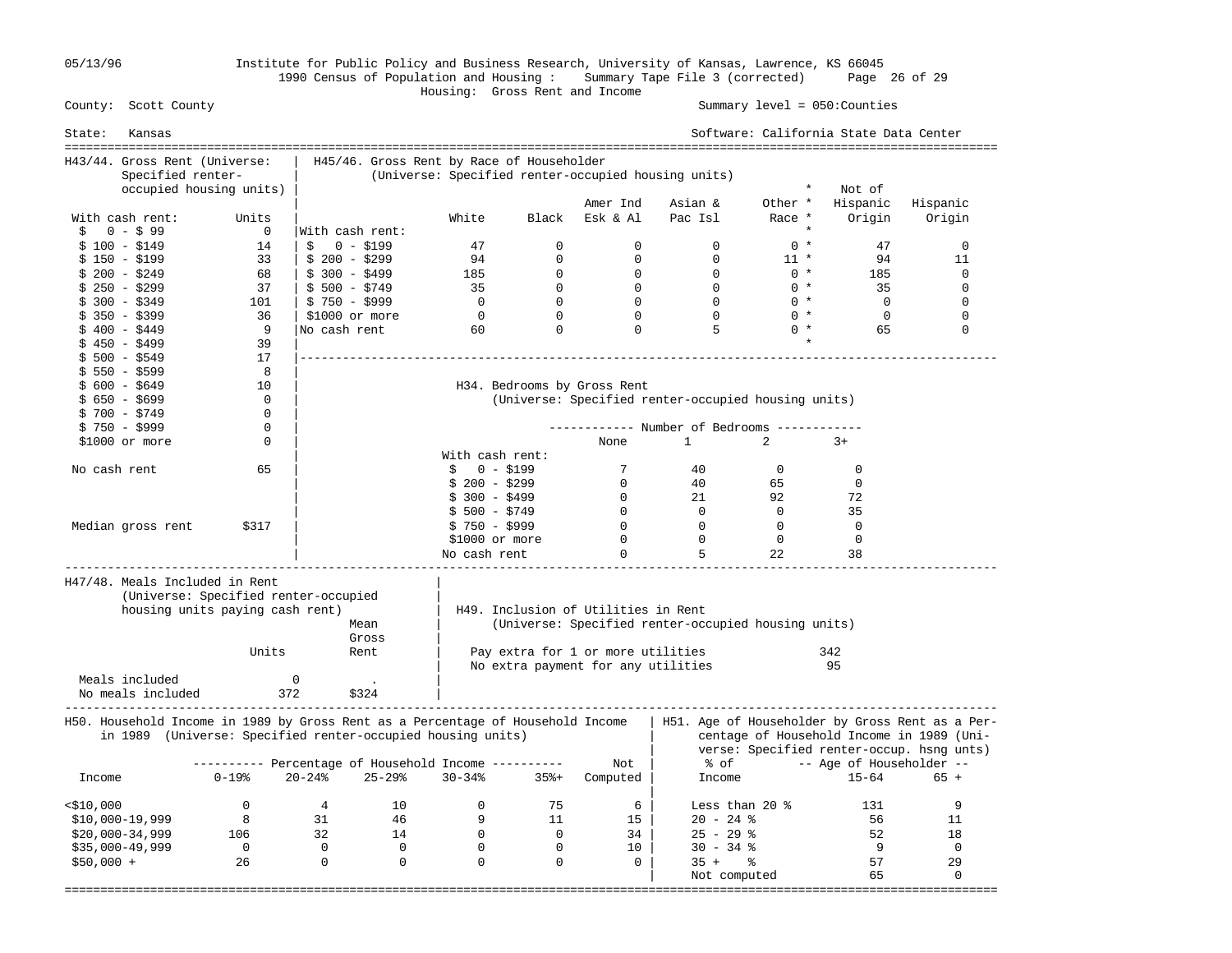05/13/96 Institute for Public Policy and Business Research, University of Kansas, Lawrence, KS 66045 1990 Census of Population and Housing : Summary Tape File 3 (corrected) Page 26 of 29

#### Housing: Gross Rent and Income Summary level =  $050$ : Counties

| State:       | Kansas                                                                                                                                         |                                                     |                 |                |                                           |                |                                     |                                                     |                | Software: California State Data Center |                                                                                                                                           |
|--------------|------------------------------------------------------------------------------------------------------------------------------------------------|-----------------------------------------------------|-----------------|----------------|-------------------------------------------|----------------|-------------------------------------|-----------------------------------------------------|----------------|----------------------------------------|-------------------------------------------------------------------------------------------------------------------------------------------|
|              | H43/44. Gross Rent (Universe:                                                                                                                  |                                                     |                 |                | H45/46. Gross Rent by Race of Householder |                |                                     |                                                     |                |                                        |                                                                                                                                           |
|              | Specified renter-                                                                                                                              |                                                     |                 |                |                                           |                |                                     | (Universe: Specified renter-occupied housing units) |                |                                        |                                                                                                                                           |
|              | occupied housing units)                                                                                                                        |                                                     |                 |                |                                           |                |                                     |                                                     | $\star$        | Not of                                 |                                                                                                                                           |
|              |                                                                                                                                                |                                                     |                 |                |                                           |                | Amer Ind                            | Asian &                                             | Other *        | Hispanic                               | Hispanic                                                                                                                                  |
|              | With cash rent:                                                                                                                                | Units                                               |                 |                | White                                     | Black          | Esk & Al                            | Pac Isl                                             | Race *         | Origin                                 | Origin                                                                                                                                    |
| Ŝ.           | $0 - $99$                                                                                                                                      | $\mathbf 0$                                         | With cash rent: |                |                                           |                |                                     |                                                     |                |                                        |                                                                                                                                           |
|              | $$100 - $149$                                                                                                                                  | 14                                                  | Ŝ               | $0 - $199$     | 47                                        | $\mathbf 0$    | $\mathbf 0$                         | $\mathbf 0$                                         | $0 *$          | 47                                     | $\mathbf{0}$                                                                                                                              |
|              | $$150 - $199$                                                                                                                                  | 33                                                  | $$200 - $299$   |                | 94                                        | $\mathbf 0$    | $\mathbf 0$                         | $\mathbf 0$                                         | $11 *$         | 94                                     | 11                                                                                                                                        |
|              | $$200 - $249$                                                                                                                                  | 68                                                  | $$300 - $499$   |                | 185                                       | $\mathbf{0}$   | $\mathbf 0$                         | $\mathbf{0}$                                        | $0 *$          | 185                                    | $\Omega$                                                                                                                                  |
|              | $$250 - $299$                                                                                                                                  | 37                                                  | $$500 - $749$   |                | 35                                        | $\Omega$       | $\overline{0}$                      | $\Omega$                                            | $0 *$          | 35                                     | $\Omega$                                                                                                                                  |
|              | $$300 - $349$                                                                                                                                  | 101                                                 | $$750 - $999$   |                | $\overline{0}$                            | $\overline{0}$ | $\overline{0}$                      | $\Omega$                                            | $0 *$          | $\bigcirc$                             | $\mathbf{0}$                                                                                                                              |
|              | $$350 - $399$                                                                                                                                  | 36                                                  | \$1000 or more  |                | $\overline{0}$                            | $\mathbf 0$    | $\overline{0}$                      | $\Omega$                                            | $0 *$          | $\overline{0}$                         | $\mathbf{0}$                                                                                                                              |
|              | $$400 - $449$                                                                                                                                  | 9                                                   | No cash rent    |                | 60                                        | $\mathbf 0$    | $\mathbf 0$                         | 5                                                   | $0 *$          | 65                                     | $\mathbf 0$                                                                                                                               |
|              | $$450 - $499$                                                                                                                                  | 39                                                  |                 |                |                                           |                |                                     |                                                     |                |                                        |                                                                                                                                           |
|              | $$500 - $549$                                                                                                                                  | 17                                                  |                 |                |                                           |                |                                     |                                                     |                |                                        |                                                                                                                                           |
|              | $$550 - $599$                                                                                                                                  | 8                                                   |                 |                |                                           |                |                                     |                                                     |                |                                        |                                                                                                                                           |
|              | $$600 - $649$                                                                                                                                  | 10                                                  |                 |                |                                           |                | H34. Bedrooms by Gross Rent         |                                                     |                |                                        |                                                                                                                                           |
|              | $$650 - $699$                                                                                                                                  | $\Omega$                                            |                 |                |                                           |                |                                     | (Universe: Specified renter-occupied housing units) |                |                                        |                                                                                                                                           |
|              | \$ 700 - \$749                                                                                                                                 | $\mathbf 0$                                         |                 |                |                                           |                |                                     |                                                     |                |                                        |                                                                                                                                           |
|              | $$750 - $999$                                                                                                                                  | $\Omega$                                            |                 |                |                                           |                |                                     | ----------- Number of Bedrooms --------             |                |                                        |                                                                                                                                           |
|              | $$1000$ or more                                                                                                                                | 0                                                   |                 |                |                                           |                | None                                | $\mathbf{1}$                                        | 2              | $3+$                                   |                                                                                                                                           |
|              |                                                                                                                                                |                                                     |                 |                | With cash rent:                           |                |                                     |                                                     |                |                                        |                                                                                                                                           |
|              | No cash rent                                                                                                                                   | 65                                                  |                 |                | $\mathsf{S}$<br>$0 - $199$                |                | 7                                   | 40                                                  | $\Omega$       | $\Omega$                               |                                                                                                                                           |
|              |                                                                                                                                                |                                                     |                 |                | $$200 - $299$                             |                | $\overline{0}$                      | 40                                                  | 65             | $\mathbf 0$                            |                                                                                                                                           |
|              |                                                                                                                                                |                                                     |                 |                | $$300 - $499$                             |                | $\overline{0}$                      | 21                                                  | 92             | 72                                     |                                                                                                                                           |
|              |                                                                                                                                                |                                                     |                 |                | $$500 - $749$                             |                | $\overline{0}$                      | $\overline{0}$                                      | $\overline{0}$ | 35                                     |                                                                                                                                           |
|              | Median gross rent                                                                                                                              | \$317                                               |                 |                | \$750 - \$999                             |                | $\mathbf{0}$                        | $\overline{0}$                                      | $\mathbf{0}$   | $\mathbf 0$                            |                                                                                                                                           |
|              |                                                                                                                                                |                                                     |                 |                | \$1000 or more                            |                | $\Omega$                            | $\overline{0}$                                      | $\Omega$       | 0                                      |                                                                                                                                           |
|              |                                                                                                                                                |                                                     |                 |                | No cash rent                              |                | $\mathbf 0$                         | 5                                                   | 22             | 38                                     |                                                                                                                                           |
|              | H47/48. Meals Included in Rent                                                                                                                 |                                                     |                 |                |                                           |                |                                     |                                                     |                |                                        |                                                                                                                                           |
|              |                                                                                                                                                | (Universe: Specified renter-occupied)               |                 |                |                                           |                |                                     |                                                     |                |                                        |                                                                                                                                           |
|              |                                                                                                                                                | housing units paying cash rent)                     |                 |                |                                           |                | H49. Inclusion of Utilities in Rent |                                                     |                |                                        |                                                                                                                                           |
|              |                                                                                                                                                |                                                     |                 | Mean           |                                           |                |                                     | (Universe: Specified renter-occupied housing units) |                |                                        |                                                                                                                                           |
|              |                                                                                                                                                |                                                     |                 | Gross          |                                           |                |                                     |                                                     |                |                                        |                                                                                                                                           |
|              |                                                                                                                                                | Units                                               |                 | Rent           |                                           |                | Pay extra for 1 or more utilities   |                                                     |                | 342                                    |                                                                                                                                           |
|              |                                                                                                                                                |                                                     |                 |                |                                           |                | No extra payment for any utilities  |                                                     |                | 95                                     |                                                                                                                                           |
|              | Meals included                                                                                                                                 |                                                     | $\Omega$        |                |                                           |                |                                     |                                                     |                |                                        |                                                                                                                                           |
|              | No meals included                                                                                                                              | 372                                                 |                 | \$324          |                                           |                |                                     |                                                     |                |                                        |                                                                                                                                           |
|              |                                                                                                                                                |                                                     |                 |                |                                           |                |                                     |                                                     |                |                                        |                                                                                                                                           |
|              | H50. Household Income in 1989 by Gross Rent as a Percentage of Household Income<br>in 1989 (Universe: Specified renter-occupied housing units) |                                                     |                 |                |                                           |                |                                     |                                                     |                |                                        | H51. Age of Householder by Gross Rent as a Per-<br>centage of Household Income in 1989 (Uni-<br>verse: Specified renter-occup. hsng unts) |
|              |                                                                                                                                                | --------- Percentage of Household Income ---------- |                 |                |                                           |                | Not                                 | % of                                                |                | -- Age of Householder --               |                                                                                                                                           |
| Income       |                                                                                                                                                | $0 - 19$ %                                          | $20 - 24%$      | $25 - 29$      | $30 - 34%$                                | $35% +$        | Computed                            | Income                                              |                | $15 - 64$                              | 65 +                                                                                                                                      |
|              |                                                                                                                                                |                                                     |                 |                |                                           |                |                                     |                                                     |                |                                        |                                                                                                                                           |
| $<$ \$10,000 |                                                                                                                                                | $\mathbf{0}$                                        | 4               | 10             | $\overline{0}$                            | 75             | 6                                   | Less than 20 $\textdegree$                          |                | 131                                    | 9                                                                                                                                         |
|              | $$10,000-19,999$                                                                                                                               | $_{\rm 8}$                                          | 31              | 46             | 9                                         | 11             | 15                                  | $20 - 24$ %                                         |                | 56                                     | 11                                                                                                                                        |
|              | $$20,000-34,999$                                                                                                                               | 106                                                 | 32              | 14             | $\overline{0}$                            | $\overline{0}$ | 34                                  | $25 - 29$ %                                         |                | 52                                     | 18                                                                                                                                        |
|              | $$35,000-49,999$                                                                                                                               | $\overline{0}$                                      | $\overline{0}$  | $\overline{0}$ | $\mathbf 0$                               | $\overline{0}$ | 10                                  | $30 - 34$ %                                         |                | - 9                                    | $\overline{0}$                                                                                                                            |
| $$50,000 +$  |                                                                                                                                                | 26                                                  | $\overline{0}$  | $\overline{0}$ | $\mathbf 0$                               | $\mathbf 0$    | 0                                   | $35 +$                                              | ್ಠಿ            | 57                                     | 29                                                                                                                                        |
|              |                                                                                                                                                |                                                     |                 |                |                                           |                |                                     | Not computed                                        |                | 65                                     | $\mathbf 0$                                                                                                                               |
|              |                                                                                                                                                |                                                     |                 |                |                                           |                |                                     |                                                     |                | ;============================          |                                                                                                                                           |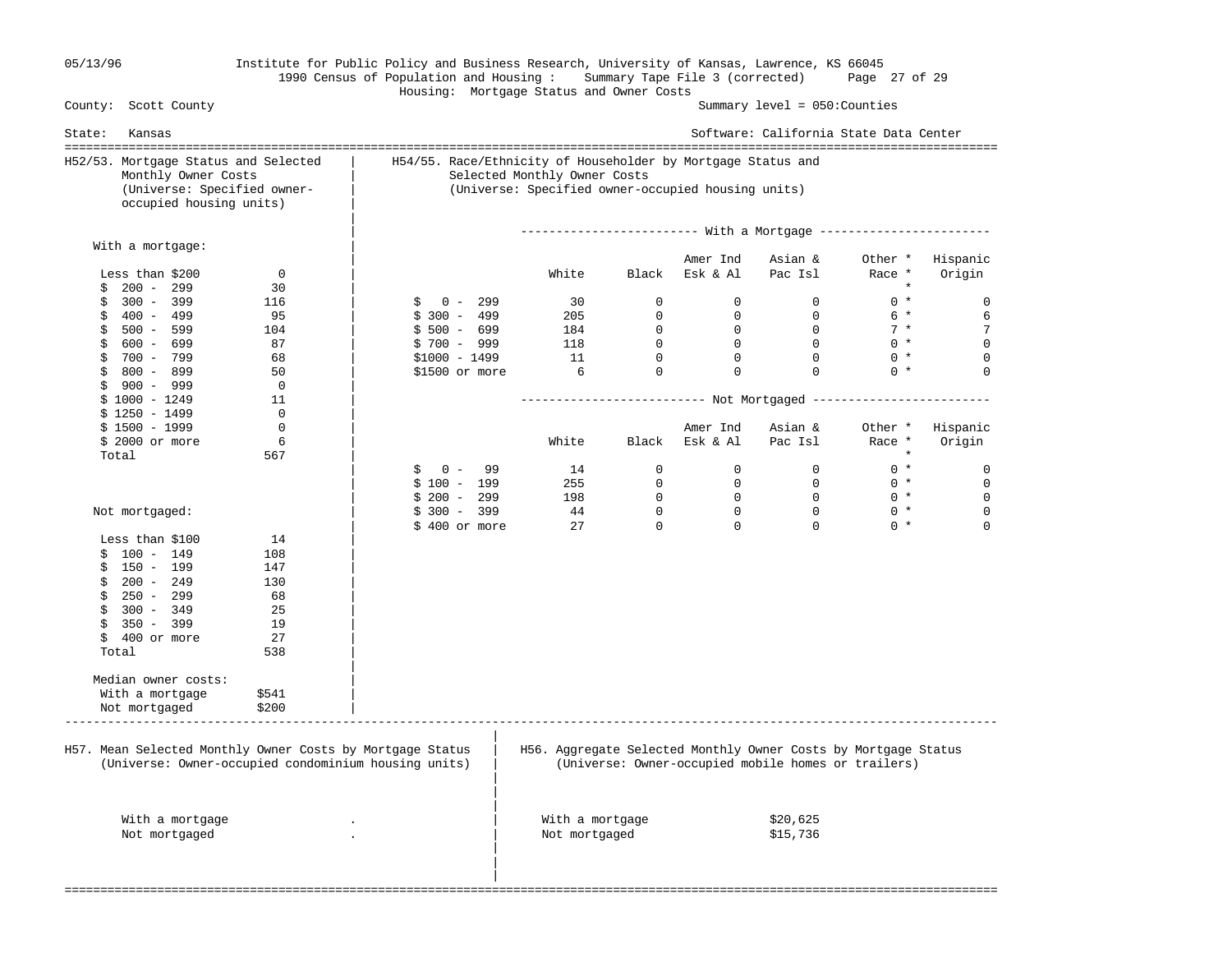#### 05/13/96 Institute for Public Policy and Business Research, University of Kansas, Lawrence, KS 66045 1990 Census of Population and Housing : Summary Tape File 3 (corrected) Page 27 of 29 Housing: Mortgage Status and Owner Costs

County: Scott County Summary level = 050:Counties

State: Kansas Software: California State Data Center =================================================================================================================================== H52/53. Mortgage Status and Selected | H54/55. Race/Ethnicity of Householder by Mortgage Status and Monthly Owner Costs | Selected Monthly Owner Costs (Universe: Specified owner- | (Universe: Specified owner-occupied housing units) occupied housing units) | | | ------------------------- With a Mortgage ------------------------ With a mortgage: | Amer Ind Asian & Other \* Hispanic Less than \$200 0 | White Black Esk & Al Pac Isl Race \* Origin  $\frac{1}{2}$  200 - 299 30 | \* \$ 300 - 399 116 | \$ 0 - 299 30 0 0 0 0 \* 0 \$ 400 - 499 95 | \$ 300 - 499 205 0 0 0 6 \* 6 \$ 500 - 599 104 | \$ 500 - 699 184 0 0 0 7 \* 7 \$ 600 - 699 87 | \$ 700 - 999 118 0 0 0 0 \* 0 \$ 700 - 799 68 | \$1000 - 1499 11 0 0 0 0 \* 0 \$ 800 - 899 50 | \$1500 or more 6 0 0 0 0 \* 0 \$ 900 - 999 0<br>\$ 1000 - 1249 11 \$ 1000 - 1249 11 | -------------------------- Not Mortgaged ------------------------- \$ 1250 - 1499 0<br>\$ 1500 - 1999 0 Amer Ind Asian & Other \* Hispanic \$ 2000 or more  $\begin{array}{c|cccc}\n6 & 1 & 1 \\
567 & 1 & 1\n\end{array}$  White Black Esk & Al Pac Isl Race \* Origin  $\qquad \qquad \text{Total} \qquad \qquad \qquad 567$  | \$ 0 - 99 14 0 0 0 0 \* 0 | \$ 100 - 199 255 0 0 0 0 \* 0 | \$ 200 - 299 198 0 0 0 0 \* 0 Not mortgaged: | \$ 300 - 399 44 0 0 0 0 \* 0  $\frac{1}{2}$  \$ 400 or more 27 0 0 0 0  $\frac{1}{2}$  0 Less than \$100 14<br>
\$ 100 - 149 108  $$ 100 - 149$  $$150 - 199$  147  $$200 - 249$  130<br>  $$250 - 299$  68  $$250 - 299$  $$300 - 349$  25<br> $$350 - 399$  19 \$ 350 - 399 19<br>\$ 400 or more 27  $$ 400$  or more Total 538 | | Median owner costs: With a mortgage \$541 Not mortgaged \$200 ----------------------------------------------------------------------------------------------------------------------------------- | H57. Mean Selected Monthly Owner Costs by Mortgage Status | H56. Aggregate Selected Monthly Owner Costs by Mortgage Status (Universe: Owner-occupied condominium housing units) | (Universe: Owner-occupied mobile homes or trailers) | | | With a mortgage . | With a mortgage \$20,625 Not mortgaged . The set of the set of the set of the set of the set of the set of the set of the set of the set of the set of the set of the set of the set of the set of the set of the set of the set of the set of the set | | |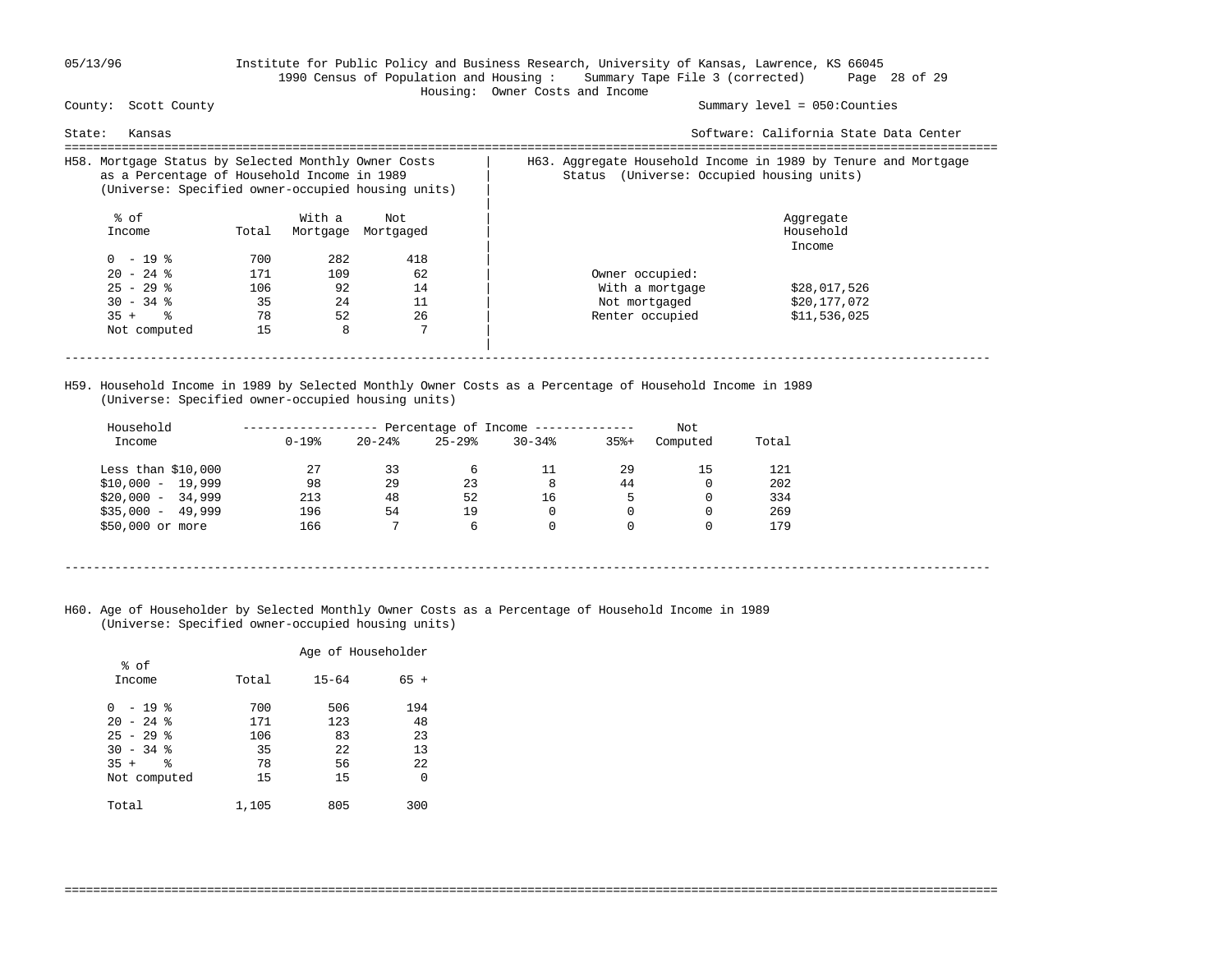### 05/13/96 Institute for Public Policy and Business Research, University of Kansas, Lawrence, KS 66045 1990 Census of Population and Housing : Summary Tape File 3 (corrected) Page 28 of 29 Housing: Owner Costs and Income

Summary level =  $050$ : Counties

| Kansas<br>State:                                                                                                                                          |       |        |                    | Software: California State Data Center                                                                         |  |  |  |  |  |
|-----------------------------------------------------------------------------------------------------------------------------------------------------------|-------|--------|--------------------|----------------------------------------------------------------------------------------------------------------|--|--|--|--|--|
| H58. Mortgage Status by Selected Monthly Owner Costs<br>as a Percentage of Household Income in 1989<br>(Universe: Specified owner-occupied housing units) |       |        |                    | H63. Aggregate Household Income in 1989 by Tenure and Mortgage<br>(Universe: Occupied housing units)<br>Status |  |  |  |  |  |
| % of                                                                                                                                                      |       | With a | Not                | Aggregate                                                                                                      |  |  |  |  |  |
| Income                                                                                                                                                    | Total |        | Mortgage Mortgaged | Household                                                                                                      |  |  |  |  |  |
|                                                                                                                                                           |       |        |                    | Income                                                                                                         |  |  |  |  |  |
| $0 - 19$ %                                                                                                                                                | 700   | 282    | 418                |                                                                                                                |  |  |  |  |  |
| $20 - 24$ %                                                                                                                                               | 171   | 109    | 62                 | Owner occupied:                                                                                                |  |  |  |  |  |
| $25 - 29$ %                                                                                                                                               | 106   | 92     | 14                 | With a mortgage<br>\$28,017,526                                                                                |  |  |  |  |  |
| $30 - 34$ %                                                                                                                                               | 35    | 24     | 11                 | \$20,177,072<br>Not mortgaged                                                                                  |  |  |  |  |  |
| $35 +$ $\frac{6}{3}$                                                                                                                                      | 78    | 52     | 26                 | Renter occupied<br>\$11,536,025                                                                                |  |  |  |  |  |
| Not computed                                                                                                                                              | 15    | 8      | 7                  |                                                                                                                |  |  |  |  |  |
|                                                                                                                                                           |       |        |                    |                                                                                                                |  |  |  |  |  |
|                                                                                                                                                           |       |        |                    |                                                                                                                |  |  |  |  |  |

 H59. Household Income in 1989 by Selected Monthly Owner Costs as a Percentage of Household Income in 1989 (Universe: Specified owner-occupied housing units)

| Household           |            |           |           | Percentage of Income ------------ |         | Not      |       |
|---------------------|------------|-----------|-----------|-----------------------------------|---------|----------|-------|
| Income              | $0 - 19$ % | $20 - 24$ | $25 - 29$ | $30 - 34$                         | $35% +$ | Computed | Total |
| Less than $$10,000$ | 27         | 33        | 6         | 11                                | 29      | 15       | 121   |
| $$10,000 - 19,999$  | 98         | 29        | 23        | 8                                 | 44      | 0        | 202   |
| $$20,000 - 34,999$  | 213        | 48        | 52        | 16                                | 5       | 0        | 334   |
| $$35,000 - 49,999$  | 196        | 54        | 19        | 0                                 |         | 0        | 269   |
| \$50,000 or more    | 166        | 7         | 6         | 0                                 |         |          | 179   |

- ----------------------------------------------------------------------------------------------------------------------------------
- H60. Age of Householder by Selected Monthly Owner Costs as a Percentage of Household Income in 1989 (Universe: Specified owner-occupied housing units)

|                            |            | Age of Householder |           |
|----------------------------|------------|--------------------|-----------|
| % of<br>Income             | Total      | $15 - 64$          | $65 +$    |
| - 19 %<br>0<br>$20 - 24$ % | 700<br>171 | 506<br>123         | 194<br>48 |
| $25 - 29$ %                | 106        | 83                 | 23        |
| $30 - 34$ %<br>る<br>$35 +$ | 35<br>78   | 22<br>56           | 13<br>22  |
| Not computed               | 15         | 15                 | 0         |
| Total                      | 1,105      | 805                | 300       |